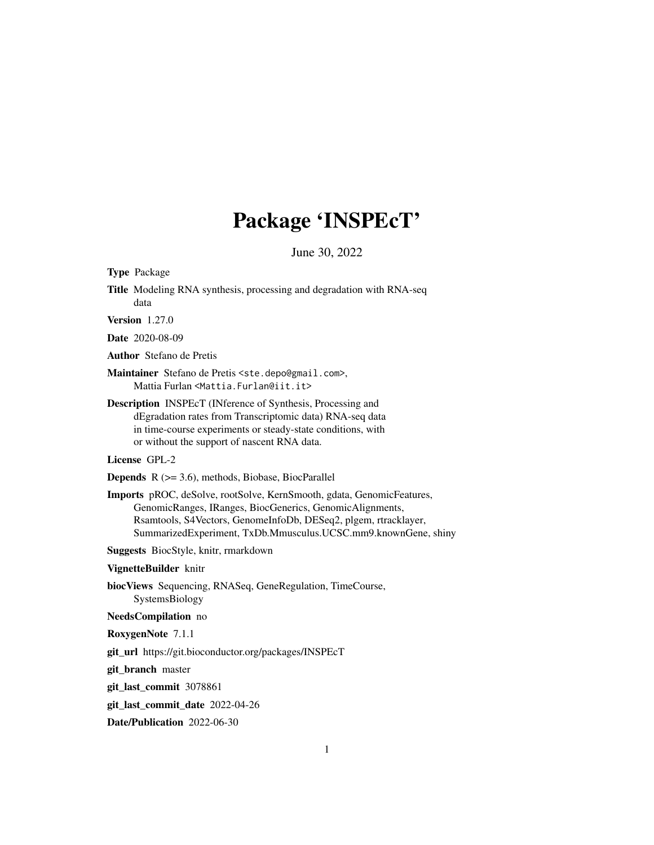# Package 'INSPEcT'

June 30, 2022

<span id="page-0-0"></span>Type Package

Title Modeling RNA synthesis, processing and degradation with RNA-seq data

Version 1.27.0

Date 2020-08-09

Author Stefano de Pretis

Maintainer Stefano de Pretis <ste.depo@gmail.com>, Mattia Furlan <Mattia.Furlan@iit.it>

Description INSPEcT (INference of Synthesis, Processing and dEgradation rates from Transcriptomic data) RNA-seq data in time-course experiments or steady-state conditions, with or without the support of nascent RNA data.

License GPL-2

Depends R (>= 3.6), methods, Biobase, BiocParallel

Imports pROC, deSolve, rootSolve, KernSmooth, gdata, GenomicFeatures, GenomicRanges, IRanges, BiocGenerics, GenomicAlignments, Rsamtools, S4Vectors, GenomeInfoDb, DESeq2, plgem, rtracklayer, SummarizedExperiment, TxDb.Mmusculus.UCSC.mm9.knownGene, shiny

Suggests BiocStyle, knitr, rmarkdown

#### VignetteBuilder knitr

biocViews Sequencing, RNASeq, GeneRegulation, TimeCourse, SystemsBiology

#### NeedsCompilation no

RoxygenNote 7.1.1

git\_url https://git.bioconductor.org/packages/INSPEcT

git\_branch master

git\_last\_commit 3078861

git\_last\_commit\_date 2022-04-26

Date/Publication 2022-06-30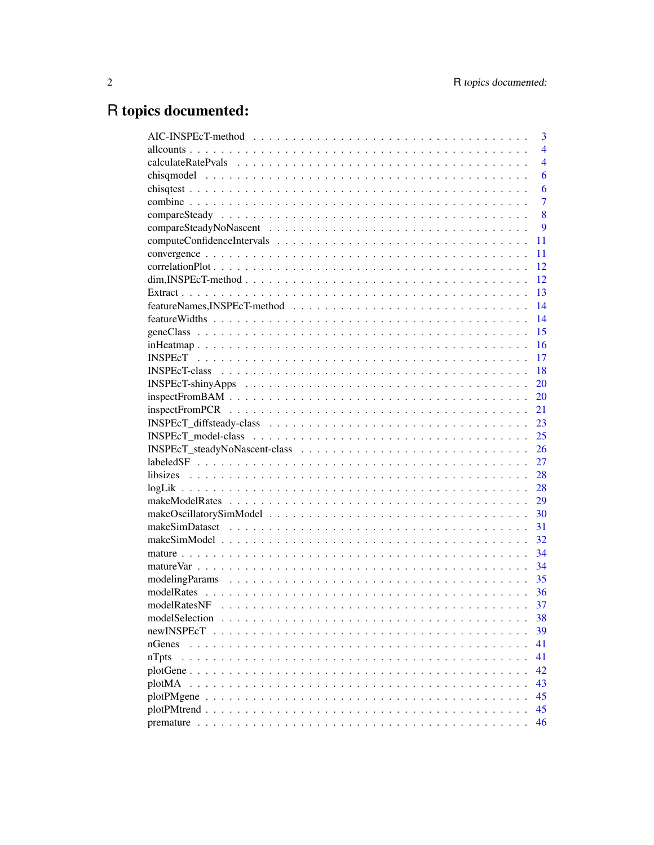# R topics documented:

| 3                                                                                                                   |
|---------------------------------------------------------------------------------------------------------------------|
| $\overline{4}$                                                                                                      |
| $\overline{4}$                                                                                                      |
| 6                                                                                                                   |
| 6                                                                                                                   |
| $\overline{7}$                                                                                                      |
| 8                                                                                                                   |
| 9                                                                                                                   |
| 11                                                                                                                  |
| 11                                                                                                                  |
| 12                                                                                                                  |
| $\dim$ , INSPEcT-method $\ldots \ldots \ldots \ldots \ldots \ldots \ldots \ldots \ldots \ldots \ldots \ldots$<br>12 |
| 13                                                                                                                  |
| 14                                                                                                                  |
| 14                                                                                                                  |
| 15                                                                                                                  |
| 16                                                                                                                  |
| 17                                                                                                                  |
| 18                                                                                                                  |
| 20<br>$INSPECT-shinyApps \ldots \ldots \ldots \ldots \ldots \ldots \ldots \ldots \ldots \ldots \ldots \ldots$       |
| 20                                                                                                                  |
| 21                                                                                                                  |
| 23                                                                                                                  |
| 25                                                                                                                  |
| 26                                                                                                                  |
| 27                                                                                                                  |
| 28                                                                                                                  |
| 28                                                                                                                  |
| 29                                                                                                                  |
| 30                                                                                                                  |
| 31                                                                                                                  |
| 32                                                                                                                  |
| 34                                                                                                                  |
| 34                                                                                                                  |
| 35                                                                                                                  |
| 36                                                                                                                  |
| 37<br>modelRatesNF                                                                                                  |
| 38                                                                                                                  |
| 39<br>newINSPEcT                                                                                                    |
| 41<br>nGenes                                                                                                        |
| 41<br>$nT$ pts                                                                                                      |
| 42                                                                                                                  |
| 43<br>plotMA                                                                                                        |
| 45                                                                                                                  |
| 45                                                                                                                  |
| 46                                                                                                                  |
|                                                                                                                     |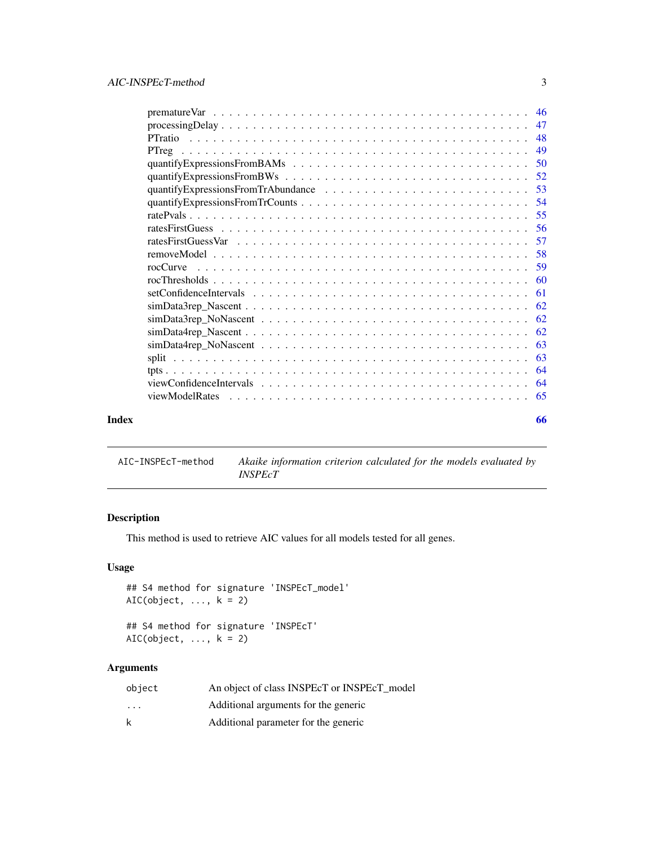<span id="page-2-0"></span>

| premature Var $\dots \dots \dots \dots \dots \dots \dots \dots \dots \dots \dots \dots \dots \dots \dots$ |     |  |
|-----------------------------------------------------------------------------------------------------------|-----|--|
|                                                                                                           |     |  |
|                                                                                                           | 48  |  |
|                                                                                                           | 49  |  |
|                                                                                                           |     |  |
|                                                                                                           |     |  |
|                                                                                                           |     |  |
|                                                                                                           |     |  |
|                                                                                                           |     |  |
|                                                                                                           |     |  |
|                                                                                                           |     |  |
|                                                                                                           |     |  |
| rocCurve                                                                                                  |     |  |
|                                                                                                           |     |  |
|                                                                                                           | -61 |  |
|                                                                                                           |     |  |
|                                                                                                           | 62  |  |
|                                                                                                           |     |  |
|                                                                                                           | 63  |  |
|                                                                                                           |     |  |
|                                                                                                           | 64  |  |
|                                                                                                           | 64  |  |
| viewModelRates                                                                                            |     |  |
| Index                                                                                                     | 66  |  |

AIC-INSPEcT-method *Akaike information criterion calculated for the models evaluated by INSPEcT*

## Description

This method is used to retrieve AIC values for all models tested for all genes.

## Usage

```
## S4 method for signature 'INSPEcT_model'
AIC(object, ..., k = 2)## S4 method for signature 'INSPEcT'
```
AIC(object,  $\dots$ ,  $k = 2$ )

## Arguments

| object                  | An object of class INSPEcT or INSPEcT model |
|-------------------------|---------------------------------------------|
| $\cdot$ $\cdot$ $\cdot$ | Additional arguments for the generic        |
| k                       | Additional parameter for the generic        |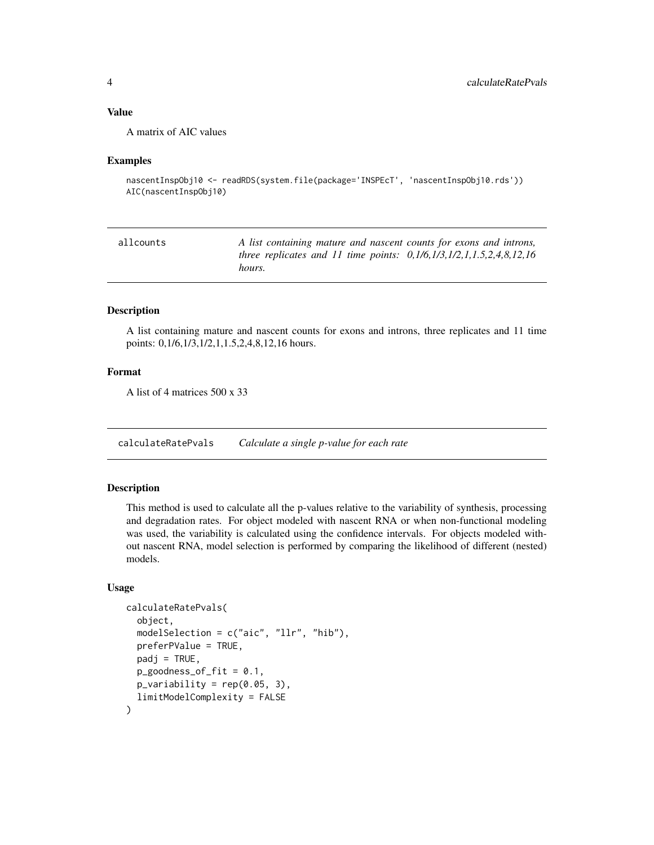## <span id="page-3-0"></span>Value

A matrix of AIC values

#### Examples

```
nascentInspObj10 <- readRDS(system.file(package='INSPEcT', 'nascentInspObj10.rds'))
AIC(nascentInspObj10)
```

| allcounts | A list containing mature and nascent counts for exons and introns,<br>three replicates and 11 time points: $0,1/6,1/3,1/2,1,1.5,2,4,8,12,16$ |
|-----------|----------------------------------------------------------------------------------------------------------------------------------------------|
|           | hours.                                                                                                                                       |

## Description

A list containing mature and nascent counts for exons and introns, three replicates and 11 time points: 0,1/6,1/3,1/2,1,1.5,2,4,8,12,16 hours.

#### Format

A list of 4 matrices 500 x 33

<span id="page-3-1"></span>calculateRatePvals *Calculate a single p-value for each rate*

## Description

This method is used to calculate all the p-values relative to the variability of synthesis, processing and degradation rates. For object modeled with nascent RNA or when non-functional modeling was used, the variability is calculated using the confidence intervals. For objects modeled without nascent RNA, model selection is performed by comparing the likelihood of different (nested) models.

#### Usage

```
calculateRatePvals(
  object,
  modelSelection = c("aic", "llr", "hib"),
  preferPValue = TRUE,
  padj = TRUE,p_{g}oodness_of_fit = 0.1,
  p_{\text{}vari}ability = rep(0.05, 3),
  limitModelComplexity = FALSE
)
```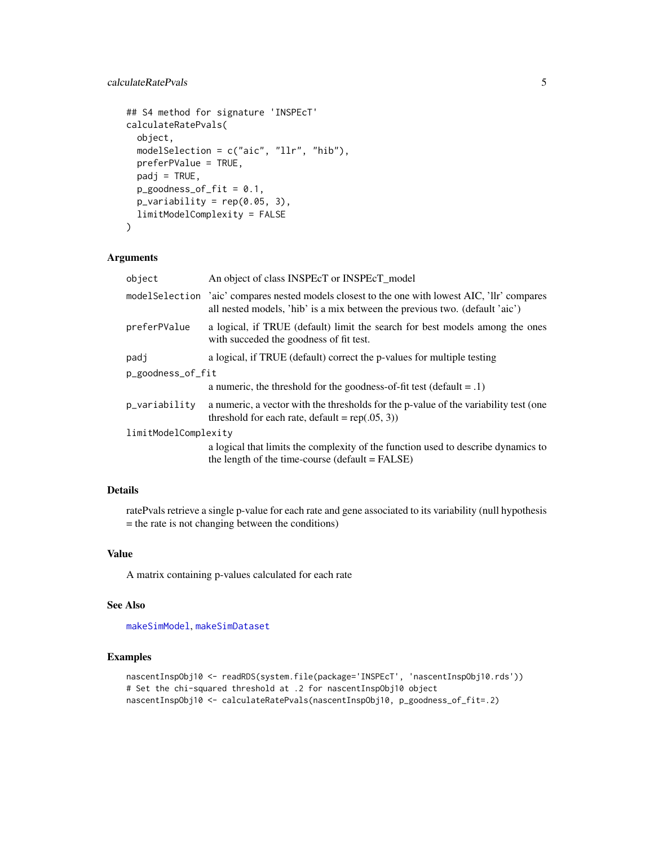## <span id="page-4-0"></span>calculateRatePvals 5

```
## S4 method for signature 'INSPEcT'
calculateRatePvals(
  object,
  modelSelection = c("aic", "llr", "hib"),
  preferPValue = TRUE,
  padj = TRUE,p_{g}oodness_of_fit = 0.1,
  p_{\text{}vari}ability = rep(0.05, 3),
  limitModelComplexity = FALSE
)
```
## Arguments

| object               | An object of class INSPEcT or INSPEcT model                                                                                                                                    |  |
|----------------------|--------------------------------------------------------------------------------------------------------------------------------------------------------------------------------|--|
|                      | model Selection 'aic' compares nested models closest to the one with lowest AIC, 'llr' compares<br>all nested models, 'hib' is a mix between the previous two. (default 'aic') |  |
| preferPValue         | a logical, if TRUE (default) limit the search for best models among the ones<br>with succeded the goodness of fit test.                                                        |  |
| padj                 | a logical, if TRUE (default) correct the p-values for multiple testing                                                                                                         |  |
| p_goodness_of_fit    |                                                                                                                                                                                |  |
|                      | a numeric, the threshold for the goodness-of-fit test (default $= .1$ )                                                                                                        |  |
| p_variability        | a numeric, a vector with the thresholds for the p-value of the variability test (one<br>threshold for each rate, default = $rep(.05, 3))$                                      |  |
| limitModelComplexity |                                                                                                                                                                                |  |
|                      | a logical that limits the complexity of the function used to describe dynamics to<br>the length of the time-course (default $=$ FALSE)                                         |  |

#### Details

ratePvals retrieve a single p-value for each rate and gene associated to its variability (null hypothesis = the rate is not changing between the conditions)

#### Value

A matrix containing p-values calculated for each rate

## See Also

[makeSimModel](#page-31-1), [makeSimDataset](#page-30-1)

```
nascentInspObj10 <- readRDS(system.file(package='INSPEcT', 'nascentInspObj10.rds'))
# Set the chi-squared threshold at .2 for nascentInspObj10 object
nascentInspObj10 <- calculateRatePvals(nascentInspObj10, p_goodness_of_fit=.2)
```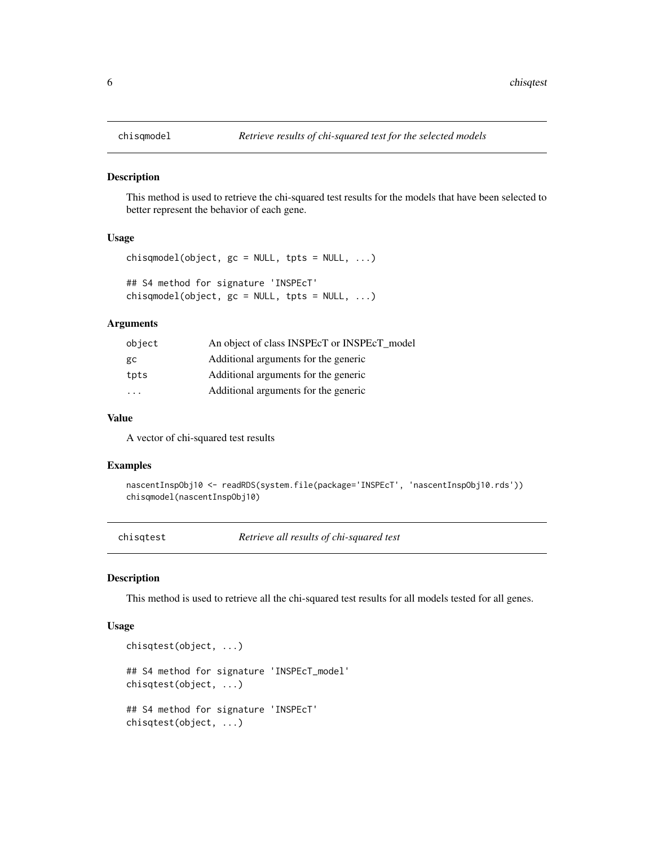<span id="page-5-1"></span><span id="page-5-0"></span>

#### Description

This method is used to retrieve the chi-squared test results for the models that have been selected to better represent the behavior of each gene.

#### Usage

```
chisqmodel(object, gc = NULL, trts = NULL, ...)## S4 method for signature 'INSPEcT'
chisqmodel(object, gc = NULL, trpts = NULL, ...)
```
#### Arguments

| object                  | An object of class INSPEcT or INSPEcT model |
|-------------------------|---------------------------------------------|
| gc                      | Additional arguments for the generic        |
| tpts                    | Additional arguments for the generic        |
| $\cdot$ $\cdot$ $\cdot$ | Additional arguments for the generic        |
|                         |                                             |

## Value

A vector of chi-squared test results

#### Examples

```
nascentInspObj10 <- readRDS(system.file(package='INSPEcT', 'nascentInspObj10.rds'))
chisqmodel(nascentInspObj10)
```
<span id="page-5-2"></span>chisqtest *Retrieve all results of chi-squared test*

#### Description

This method is used to retrieve all the chi-squared test results for all models tested for all genes.

#### Usage

```
chisqtest(object, ...)
## S4 method for signature 'INSPEcT_model'
chisqtest(object, ...)
## S4 method for signature 'INSPEcT'
chisqtest(object, ...)
```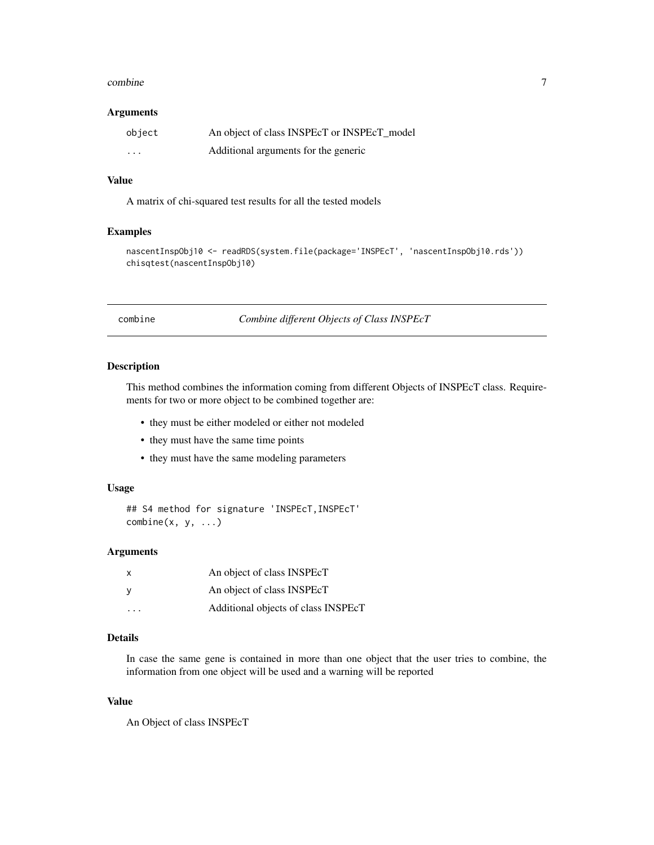#### <span id="page-6-0"></span>combine 7

#### Arguments

| object   | An object of class INSPEcT or INSPEcT model |
|----------|---------------------------------------------|
| $\cdots$ | Additional arguments for the generic        |

#### Value

A matrix of chi-squared test results for all the tested models

## Examples

```
nascentInspObj10 <- readRDS(system.file(package='INSPEcT', 'nascentInspObj10.rds'))
chisqtest(nascentInspObj10)
```
<span id="page-6-1"></span>combine *Combine different Objects of Class INSPEcT*

#### Description

This method combines the information coming from different Objects of INSPEcT class. Requirements for two or more object to be combined together are:

- they must be either modeled or either not modeled
- they must have the same time points
- they must have the same modeling parameters

#### Usage

```
## S4 method for signature 'INSPEcT, INSPEcT'
combine(x, y, ...)
```
## Arguments

| $\mathsf{x}$            | An object of class INSPEcT          |
|-------------------------|-------------------------------------|
| - V                     | An object of class INSPEcT          |
| $\cdot$ $\cdot$ $\cdot$ | Additional objects of class INSPEcT |

## Details

In case the same gene is contained in more than one object that the user tries to combine, the information from one object will be used and a warning will be reported

#### Value

An Object of class INSPEcT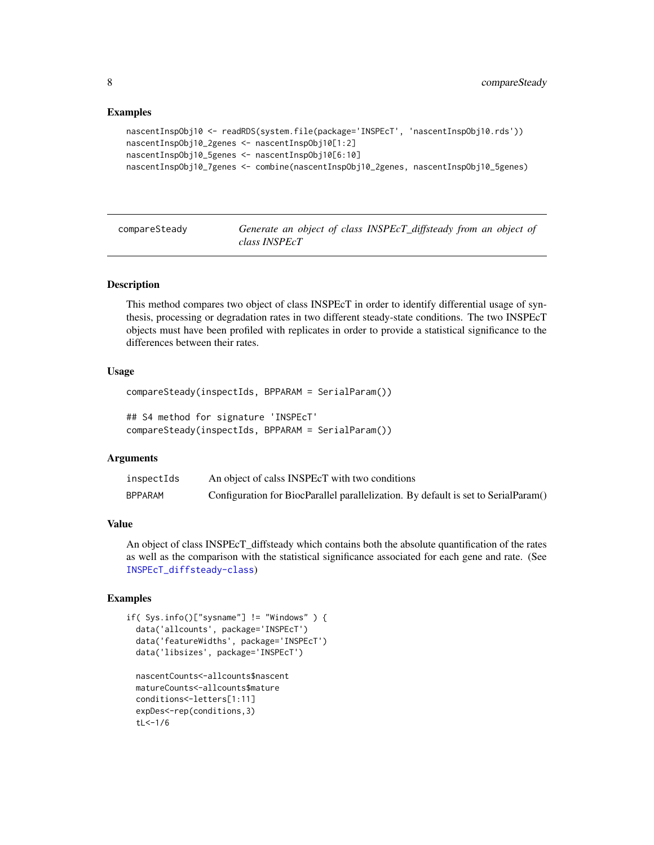#### Examples

```
nascentInspObj10 <- readRDS(system.file(package='INSPEcT', 'nascentInspObj10.rds'))
nascentInspObj10_2genes <- nascentInspObj10[1:2]
nascentInspObj10_5genes <- nascentInspObj10[6:10]
nascentInspObj10_7genes <- combine(nascentInspObj10_2genes, nascentInspObj10_5genes)
```
<span id="page-7-1"></span>compareSteady *Generate an object of class INSPEcT\_diffsteady from an object of class INSPEcT*

#### Description

This method compares two object of class INSPEcT in order to identify differential usage of synthesis, processing or degradation rates in two different steady-state conditions. The two INSPEcT objects must have been profiled with replicates in order to provide a statistical significance to the differences between their rates.

## Usage

```
compareSteady(inspectIds, BPPARAM = SerialParam())
```

```
## S4 method for signature 'INSPEcT'
compareSteady(inspectIds, BPPARAM = SerialParam())
```
## Arguments

| inspectIds | An object of calss INSPEcT with two conditions                                     |
|------------|------------------------------------------------------------------------------------|
| BPPARAM    | Configuration for BiocParallel parallelization. By default is set to SerialParam() |

#### Value

An object of class INSPEcT\_diffsteady which contains both the absolute quantification of the rates as well as the comparison with the statistical significance associated for each gene and rate. (See [INSPEcT\\_diffsteady-class](#page-22-1))

```
if( Sys.info()["sysname"] != "Windows" ) {
 data('allcounts', package='INSPEcT')
 data('featureWidths', package='INSPEcT')
 data('libsizes', package='INSPEcT')
 nascentCounts<-allcounts$nascent
 matureCounts<-allcounts$mature
 conditions<-letters[1:11]
 expDes<-rep(conditions,3)
 tL<-1/6
```
<span id="page-7-0"></span>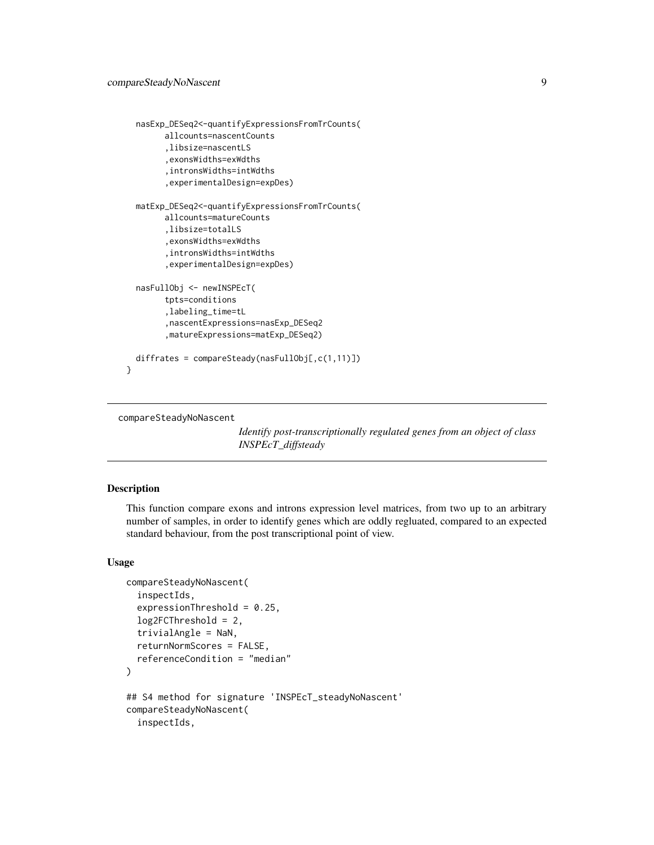```
nasExp_DESeq2<-quantifyExpressionsFromTrCounts(
        allcounts=nascentCounts
        ,libsize=nascentLS
        ,exonsWidths=exWdths
        ,intronsWidths=intWdths
        ,experimentalDesign=expDes)
 matExp_DESeq2<-quantifyExpressionsFromTrCounts(
        allcounts=matureCounts
        ,libsize=totalLS
        ,exonsWidths=exWdths
        ,intronsWidths=intWdths
        ,experimentalDesign=expDes)
 nasFullObj <- newINSPEcT(
        tpts=conditions
        ,labeling_time=tL
        ,nascentExpressions=nasExp_DESeq2
        ,matureExpressions=matExp_DESeq2)
 diffrates = compareSteady(nasFullObj[,c(1,11)])
}
```

```
compareSteadyNoNascent
```
*Identify post-transcriptionally regulated genes from an object of class INSPEcT\_diffsteady*

## **Description**

This function compare exons and introns expression level matrices, from two up to an arbitrary number of samples, in order to identify genes which are oddly regluated, compared to an expected standard behaviour, from the post transcriptional point of view.

## Usage

```
compareSteadyNoNascent(
  inspectIds,
  expressionThreshold = 0.25,
  log2FCThreshold = 2,
  trivialAngle = NaN,
  returnNormScores = FALSE,
  referenceCondition = "median"
)
## S4 method for signature 'INSPEcT_steadyNoNascent'
compareSteadyNoNascent(
  inspectIds,
```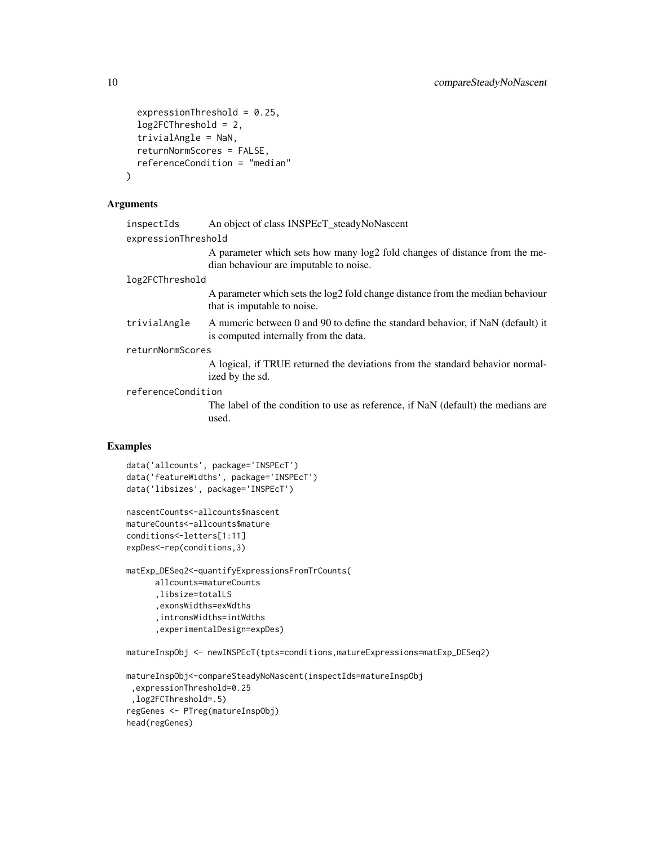```
expressionThreshold = 0.25,
  log2FCThreshold = 2,
  trivialAngle = NaN,
  returnNormScores = FALSE,
  referenceCondition = "median"
)
```
## Arguments

| An object of class INSPEcT_steadyNoNascent                                                                               |
|--------------------------------------------------------------------------------------------------------------------------|
| expressionThreshold                                                                                                      |
| A parameter which sets how many log2 fold changes of distance from the me-<br>dian behaviour are imputable to noise.     |
| log2FCThreshold                                                                                                          |
| A parameter which sets the log2 fold change distance from the median behaviour<br>that is imputable to noise.            |
| A numeric between 0 and 90 to define the standard behavior, if NaN (default) it<br>is computed internally from the data. |
| returnNormScores                                                                                                         |
| A logical, if TRUE returned the deviations from the standard behavior normal-<br>ized by the sd.                         |
| referenceCondition                                                                                                       |
| The label of the condition to use as reference, if NaN (default) the medians are<br>used.                                |
|                                                                                                                          |

## Examples

```
data('allcounts', package='INSPEcT')
data('featureWidths', package='INSPEcT')
data('libsizes', package='INSPEcT')
```

```
nascentCounts<-allcounts$nascent
matureCounts<-allcounts$mature
conditions<-letters[1:11]
expDes<-rep(conditions,3)
```

```
matExp_DESeq2<-quantifyExpressionsFromTrCounts(
     allcounts=matureCounts
      ,libsize=totalLS
      ,exonsWidths=exWdths
      ,intronsWidths=intWdths
      ,experimentalDesign=expDes)
```
matureInspObj <- newINSPEcT(tpts=conditions,matureExpressions=matExp\_DESeq2)

```
matureInspObj<-compareSteadyNoNascent(inspectIds=matureInspObj
 ,expressionThreshold=0.25
 ,log2FCThreshold=.5)
regGenes <- PTreg(matureInspObj)
head(regGenes)
```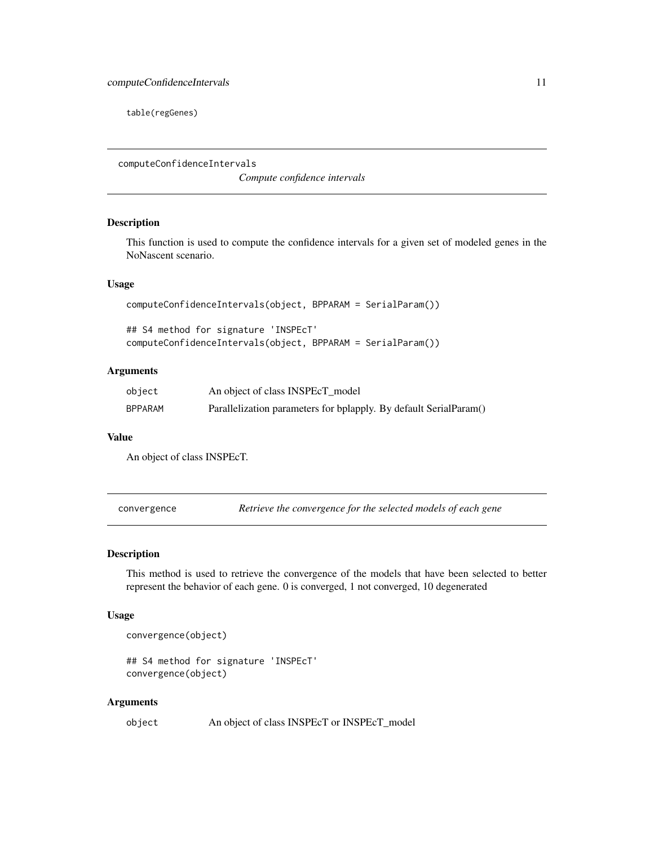<span id="page-10-0"></span>table(regGenes)

<span id="page-10-1"></span>computeConfidenceIntervals

*Compute confidence intervals*

## Description

This function is used to compute the confidence intervals for a given set of modeled genes in the NoNascent scenario.

#### Usage

```
computeConfidenceIntervals(object, BPPARAM = SerialParam())
```
## S4 method for signature 'INSPEcT' computeConfidenceIntervals(object, BPPARAM = SerialParam())

## Arguments

| object         | An object of class INSPEcT_model                                  |
|----------------|-------------------------------------------------------------------|
| <b>BPPARAM</b> | Parallelization parameters for bplapply. By default SerialParam() |

#### Value

An object of class INSPEcT.

convergence *Retrieve the convergence for the selected models of each gene*

## Description

This method is used to retrieve the convergence of the models that have been selected to better represent the behavior of each gene. 0 is converged, 1 not converged, 10 degenerated

## Usage

```
convergence(object)
```
## S4 method for signature 'INSPEcT' convergence(object)

#### Arguments

object An object of class INSPEcT or INSPEcT\_model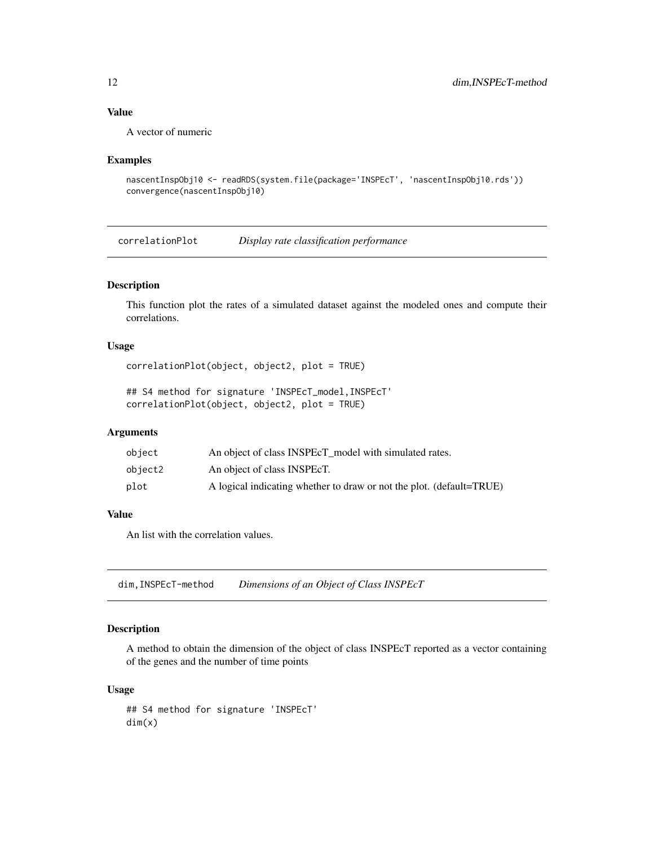## <span id="page-11-0"></span>Value

A vector of numeric

#### Examples

```
nascentInspObj10 <- readRDS(system.file(package='INSPEcT', 'nascentInspObj10.rds'))
convergence(nascentInspObj10)
```
<span id="page-11-1"></span>correlationPlot *Display rate classification performance*

## Description

This function plot the rates of a simulated dataset against the modeled ones and compute their correlations.

## Usage

```
correlationPlot(object, object2, plot = TRUE)
```
## S4 method for signature 'INSPEcT\_model,INSPEcT' correlationPlot(object, object2, plot = TRUE)

### Arguments

| object  | An object of class INSPEcT model with simulated rates.               |
|---------|----------------------------------------------------------------------|
| object2 | An object of class INSPEcT.                                          |
| plot    | A logical indicating whether to draw or not the plot. (default=TRUE) |

## Value

An list with the correlation values.

dim,INSPEcT-method *Dimensions of an Object of Class INSPEcT*

## Description

A method to obtain the dimension of the object of class INSPEcT reported as a vector containing of the genes and the number of time points

#### Usage

## S4 method for signature 'INSPEcT' dim(x)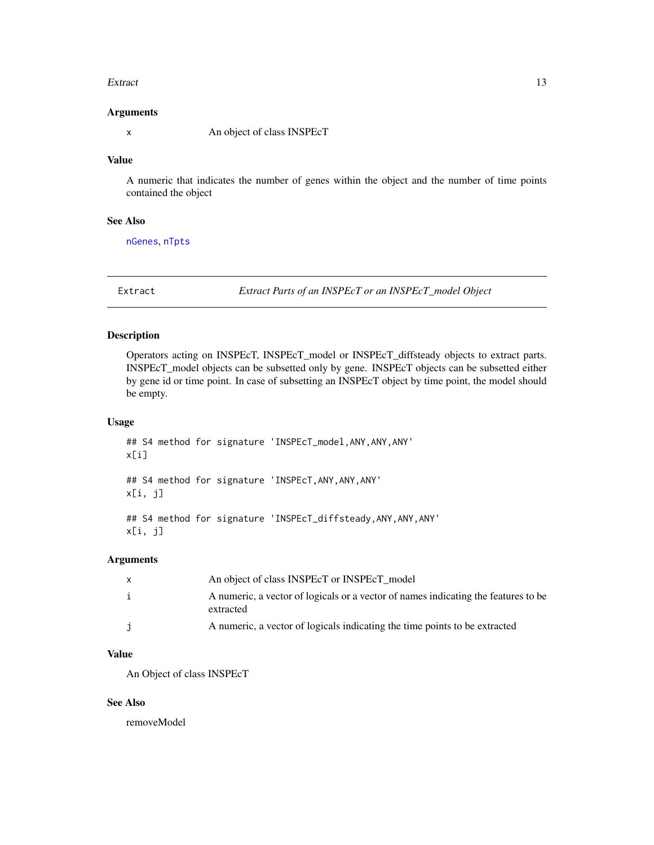#### <span id="page-12-0"></span>Extract 13

#### Arguments

x An object of class INSPEcT

#### Value

A numeric that indicates the number of genes within the object and the number of time points contained the object

#### See Also

[nGenes](#page-40-1), [nTpts](#page-40-2)

<span id="page-12-1"></span>Extract *Extract Parts of an INSPEcT or an INSPEcT\_model Object*

## Description

Operators acting on INSPEcT, INSPEcT\_model or INSPEcT\_diffsteady objects to extract parts. INSPEcT\_model objects can be subsetted only by gene. INSPEcT objects can be subsetted either by gene id or time point. In case of subsetting an INSPEcT object by time point, the model should be empty.

## Usage

```
## S4 method for signature 'INSPEcT_model,ANY,ANY,ANY'
x[i]
## S4 method for signature 'INSPEcT,ANY,ANY,ANY'
x[i, j]
## S4 method for signature 'INSPEcT_diffsteady, ANY, ANY, ANY'
x[i, j]
```
## Arguments

|    | An object of class INSPEcT or INSPEcT model                                                     |
|----|-------------------------------------------------------------------------------------------------|
| i. | A numeric, a vector of logicals or a vector of names indicating the features to be<br>extracted |
|    | A numeric, a vector of logicals indicating the time points to be extracted                      |

## Value

An Object of class INSPEcT

## See Also

removeModel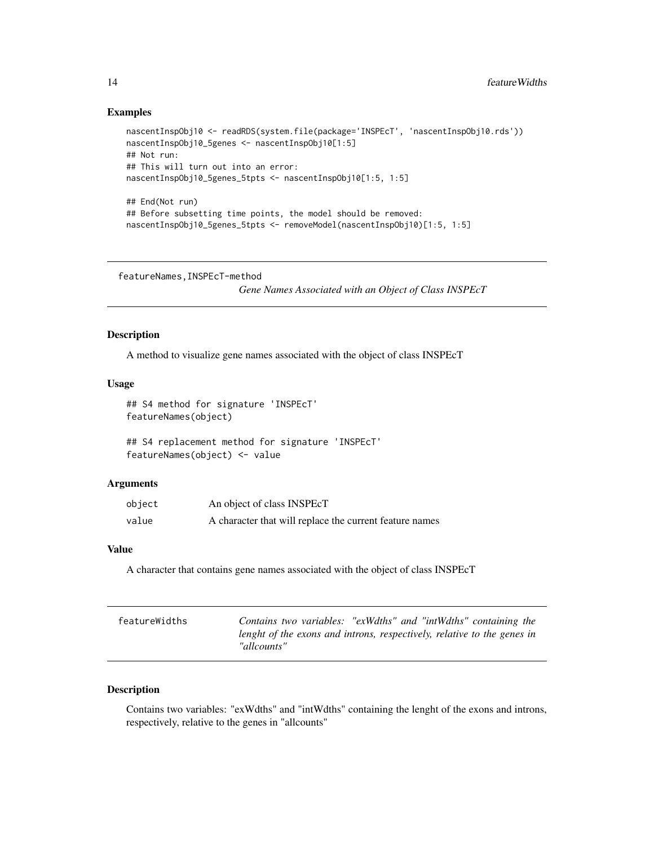#### Examples

```
nascentInspObj10 <- readRDS(system.file(package='INSPEcT', 'nascentInspObj10.rds'))
nascentInspObj10_5genes <- nascentInspObj10[1:5]
## Not run:
## This will turn out into an error:
nascentInspObj10_5genes_5tpts <- nascentInspObj10[1:5, 1:5]
## End(Not run)
## Before subsetting time points, the model should be removed:
nascentInspObj10_5genes_5tpts <- removeModel(nascentInspObj10)[1:5, 1:5]
```
featureNames,INSPEcT-method

*Gene Names Associated with an Object of Class INSPEcT*

## Description

A method to visualize gene names associated with the object of class INSPEcT

#### Usage

```
## S4 method for signature 'INSPEcT'
featureNames(object)
```
## S4 replacement method for signature 'INSPEcT' featureNames(object) <- value

#### Arguments

| object | An object of class INSPEcT                              |
|--------|---------------------------------------------------------|
| value  | A character that will replace the current feature names |

#### Value

A character that contains gene names associated with the object of class INSPEcT

| featureWidths | Contains two variables: "exWdths" and "intWdths" containing the<br>lenght of the exons and introns, respectively, relative to the genes in<br>"allcounts" |
|---------------|-----------------------------------------------------------------------------------------------------------------------------------------------------------|
|               |                                                                                                                                                           |

## Description

Contains two variables: "exWdths" and "intWdths" containing the lenght of the exons and introns, respectively, relative to the genes in "allcounts"

<span id="page-13-0"></span>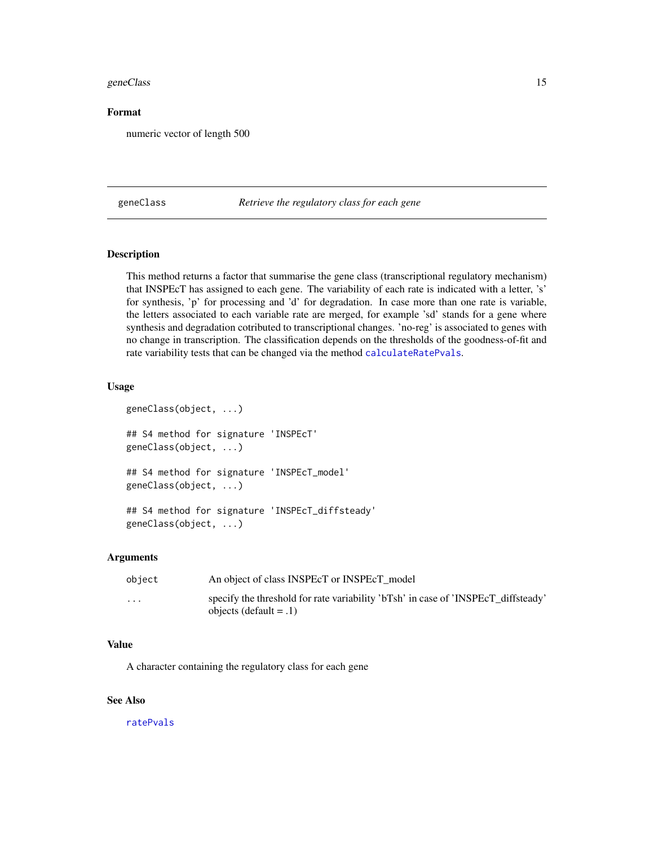#### <span id="page-14-0"></span>geneClass and the contract of the contract of the contract of the contract of the contract of the contract of the contract of the contract of the contract of the contract of the contract of the contract of the contract of

## Format

numeric vector of length 500

<span id="page-14-1"></span>geneClass *Retrieve the regulatory class for each gene*

## Description

This method returns a factor that summarise the gene class (transcriptional regulatory mechanism) that INSPEcT has assigned to each gene. The variability of each rate is indicated with a letter, 's' for synthesis, 'p' for processing and 'd' for degradation. In case more than one rate is variable, the letters associated to each variable rate are merged, for example 'sd' stands for a gene where synthesis and degradation cotributed to transcriptional changes. 'no-reg' is associated to genes with no change in transcription. The classification depends on the thresholds of the goodness-of-fit and rate variability tests that can be changed via the method [calculateRatePvals](#page-3-1).

## Usage

```
geneClass(object, ...)
## S4 method for signature 'INSPEcT'
geneClass(object, ...)
## S4 method for signature 'INSPEcT_model'
geneClass(object, ...)
## S4 method for signature 'INSPEcT_diffsteady'
geneClass(object, ...)
```
#### Arguments

| object                  | An object of class INSPEcT or INSPEcT model                                                                    |
|-------------------------|----------------------------------------------------------------------------------------------------------------|
| $\cdot$ $\cdot$ $\cdot$ | specify the threshold for rate variability 'bTsh' in case of 'INSPEcT diffsteady'<br>objects (default $= .1$ ) |

#### Value

A character containing the regulatory class for each gene

## See Also

[ratePvals](#page-54-1)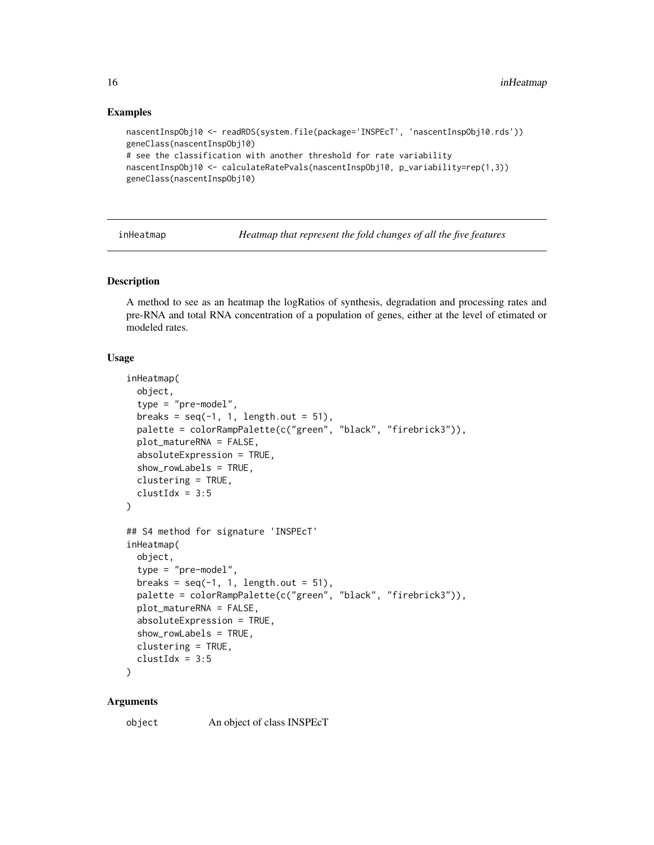#### Examples

```
nascentInspObj10 <- readRDS(system.file(package='INSPEcT', 'nascentInspObj10.rds'))
geneClass(nascentInspObj10)
# see the classification with another threshold for rate variability
nascentInspObj10 <- calculateRatePvals(nascentInspObj10, p_variability=rep(1,3))
geneClass(nascentInspObj10)
```
<span id="page-15-1"></span>inHeatmap *Heatmap that represent the fold changes of all the five features*

## **Description**

A method to see as an heatmap the logRatios of synthesis, degradation and processing rates and pre-RNA and total RNA concentration of a population of genes, either at the level of etimated or modeled rates.

#### Usage

```
inHeatmap(
 object,
  type = "pre-model",
  breaks = seq(-1, 1, length.out = 51),
  palette = colorRampPalette(c("green", "black", "firebrick3")),
 plot_matureRNA = FALSE,
  absoluteExpression = TRUE,
  show_rowLabels = TRUE,
  clustering = TRUE,
  clustIdx = 3:5)
## S4 method for signature 'INSPEcT'
inHeatmap(
  object,
  type = "pre-model",
 breaks = seq(-1, 1, length.out = 51),
 palette = colorRampPalette(c("green", "black", "firebrick3")),
  plot_matureRNA = FALSE,
  absoluteExpression = TRUE,
  show_rowLabels = TRUE,
  clustering = TRUE,
  clustIdx = 3:5
```
## )

## **Arguments**

object An object of class INSPEcT

<span id="page-15-0"></span>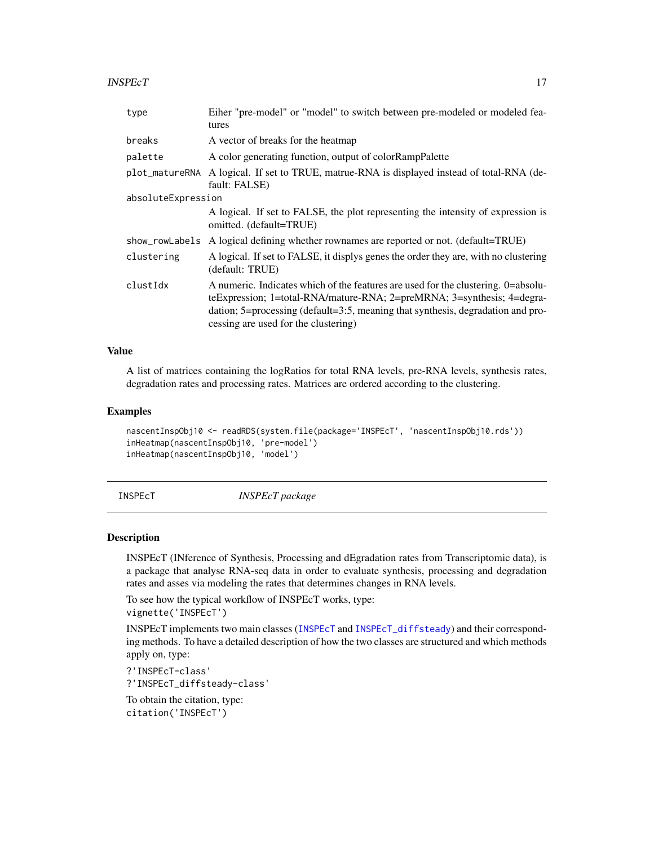#### <span id="page-16-0"></span> $INSPECT$  17

| type               | Eiher "pre-model" or "model" to switch between pre-modeled or modeled fea-                                                                                                                                                                                                                     |  |
|--------------------|------------------------------------------------------------------------------------------------------------------------------------------------------------------------------------------------------------------------------------------------------------------------------------------------|--|
|                    | tures                                                                                                                                                                                                                                                                                          |  |
| breaks             | A vector of breaks for the heatmap                                                                                                                                                                                                                                                             |  |
| palette            | A color generating function, output of color RampPalette                                                                                                                                                                                                                                       |  |
|                    | plot_matureRNA A logical. If set to TRUE, matrue-RNA is displayed instead of total-RNA (de-<br>fault: FALSE)                                                                                                                                                                                   |  |
| absoluteExpression |                                                                                                                                                                                                                                                                                                |  |
|                    | A logical. If set to FALSE, the plot representing the intensity of expression is<br>omitted. (default=TRUE)                                                                                                                                                                                    |  |
|                    | show_rowLabels A logical defining whether rownames are reported or not. (default=TRUE)                                                                                                                                                                                                         |  |
| clustering         | A logical. If set to FALSE, it displys genes the order they are, with no clustering<br>(default: TRUE)                                                                                                                                                                                         |  |
| clustIdx           | A numeric. Indicates which of the features are used for the clustering. 0=absolu-<br>teExpression; 1=total-RNA/mature-RNA; 2=preMRNA; 3=synthesis; 4=degra-<br>dation; $5 =$ processing (default= $3:5$ , meaning that synthesis, degradation and pro-<br>cessing are used for the clustering) |  |

## Value

A list of matrices containing the logRatios for total RNA levels, pre-RNA levels, synthesis rates, degradation rates and processing rates. Matrices are ordered according to the clustering.

## Examples

```
nascentInspObj10 <- readRDS(system.file(package='INSPEcT', 'nascentInspObj10.rds'))
inHeatmap(nascentInspObj10, 'pre-model')
inHeatmap(nascentInspObj10, 'model')
```
INSPEcT *INSPEcT package*

#### Description

INSPEcT (INference of Synthesis, Processing and dEgradation rates from Transcriptomic data), is a package that analyse RNA-seq data in order to evaluate synthesis, processing and degradation rates and asses via modeling the rates that determines changes in RNA levels.

To see how the typical workflow of INSPEcT works, type: vignette('INSPEcT')

INSPEcT implements two main classes ([INSPEcT](#page-17-1) and [INSPEcT\\_diffsteady](#page-22-1)) and their corresponding methods. To have a detailed description of how the two classes are structured and which methods apply on, type:

?'INSPEcT-class'

?'INSPEcT\_diffsteady-class'

To obtain the citation, type: citation('INSPEcT')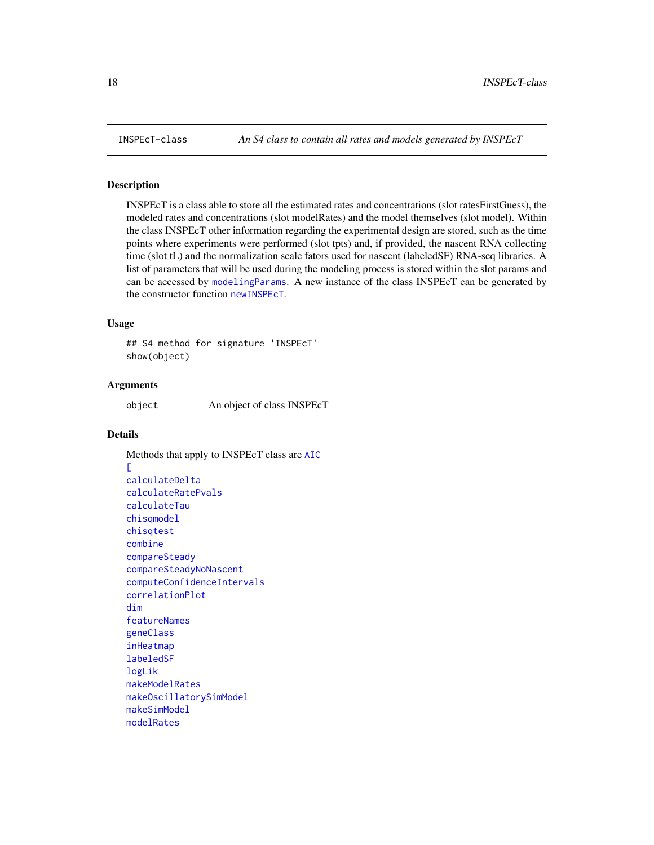<span id="page-17-1"></span><span id="page-17-0"></span>

#### Description

INSPEcT is a class able to store all the estimated rates and concentrations (slot ratesFirstGuess), the modeled rates and concentrations (slot modelRates) and the model themselves (slot model). Within the class INSPEcT other information regarding the experimental design are stored, such as the time points where experiments were performed (slot tpts) and, if provided, the nascent RNA collecting time (slot tL) and the normalization scale fators used for nascent (labeledSF) RNA-seq libraries. A list of parameters that will be used during the modeling process is stored within the slot params and can be accessed by [modelingParams](#page-34-1). A new instance of the class INSPEcT can be generated by the constructor function [newINSPEcT](#page-38-1).

## Usage

## S4 method for signature 'INSPEcT' show(object)

#### Arguments

object An object of class INSPEcT

## Details

```
Methods that apply to INSPEcT class are AIC
\GammacalculateDelta
calculateRatePvals
calculateTau
chisqmodel
chisqtest
combine
compareSteady
compareSteadyNoNascent
computeConfidenceIntervals
correlationPlot
dim
featureNames
geneClass
inHeatmap
labeledSF
logLik
makeModelRates
makeOscillatorySimModel
makeSimModel
modelRates
```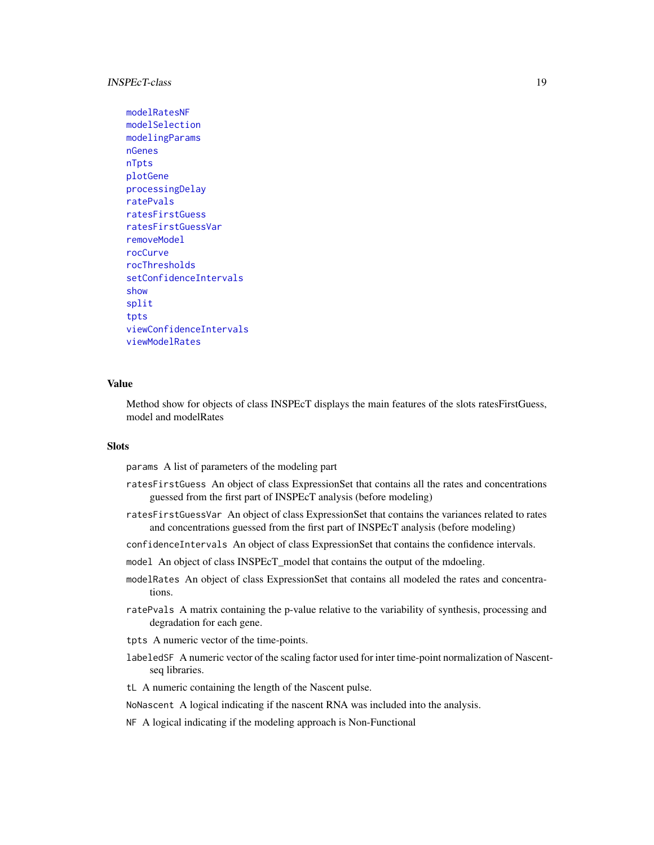## <span id="page-18-0"></span>INSPEcT-class 19

```
modelRatesNF
modelSelection
modelingParams
nGenes
nTpts
plotGene
processingDelay
ratePvals
ratesFirstGuess
ratesFirstGuessVar
removeModel
rocCurve
rocThresholds
setConfidenceIntervals
show
split
tpts
viewConfidenceIntervals
viewModelRates
```
## Value

Method show for objects of class INSPEcT displays the main features of the slots ratesFirstGuess, model and modelRates

## **Slots**

params A list of parameters of the modeling part

- ratesFirstGuess An object of class ExpressionSet that contains all the rates and concentrations guessed from the first part of INSPEcT analysis (before modeling)
- ratesFirstGuessVar An object of class ExpressionSet that contains the variances related to rates and concentrations guessed from the first part of INSPEcT analysis (before modeling)
- confidenceIntervals An object of class ExpressionSet that contains the confidence intervals.
- model An object of class INSPEcT\_model that contains the output of the mdoeling.
- modelRates An object of class ExpressionSet that contains all modeled the rates and concentrations.
- ratePvals A matrix containing the p-value relative to the variability of synthesis, processing and degradation for each gene.
- tpts A numeric vector of the time-points.
- labeledSF A numeric vector of the scaling factor used for inter time-point normalization of Nascentseq libraries.
- tL A numeric containing the length of the Nascent pulse.
- NoNascent A logical indicating if the nascent RNA was included into the analysis.
- NF A logical indicating if the modeling approach is Non-Functional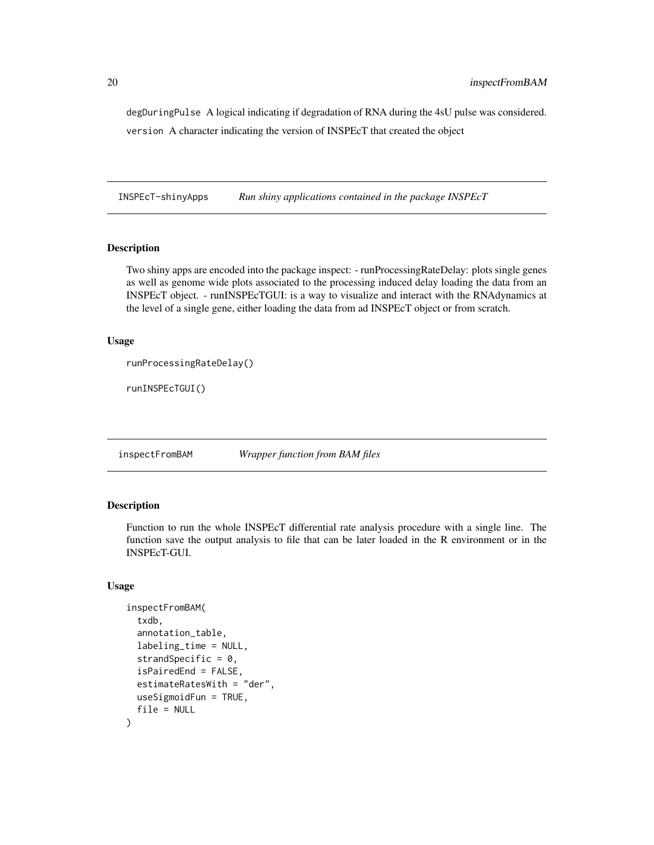<span id="page-19-0"></span>degDuringPulse A logical indicating if degradation of RNA during the 4sU pulse was considered. version A character indicating the version of INSPEcT that created the object

INSPEcT-shinyApps *Run shiny applications contained in the package INSPEcT*

## Description

Two shiny apps are encoded into the package inspect: - runProcessingRateDelay: plots single genes as well as genome wide plots associated to the processing induced delay loading the data from an INSPEcT object. - runINSPEcTGUI: is a way to visualize and interact with the RNAdynamics at the level of a single gene, either loading the data from ad INSPEcT object or from scratch.

#### Usage

```
runProcessingRateDelay()
```
runINSPEcTGUI()

inspectFromBAM *Wrapper function from BAM files*

## Description

Function to run the whole INSPEcT differential rate analysis procedure with a single line. The function save the output analysis to file that can be later loaded in the R environment or in the INSPEcT-GUI.

## Usage

```
inspectFromBAM(
  txdb,
  annotation_table,
  labeling_time = NULL,
  strandSpecific = 0,
  isPairedEnd = FALSE,
  estimateRatesWith = "der",
  useSigmoidFun = TRUE,
  file = NULL
)
```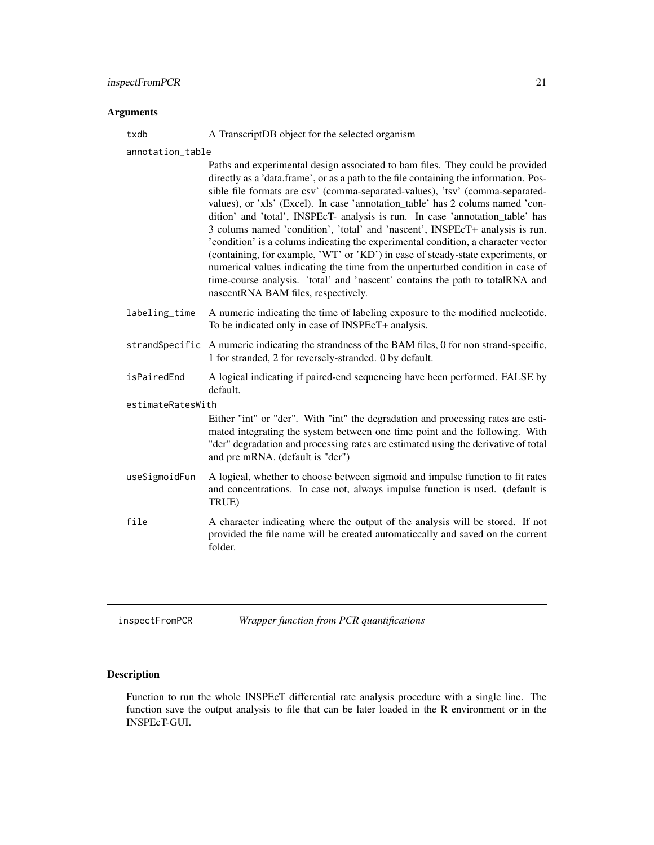## <span id="page-20-0"></span>Arguments

txdb A TranscriptDB object for the selected organism

annotation\_table

|                   | Paths and experimental design associated to bam files. They could be provided<br>directly as a 'data.frame', or as a path to the file containing the information. Pos-<br>sible file formats are csv' (comma-separated-values), 'tsv' (comma-separated-<br>values), or 'xls' (Excel). In case 'annotation_table' has 2 colums named 'con-<br>dition' and 'total', INSPEcT- analysis is run. In case 'annotation_table' has<br>3 colums named 'condition', 'total' and 'nascent', INSPEcT+ analysis is run.<br>'condition' is a colums indicating the experimental condition, a character vector<br>(containing, for example, 'WT' or 'KD') in case of steady-state experiments, or<br>numerical values indicating the time from the unperturbed condition in case of<br>time-course analysis. 'total' and 'nascent' contains the path to totalRNA and<br>nascentRNA BAM files, respectively. |
|-------------------|----------------------------------------------------------------------------------------------------------------------------------------------------------------------------------------------------------------------------------------------------------------------------------------------------------------------------------------------------------------------------------------------------------------------------------------------------------------------------------------------------------------------------------------------------------------------------------------------------------------------------------------------------------------------------------------------------------------------------------------------------------------------------------------------------------------------------------------------------------------------------------------------|
| labeling_time     | A numeric indicating the time of labeling exposure to the modified nucleotide.<br>To be indicated only in case of INSPEcT+ analysis.                                                                                                                                                                                                                                                                                                                                                                                                                                                                                                                                                                                                                                                                                                                                                         |
|                   | strandSpecific A numeric indicating the strandness of the BAM files, 0 for non strand-specific,<br>1 for stranded, 2 for reversely-stranded. 0 by default.                                                                                                                                                                                                                                                                                                                                                                                                                                                                                                                                                                                                                                                                                                                                   |
| isPairedEnd       | A logical indicating if paired-end sequencing have been performed. FALSE by<br>default.                                                                                                                                                                                                                                                                                                                                                                                                                                                                                                                                                                                                                                                                                                                                                                                                      |
| estimateRatesWith |                                                                                                                                                                                                                                                                                                                                                                                                                                                                                                                                                                                                                                                                                                                                                                                                                                                                                              |
|                   | Either "int" or "der". With "int" the degradation and processing rates are esti-<br>mated integrating the system between one time point and the following. With<br>"der" degradation and processing rates are estimated using the derivative of total<br>and pre mRNA. (default is "der")                                                                                                                                                                                                                                                                                                                                                                                                                                                                                                                                                                                                    |
| useSigmoidFun     | A logical, whether to choose between sigmoid and impulse function to fit rates<br>and concentrations. In case not, always impulse function is used. (default is<br>TRUE)                                                                                                                                                                                                                                                                                                                                                                                                                                                                                                                                                                                                                                                                                                                     |
| file              | A character indicating where the output of the analysis will be stored. If not<br>provided the file name will be created automatic cally and saved on the current<br>folder.                                                                                                                                                                                                                                                                                                                                                                                                                                                                                                                                                                                                                                                                                                                 |
|                   |                                                                                                                                                                                                                                                                                                                                                                                                                                                                                                                                                                                                                                                                                                                                                                                                                                                                                              |

inspectFromPCR *Wrapper function from PCR quantifications*

## Description

Function to run the whole INSPEcT differential rate analysis procedure with a single line. The function save the output analysis to file that can be later loaded in the R environment or in the INSPEcT-GUI.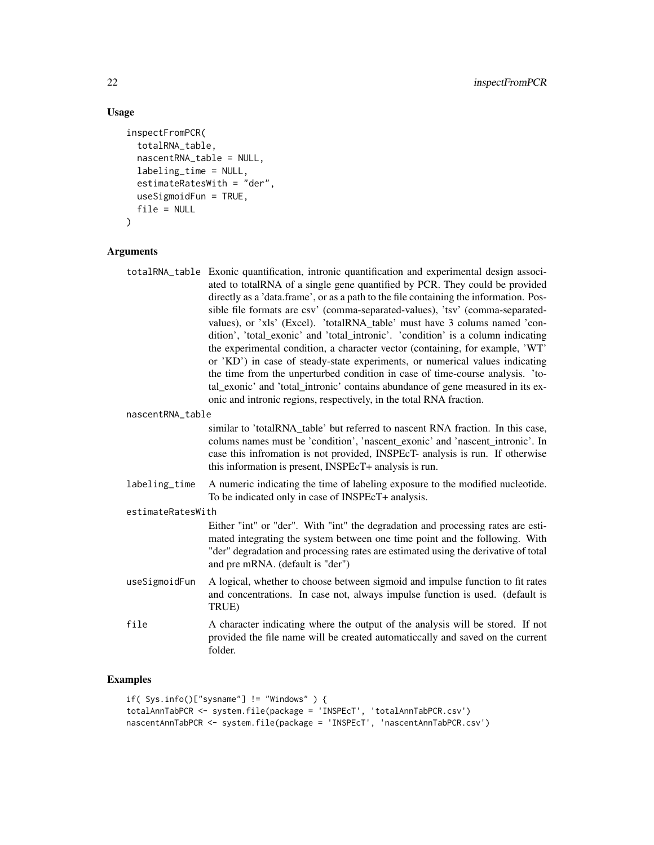## Usage

```
inspectFromPCR(
  totalRNA_table,
  nascentRNA_table = NULL,
  labeling_time = NULL,
  estimateRatesWith = "der",
  useSigmoidFun = TRUE,
  file = NULL
)
```
## Arguments

```
totalRNA_table Exonic quantification, intronic quantification and experimental design associ-
                  ated to totalRNA of a single gene quantified by PCR. They could be provided
                  directly as a 'data.frame', or as a path to the file containing the information. Pos-
                  sible file formats are csv' (comma-separated-values), 'tsv' (comma-separated-
                  values), or 'xls' (Excel). 'totalRNA_table' must have 3 colums named 'con-
                  dition', 'total_exonic' and 'total_intronic'. 'condition' is a column indicating
                  the experimental condition, a character vector (containing, for example, 'WT'
                  or 'KD') in case of steady-state experiments, or numerical values indicating
                  the time from the unperturbed condition in case of time-course analysis. 'to-
                  tal_exonic' and 'total_intronic' contains abundance of gene measured in its ex-
                  onic and intronic regions, respectively, in the total RNA fraction.
```
nascentRNA\_table

similar to 'totalRNA\_table' but referred to nascent RNA fraction. In this case, colums names must be 'condition', 'nascent\_exonic' and 'nascent\_intronic'. In case this infromation is not provided, INSPEcT- analysis is run. If otherwise this information is present, INSPEcT+ analysis is run.

labeling\_time A numeric indicating the time of labeling exposure to the modified nucleotide. To be indicated only in case of INSPEcT+ analysis.

#### estimateRatesWith

Either "int" or "der". With "int" the degradation and processing rates are estimated integrating the system between one time point and the following. With "der" degradation and processing rates are estimated using the derivative of total and pre mRNA. (default is "der")

- useSigmoidFun A logical, whether to choose between sigmoid and impulse function to fit rates and concentrations. In case not, always impulse function is used. (default is TRUE)
- file A character indicating where the output of the analysis will be stored. If not provided the file name will be created automaticcally and saved on the current folder.

```
if( Sys.info()["sysname"] != "Windows" ) {
totalAnnTabPCR <- system.file(package = 'INSPEcT', 'totalAnnTabPCR.csv')
nascentAnnTabPCR <- system.file(package = 'INSPEcT', 'nascentAnnTabPCR.csv')
```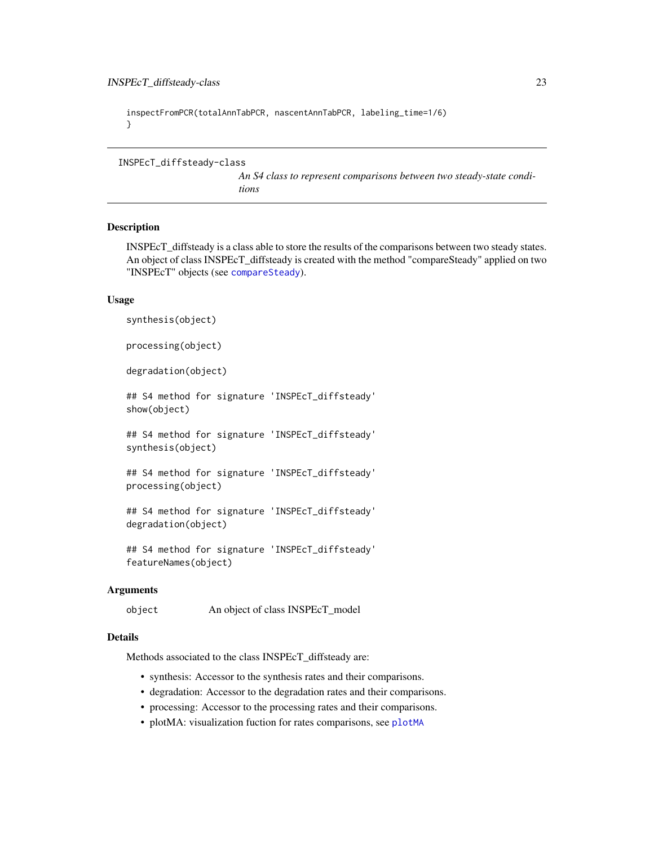```
inspectFromPCR(totalAnnTabPCR, nascentAnnTabPCR, labeling_time=1/6)
}
```
<span id="page-22-1"></span>INSPEcT\_diffsteady-class

*An S4 class to represent comparisons between two steady-state conditions*

#### Description

INSPEcT\_diffsteady is a class able to store the results of the comparisons between two steady states. An object of class INSPEcT\_diffsteady is created with the method "compareSteady" applied on two "INSPEcT" objects (see [compareSteady](#page-7-1)).

#### Usage

synthesis(object)

processing(object)

degradation(object)

## S4 method for signature 'INSPEcT\_diffsteady' show(object)

## S4 method for signature 'INSPEcT\_diffsteady' synthesis(object)

## S4 method for signature 'INSPEcT\_diffsteady' processing(object)

## S4 method for signature 'INSPEcT\_diffsteady' degradation(object)

## S4 method for signature 'INSPEcT\_diffsteady' featureNames(object)

## **Arguments**

object An object of class INSPEcT\_model

## Details

Methods associated to the class INSPEcT\_diffsteady are:

- synthesis: Accessor to the synthesis rates and their comparisons.
- degradation: Accessor to the degradation rates and their comparisons.
- processing: Accessor to the processing rates and their comparisons.
- plotMA: visualization fuction for rates comparisons, see [plotMA](#page-42-1)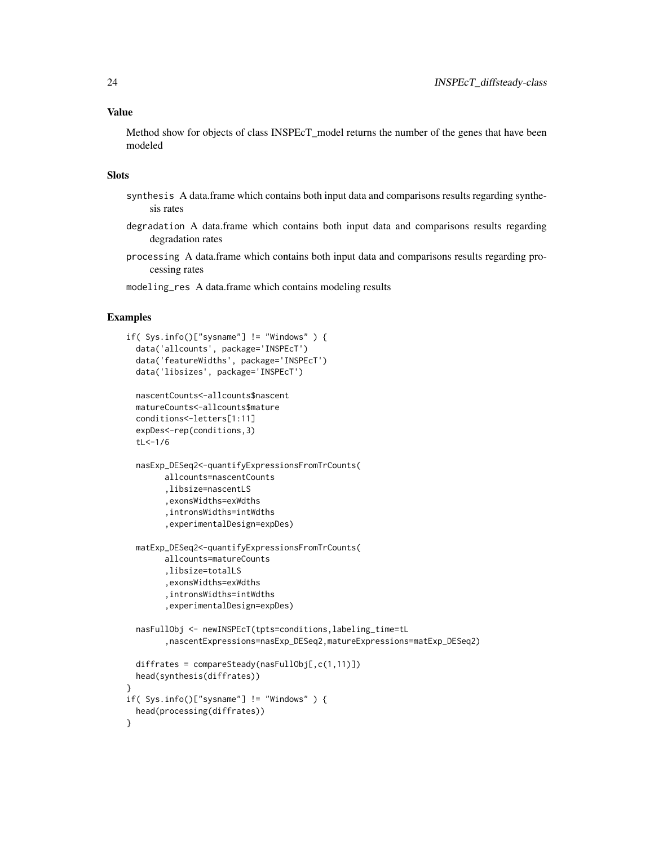Method show for objects of class INSPEcT\_model returns the number of the genes that have been modeled

## Slots

- synthesis A data.frame which contains both input data and comparisons results regarding synthesis rates
- degradation A data.frame which contains both input data and comparisons results regarding degradation rates
- processing A data.frame which contains both input data and comparisons results regarding processing rates

modeling\_res A data.frame which contains modeling results

```
if( Sys.info()["sysname"] != "Windows" ) {
 data('allcounts', package='INSPEcT')
 data('featureWidths', package='INSPEcT')
 data('libsizes', package='INSPEcT')
 nascentCounts<-allcounts$nascent
 matureCounts<-allcounts$mature
 conditions<-letters[1:11]
 expDes<-rep(conditions,3)
 tL<-1/6nasExp_DESeq2<-quantifyExpressionsFromTrCounts(
       allcounts=nascentCounts
        ,libsize=nascentLS
        ,exonsWidths=exWdths
        ,intronsWidths=intWdths
        ,experimentalDesign=expDes)
 matExp_DESeq2<-quantifyExpressionsFromTrCounts(
       allcounts=matureCounts
        ,libsize=totalLS
        ,exonsWidths=exWdths
        ,intronsWidths=intWdths
        ,experimentalDesign=expDes)
 nasFullObj <- newINSPEcT(tpts=conditions,labeling_time=tL
        ,nascentExpressions=nasExp_DESeq2,matureExpressions=matExp_DESeq2)
 diffrates = compareSteady(nasFullObj[,c(1,11)])
 head(synthesis(diffrates))
}
if( Sys.info()["sysname"] != "Windows" ) {
 head(processing(diffrates))
}
```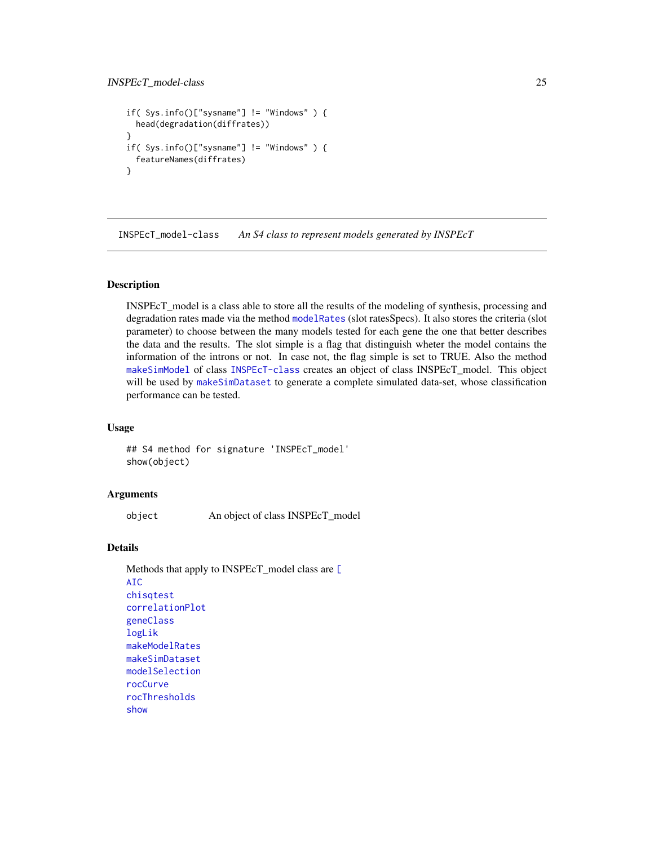```
if( Sys.info()["sysname"] != "Windows" ) {
  head(degradation(diffrates))
}
if( Sys.info()["sysname"] != "Windows" ) {
  featureNames(diffrates)
}
```
INSPEcT\_model-class *An S4 class to represent models generated by INSPEcT*

#### Description

INSPEcT\_model is a class able to store all the results of the modeling of synthesis, processing and degradation rates made via the method [modelRates](#page-35-1) (slot ratesSpecs). It also stores the criteria (slot parameter) to choose between the many models tested for each gene the one that better describes the data and the results. The slot simple is a flag that distinguish wheter the model contains the information of the introns or not. In case not, the flag simple is set to TRUE. Also the method [makeSimModel](#page-31-1) of class [INSPEcT-class](#page-17-1) creates an object of class INSPEcT\_model. This object will be used by [makeSimDataset](#page-30-1) to generate a complete simulated data-set, whose classification performance can be tested.

## Usage

## S4 method for signature 'INSPEcT\_model' show(object)

#### Arguments

object An object of class INSPEcT\_model

## Details

```
Methods that apply to INSPEcT_model class are [
AIC
chisqtest
correlationPlot
geneClass
logLik
makeModelRates
makeSimDataset
modelSelection
rocCurve
rocThresholds
show
```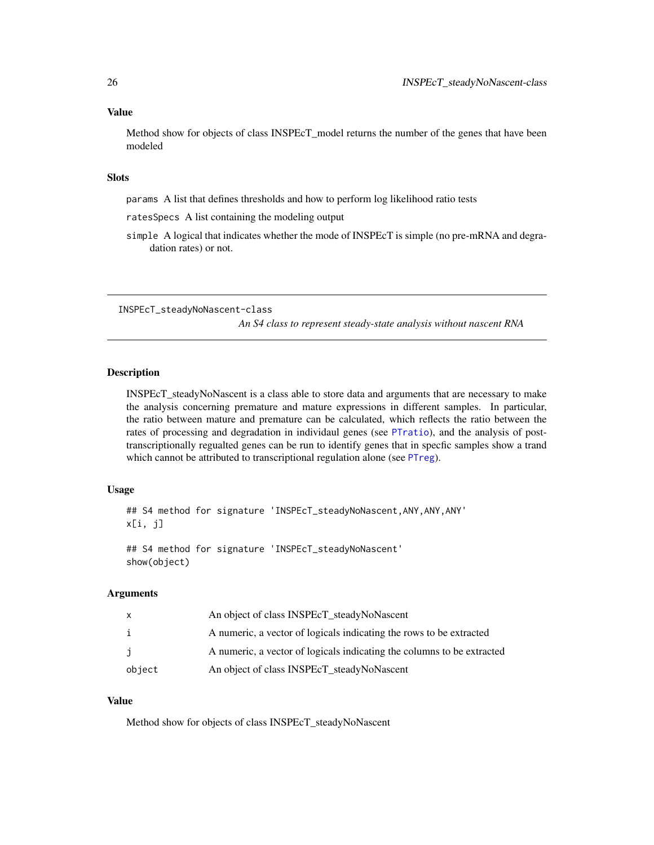#### <span id="page-25-0"></span>Value

Method show for objects of class INSPEcT\_model returns the number of the genes that have been modeled

## **Slots**

params A list that defines thresholds and how to perform log likelihood ratio tests

- ratesSpecs A list containing the modeling output
- simple A logical that indicates whether the mode of INSPEcT is simple (no pre-mRNA and degradation rates) or not.

INSPEcT\_steadyNoNascent-class

*An S4 class to represent steady-state analysis without nascent RNA*

## Description

INSPEcT\_steadyNoNascent is a class able to store data and arguments that are necessary to make the analysis concerning premature and mature expressions in different samples. In particular, the ratio between mature and premature can be calculated, which reflects the ratio between the rates of processing and degradation in individaul genes (see [PTratio](#page-47-1)), and the analysis of posttranscriptionally regualted genes can be run to identify genes that in specfic samples show a trand which cannot be attributed to transcriptional regulation alone (see [PTreg](#page-48-1)).

#### Usage

```
## S4 method for signature 'INSPEcT_steadyNoNascent, ANY, ANY, ANY'
x[i, j]
```
## S4 method for signature 'INSPEcT\_steadyNoNascent' show(object)

#### Arguments

|        | An object of class INSPEcT_steadyNoNascent                             |
|--------|------------------------------------------------------------------------|
| i      | A numeric, a vector of logicals indicating the rows to be extracted    |
| Ĵ.     | A numeric, a vector of logicals indicating the columns to be extracted |
| object | An object of class INSPEcT_steadyNoNascent                             |

#### Value

Method show for objects of class INSPEcT\_steadyNoNascent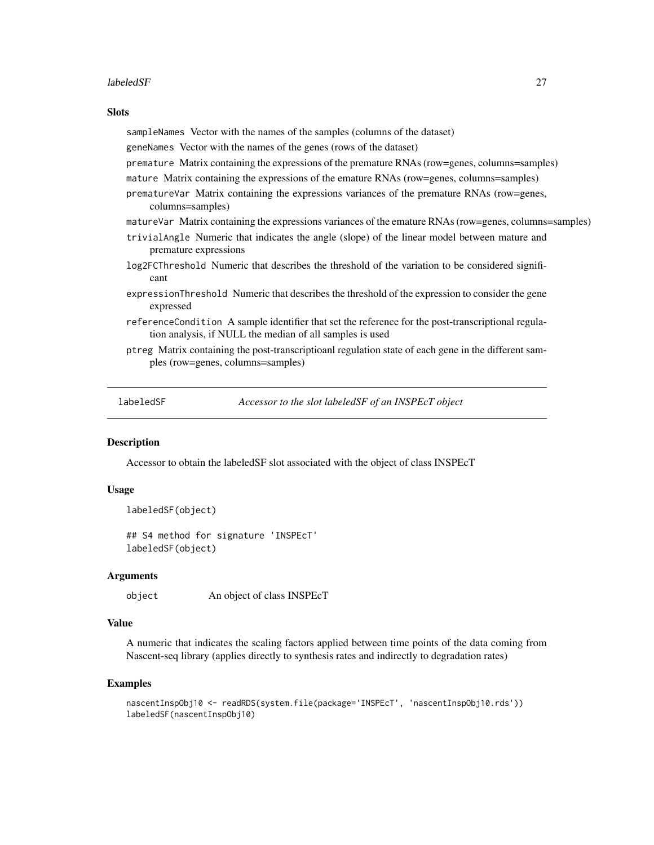#### <span id="page-26-0"></span>labeledSF 27

#### **Slots**

sampleNames Vector with the names of the samples (columns of the dataset)

geneNames Vector with the names of the genes (rows of the dataset)

- premature Matrix containing the expressions of the premature RNAs (row=genes, columns=samples)
- mature Matrix containing the expressions of the emature RNAs (row=genes, columns=samples)
- prematureVar Matrix containing the expressions variances of the premature RNAs (row=genes, columns=samples)
- matureVar Matrix containing the expressions variances of the emature RNAs (row=genes, columns=samples)
- trivialAngle Numeric that indicates the angle (slope) of the linear model between mature and premature expressions
- log2FCThreshold Numeric that describes the threshold of the variation to be considered significant
- expressionThreshold Numeric that describes the threshold of the expression to consider the gene expressed
- referenceCondition A sample identifier that set the reference for the post-transcriptional regulation analysis, if NULL the median of all samples is used
- ptreg Matrix containing the post-transcriptioanl regulation state of each gene in the different samples (row=genes, columns=samples)

<span id="page-26-1"></span>

labeledSF *Accessor to the slot labeledSF of an INSPEcT object*

#### Description

Accessor to obtain the labeledSF slot associated with the object of class INSPEcT

#### Usage

```
labeledSF(object)
## S4 method for signature 'INSPEcT'
labeledSF(object)
```
#### Arguments

object An object of class INSPEcT

## Value

A numeric that indicates the scaling factors applied between time points of the data coming from Nascent-seq library (applies directly to synthesis rates and indirectly to degradation rates)

```
nascentInspObj10 <- readRDS(system.file(package='INSPEcT', 'nascentInspObj10.rds'))
labeledSF(nascentInspObj10)
```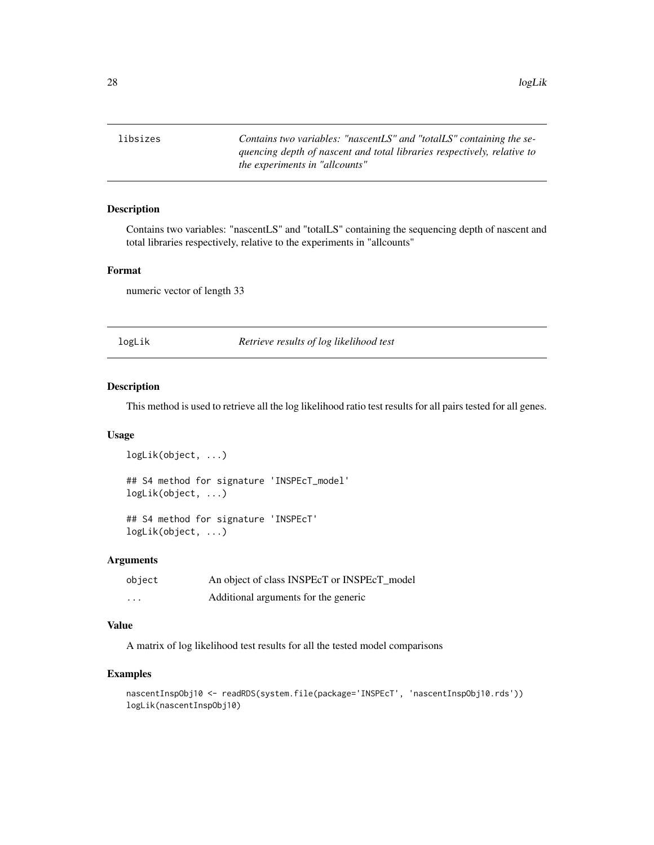<span id="page-27-0"></span>28 logLik and the contract of the contract of the contract of the contract of the contract of the contract of the contract of the contract of the contract of the contract of the contract of the contract of the contract of

libsizes *Contains two variables: "nascentLS" and "totalLS" containing the sequencing depth of nascent and total libraries respectively, relative to the experiments in "allcounts"*

#### Description

Contains two variables: "nascentLS" and "totalLS" containing the sequencing depth of nascent and total libraries respectively, relative to the experiments in "allcounts"

## Format

numeric vector of length 33

<span id="page-27-1"></span>logLik *Retrieve results of log likelihood test*

## Description

This method is used to retrieve all the log likelihood ratio test results for all pairs tested for all genes.

## Usage

```
logLik(object, ...)
## S4 method for signature 'INSPEcT_model'
logLik(object, ...)
## S4 method for signature 'INSPEcT'
```
logLik(object, ...)

#### Arguments

| object   | An object of class INSPEcT or INSPEcT model |
|----------|---------------------------------------------|
| $\cdots$ | Additional arguments for the generic        |

## Value

A matrix of log likelihood test results for all the tested model comparisons

```
nascentInspObj10 <- readRDS(system.file(package='INSPEcT', 'nascentInspObj10.rds'))
logLik(nascentInspObj10)
```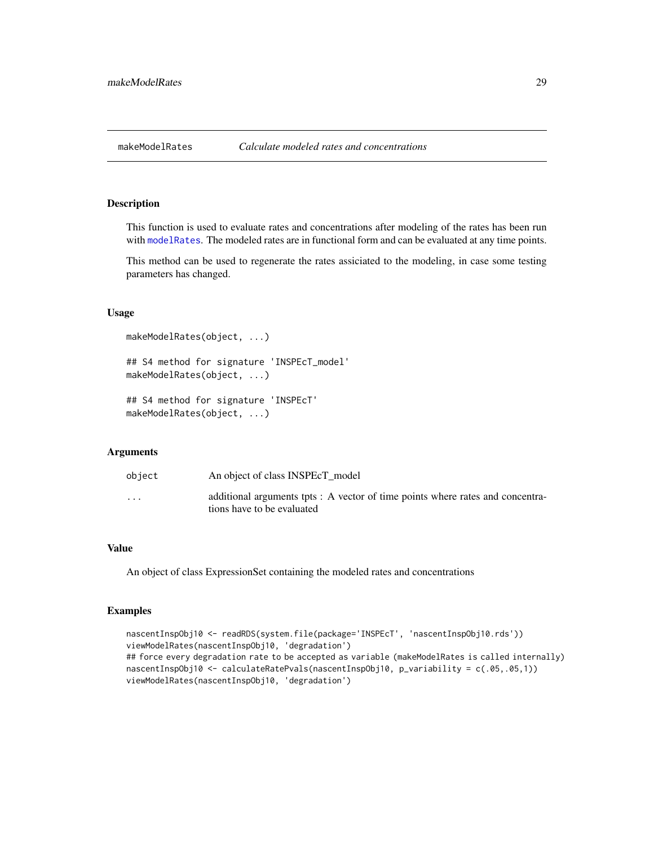#### <span id="page-28-1"></span><span id="page-28-0"></span>Description

This function is used to evaluate rates and concentrations after modeling of the rates has been run with [modelRates](#page-35-1). The modeled rates are in functional form and can be evaluated at any time points.

This method can be used to regenerate the rates assiciated to the modeling, in case some testing parameters has changed.

#### Usage

```
makeModelRates(object, ...)
## S4 method for signature 'INSPEcT_model'
makeModelRates(object, ...)
```

```
## S4 method for signature 'INSPEcT'
makeModelRates(object, ...)
```
## Arguments

| object               | An object of class INSPEcT model                                                                             |
|----------------------|--------------------------------------------------------------------------------------------------------------|
| $\ddot{\phantom{0}}$ | additional arguments tpts : A vector of time points where rates and concentra-<br>tions have to be evaluated |

#### Value

An object of class ExpressionSet containing the modeled rates and concentrations

```
nascentInspObj10 <- readRDS(system.file(package='INSPEcT', 'nascentInspObj10.rds'))
viewModelRates(nascentInspObj10, 'degradation')
## force every degradation rate to be accepted as variable (makeModelRates is called internally)
nascentInspObj10 <- calculateRatePvals(nascentInspObj10, p_variability = c(.05,.05,1))
viewModelRates(nascentInspObj10, 'degradation')
```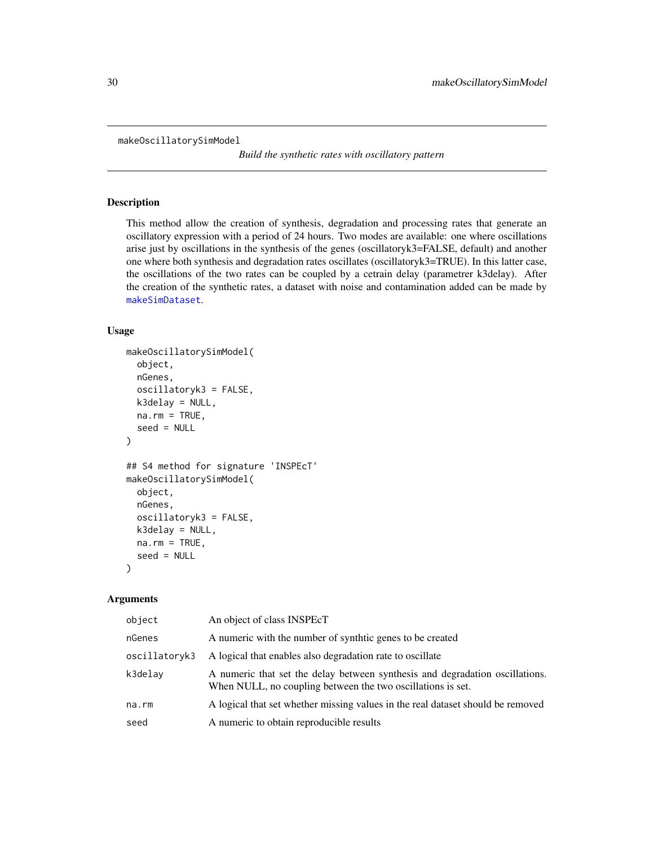```
makeOscillatorySimModel
```
*Build the synthetic rates with oscillatory pattern*

#### Description

This method allow the creation of synthesis, degradation and processing rates that generate an oscillatory expression with a period of 24 hours. Two modes are available: one where oscillations arise just by oscillations in the synthesis of the genes (oscillatoryk3=FALSE, default) and another one where both synthesis and degradation rates oscillates (oscillatoryk3=TRUE). In this latter case, the oscillations of the two rates can be coupled by a cetrain delay (parametrer k3delay). After the creation of the synthetic rates, a dataset with noise and contamination added can be made by [makeSimDataset](#page-30-1).

#### Usage

```
makeOscillatorySimModel(
 object,
 nGenes,
  oscillatoryk3 = FALSE,
 k3delay = NULL,
 na.rm = TRUE,seed = NULL
)
## S4 method for signature 'INSPEcT'
makeOscillatorySimModel(
  object,
 nGenes,
  oscillatoryk3 = FALSE,
 k3delay = NULL,
 na.rm = TRUE,seed = NULL
)
```
#### Arguments

| object        | An object of class INSPEcT                                                                                                                  |
|---------------|---------------------------------------------------------------------------------------------------------------------------------------------|
| nGenes        | A numeric with the number of synthic genes to be created                                                                                    |
| oscillatoryk3 | A logical that enables also degradation rate to oscillate                                                                                   |
| k3delay       | A numeric that set the delay between synthesis and degradation oscillations.<br>When NULL, no coupling between the two oscillations is set. |
| na.rm         | A logical that set whether missing values in the real dataset should be removed                                                             |
| seed          | A numeric to obtain reproducible results                                                                                                    |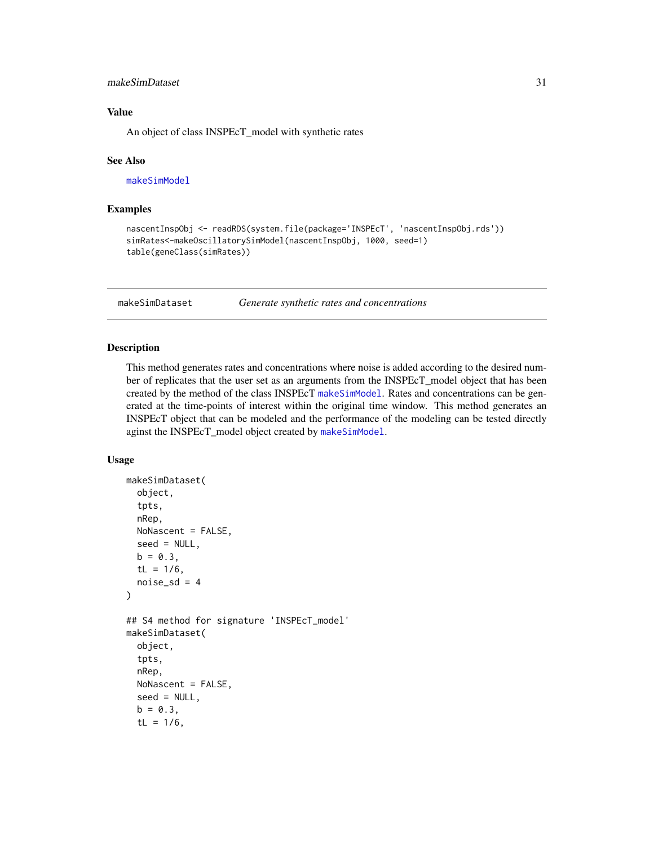## <span id="page-30-0"></span>makeSimDataset 31 and 31 and 32 and 32 and 32 and 32 and 33 and 33 and 33 and 34 and 34 and 34 and 34 and 34 and 34 and 34 and 35 and 35 and 35 and 35 and 35 and 35 and 35 and 35 and 35 and 35 and 35 and 35 and 35 and 35 a

## Value

An object of class INSPEcT\_model with synthetic rates

#### See Also

[makeSimModel](#page-31-1)

## Examples

```
nascentInspObj <- readRDS(system.file(package='INSPEcT', 'nascentInspObj.rds'))
simRates<-makeOscillatorySimModel(nascentInspObj, 1000, seed=1)
table(geneClass(simRates))
```
<span id="page-30-1"></span>makeSimDataset *Generate synthetic rates and concentrations*

## Description

This method generates rates and concentrations where noise is added according to the desired number of replicates that the user set as an arguments from the INSPEcT\_model object that has been created by the method of the class INSPEcT [makeSimModel](#page-31-1). Rates and concentrations can be generated at the time-points of interest within the original time window. This method generates an INSPEcT object that can be modeled and the performance of the modeling can be tested directly aginst the INSPEcT\_model object created by [makeSimModel](#page-31-1).

## Usage

```
makeSimDataset(
  object,
  tpts,
  nRep,
  NoNascent = FALSE,
  seed = NULL,
  b = 0.3,
  tL = 1/6,
  noise_sd = 4
)
## S4 method for signature 'INSPEcT_model'
makeSimDataset(
  object,
  tpts,
  nRep,
  NoNascent = FALSE,
  seed = NULL,
  b = 0.3,
  tL = 1/6,
```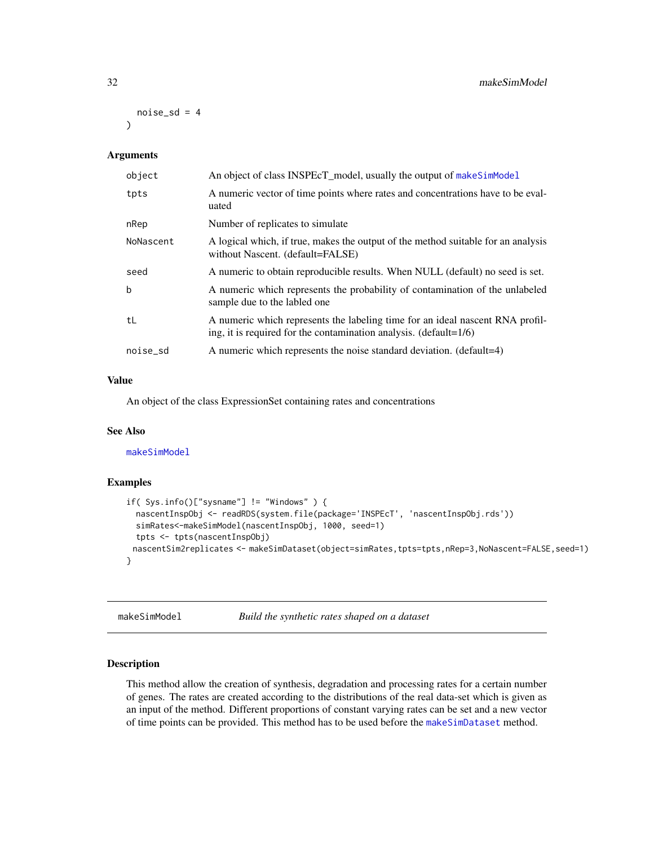```
noise_sd = 4
)
```
#### Arguments

| object    | An object of class INSPEcT_model, usually the output of makeSimModel                                                                                 |
|-----------|------------------------------------------------------------------------------------------------------------------------------------------------------|
| tpts      | A numeric vector of time points where rates and concentrations have to be eval-<br>uated                                                             |
| nRep      | Number of replicates to simulate                                                                                                                     |
| NoNascent | A logical which, if true, makes the output of the method suitable for an analysis<br>without Nascent. (default=FALSE)                                |
| seed      | A numeric to obtain reproducible results. When NULL (default) no seed is set.                                                                        |
| b         | A numeric which represents the probability of contamination of the unlabeled<br>sample due to the labled one                                         |
| tL        | A numeric which represents the labeling time for an ideal nascent RNA profil-<br>ing, it is required for the contamination analysis. $(detault=1/6)$ |
| noise_sd  | A numeric which represents the noise standard deviation. (default=4)                                                                                 |
|           |                                                                                                                                                      |

### Value

An object of the class ExpressionSet containing rates and concentrations

#### See Also

[makeSimModel](#page-31-1)

## Examples

```
if( Sys.info()["sysname"] != "Windows" ) {
  nascentInspObj <- readRDS(system.file(package='INSPEcT', 'nascentInspObj.rds'))
  simRates<-makeSimModel(nascentInspObj, 1000, seed=1)
  tpts <- tpts(nascentInspObj)
 nascentSim2replicates <- makeSimDataset(object=simRates,tpts=tpts,nRep=3,NoNascent=FALSE,seed=1)
}
```
<span id="page-31-1"></span>makeSimModel *Build the synthetic rates shaped on a dataset*

## Description

This method allow the creation of synthesis, degradation and processing rates for a certain number of genes. The rates are created according to the distributions of the real data-set which is given as an input of the method. Different proportions of constant varying rates can be set and a new vector of time points can be provided. This method has to be used before the [makeSimDataset](#page-30-1) method.

<span id="page-31-0"></span>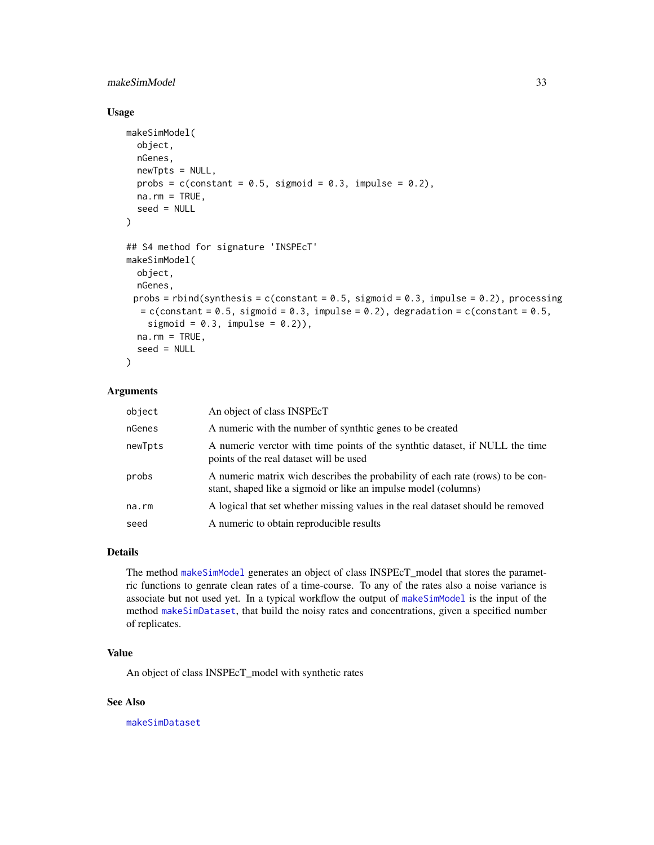## <span id="page-32-0"></span>makeSimModel 33

#### Usage

```
makeSimModel(
  object,
  nGenes,
  newTpts = NULL,
 probs = c(constant = 0.5, sigmoid = 0.3, impulse = 0.2),
 na.rm = TRUE,seed = NULL)
## S4 method for signature 'INSPEcT'
makeSimModel(
 object,
  nGenes,
 probs = rbind(synthesis = c(constant = 0.5, sigmoid = 0.3, impulse = 0.2), processing
  = c(constant = 0.5, sigmoid = 0.3, impulse = 0.2), degradation = c(constant = 0.5,
    sigmoid = 0.3, impulse = 0.2),
  na.rm = TRUE,seed = NULL
)
```
## Arguments

| object  | An object of class INSPEcT                                                                                                                        |
|---------|---------------------------------------------------------------------------------------------------------------------------------------------------|
| nGenes  | A numeric with the number of synthic genes to be created                                                                                          |
| newTpts | A numeric verctor with time points of the synthtic dataset, if NULL the time<br>points of the real dataset will be used                           |
| probs   | A numeric matrix wich describes the probability of each rate (rows) to be con-<br>stant, shaped like a sigmoid or like an impulse model (columns) |
| na.rm   | A logical that set whether missing values in the real dataset should be removed                                                                   |
| seed    | A numeric to obtain reproducible results                                                                                                          |

## Details

The method [makeSimModel](#page-31-1) generates an object of class INSPEcT\_model that stores the parametric functions to genrate clean rates of a time-course. To any of the rates also a noise variance is associate but not used yet. In a typical workflow the output of [makeSimModel](#page-31-1) is the input of the method [makeSimDataset](#page-30-1), that build the noisy rates and concentrations, given a specified number of replicates.

## Value

An object of class INSPEcT\_model with synthetic rates

## See Also

[makeSimDataset](#page-30-1)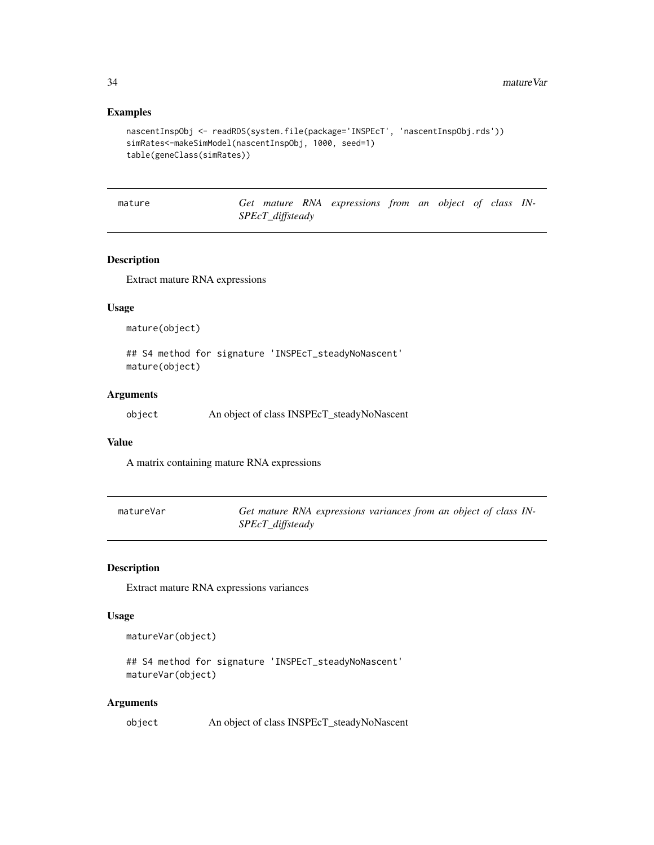#### Examples

```
nascentInspObj <- readRDS(system.file(package='INSPEcT', 'nascentInspObj.rds'))
simRates<-makeSimModel(nascentInspObj, 1000, seed=1)
table(geneClass(simRates))
```
mature *Get mature RNA expressions from an object of class IN-SPEcT\_diffsteady*

## Description

Extract mature RNA expressions

#### Usage

mature(object)

## S4 method for signature 'INSPEcT\_steadyNoNascent' mature(object)

## Arguments

object An object of class INSPEcT\_steadyNoNascent

#### Value

A matrix containing mature RNA expressions

| matureVar | Get mature RNA expressions variances from an object of class IN- |  |  |  |
|-----------|------------------------------------------------------------------|--|--|--|
|           | SPEcT_diffsteady                                                 |  |  |  |

#### Description

Extract mature RNA expressions variances

## Usage

```
matureVar(object)
```
## S4 method for signature 'INSPEcT\_steadyNoNascent' matureVar(object)

#### Arguments

```
object An object of class INSPEcT_steadyNoNascent
```
<span id="page-33-0"></span>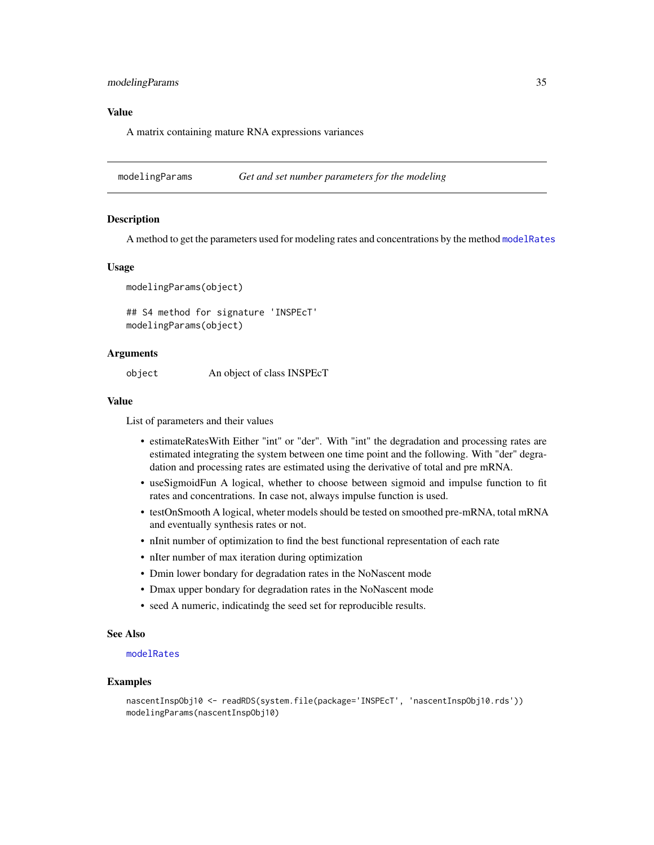## <span id="page-34-0"></span>modelingParams 35

## Value

A matrix containing mature RNA expressions variances

<span id="page-34-1"></span>modelingParams *Get and set number parameters for the modeling*

#### Description

A method to get the parameters used for modeling rates and concentrations by the method [modelRates](#page-35-1)

#### Usage

```
modelingParams(object)
```
## S4 method for signature 'INSPEcT' modelingParams(object)

#### Arguments

object An object of class INSPEcT

#### Value

List of parameters and their values

- estimateRatesWith Either "int" or "der". With "int" the degradation and processing rates are estimated integrating the system between one time point and the following. With "der" degradation and processing rates are estimated using the derivative of total and pre mRNA.
- useSigmoidFun A logical, whether to choose between sigmoid and impulse function to fit rates and concentrations. In case not, always impulse function is used.
- testOnSmooth A logical, wheter models should be tested on smoothed pre-mRNA, total mRNA and eventually synthesis rates or not.
- nInit number of optimization to find the best functional representation of each rate
- nIter number of max iteration during optimization
- Dmin lower bondary for degradation rates in the NoNascent mode
- Dmax upper bondary for degradation rates in the NoNascent mode
- seed A numeric, indicatindg the seed set for reproducible results.

#### See Also

#### [modelRates](#page-35-1)

```
nascentInspObj10 <- readRDS(system.file(package='INSPEcT', 'nascentInspObj10.rds'))
modelingParams(nascentInspObj10)
```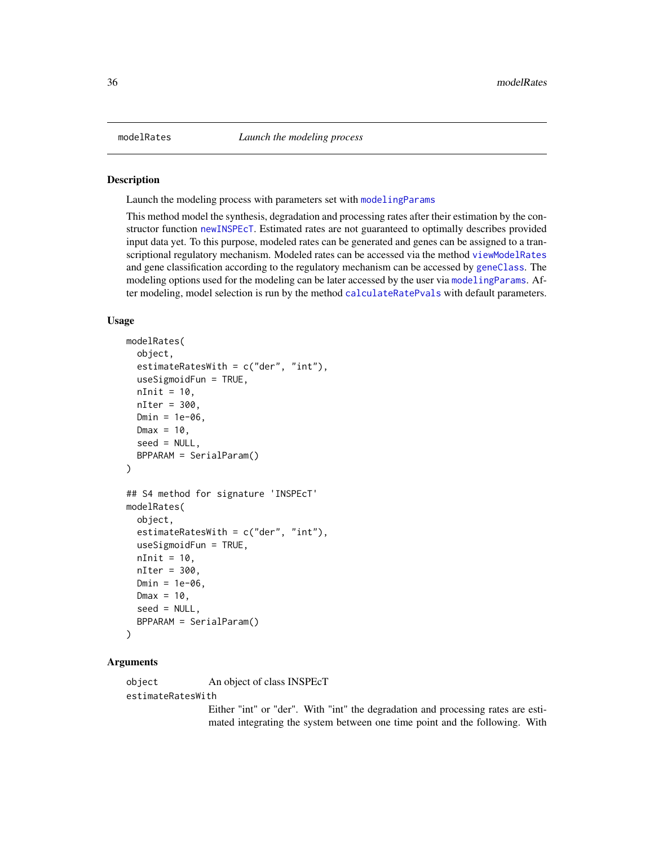#### **Description**

Launch the modeling process with parameters set with [modelingParams](#page-34-1)

This method model the synthesis, degradation and processing rates after their estimation by the constructor function [newINSPEcT](#page-38-1). Estimated rates are not guaranteed to optimally describes provided input data yet. To this purpose, modeled rates can be generated and genes can be assigned to a transcriptional regulatory mechanism. Modeled rates can be accessed via the method [viewModelRates](#page-64-1) and gene classification according to the regulatory mechanism can be accessed by [geneClass](#page-14-1). The modeling options used for the modeling can be later accessed by the user via [modelingParams](#page-34-1). After modeling, model selection is run by the method [calculateRatePvals](#page-3-1) with default parameters.

#### Usage

```
modelRates(
  object,
  estimateRatesWith = c("der", "int"),
  useSigmoidFun = TRUE,
  nInit = 10,
  nIter = 300,
  Dmin = 1e-06,
 Dmax = 10,
  seed = NULL,
  BPPARAM = SerialParam()
)
## S4 method for signature 'INSPEcT'
modelRates(
  object,
  estimateRatesWith = c("der", "int"),
  useSigmoidFun = TRUE,
  nInit = 10,
  nIter = 300,Dmin = 1e-06.
  Dmax = 10,
  seed = NULL,
  BPPARAM = SerialParam()
)
```
## Arguments

object An object of class INSPEcT estimateRatesWith

> Either "int" or "der". With "int" the degradation and processing rates are estimated integrating the system between one time point and the following. With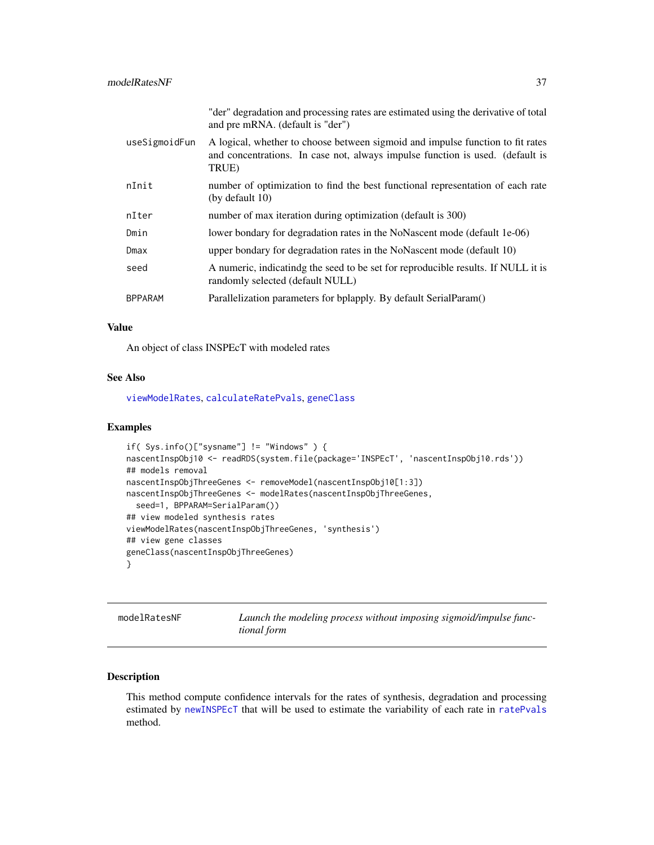<span id="page-36-0"></span>

|                | "der" degradation and processing rates are estimated using the derivative of total<br>and pre mRNA. (default is "der")                                                   |
|----------------|--------------------------------------------------------------------------------------------------------------------------------------------------------------------------|
| useSigmoidFun  | A logical, whether to choose between sigmoid and impulse function to fit rates<br>and concentrations. In case not, always impulse function is used. (default is<br>TRUE) |
| nInit          | number of optimization to find the best functional representation of each rate<br>(by default $10$ )                                                                     |
| nIter          | number of max iteration during optimization (default is 300)                                                                                                             |
| Dmin           | lower bondary for degradation rates in the NoNascent mode (default 1e-06)                                                                                                |
| Dmax           | upper bondary for degradation rates in the NoNascent mode (default 10)                                                                                                   |
| seed           | A numeric, indicating the seed to be set for reproducible results. If NULL it is<br>randomly selected (default NULL)                                                     |
| <b>BPPARAM</b> | Parallelization parameters for bplapply. By default SerialParam()                                                                                                        |

#### Value

An object of class INSPEcT with modeled rates

#### See Also

[viewModelRates](#page-64-1), [calculateRatePvals](#page-3-1), [geneClass](#page-14-1)

#### Examples

```
if( Sys.info()["sysname"] != "Windows" ) {
nascentInspObj10 <- readRDS(system.file(package='INSPEcT', 'nascentInspObj10.rds'))
## models removal
nascentInspObjThreeGenes <- removeModel(nascentInspObj10[1:3])
nascentInspObjThreeGenes <- modelRates(nascentInspObjThreeGenes,
  seed=1, BPPARAM=SerialParam())
## view modeled synthesis rates
viewModelRates(nascentInspObjThreeGenes, 'synthesis')
## view gene classes
geneClass(nascentInspObjThreeGenes)
}
```
<span id="page-36-1"></span>

| modelRatesNF | Launch the modeling process without imposing sigmoid/impulse func- |
|--------------|--------------------------------------------------------------------|
|              | <i>tional</i> form                                                 |

## Description

This method compute confidence intervals for the rates of synthesis, degradation and processing estimated by [newINSPEcT](#page-38-1) that will be used to estimate the variability of each rate in [ratePvals](#page-54-1) method.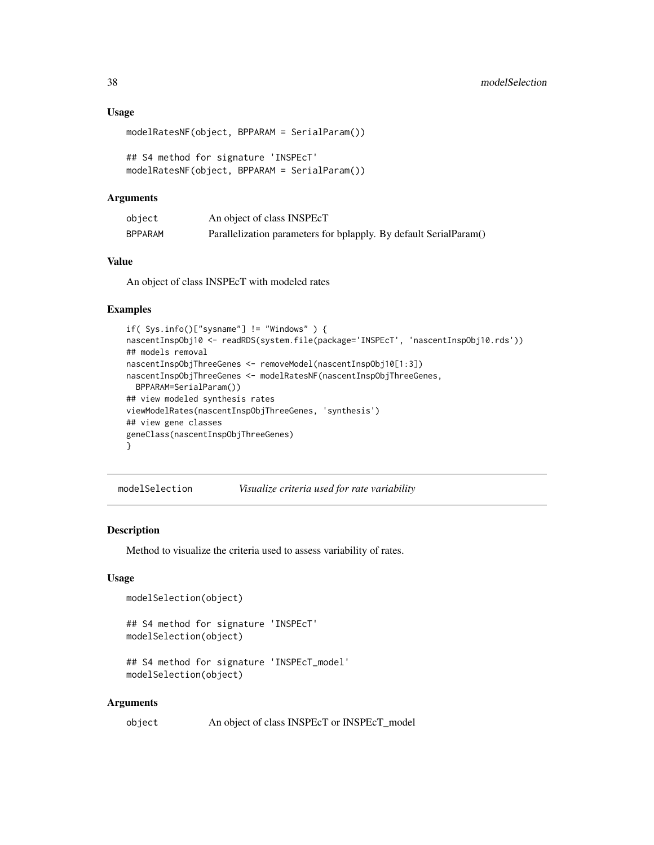#### Usage

```
modelRatesNF(object, BPPARAM = SerialParam())
```

```
## S4 method for signature 'INSPEcT'
modelRatesNF(object, BPPARAM = SerialParam())
```
#### Arguments

| object         | An object of class INSPEcT                                        |
|----------------|-------------------------------------------------------------------|
| <b>BPPARAM</b> | Parallelization parameters for bplapply. By default SerialParam() |

#### Value

An object of class INSPEcT with modeled rates

## Examples

```
if( Sys.info()["sysname"] != "Windows" ) {
nascentInspObj10 <- readRDS(system.file(package='INSPEcT', 'nascentInspObj10.rds'))
## models removal
nascentInspObjThreeGenes <- removeModel(nascentInspObj10[1:3])
nascentInspObjThreeGenes <- modelRatesNF(nascentInspObjThreeGenes,
  BPPARAM=SerialParam())
## view modeled synthesis rates
viewModelRates(nascentInspObjThreeGenes, 'synthesis')
## view gene classes
geneClass(nascentInspObjThreeGenes)
}
```
<span id="page-37-1"></span>modelSelection *Visualize criteria used for rate variability*

#### Description

Method to visualize the criteria used to assess variability of rates.

## Usage

```
modelSelection(object)
```

```
## S4 method for signature 'INSPEcT'
modelSelection(object)
```

```
## S4 method for signature 'INSPEcT_model'
modelSelection(object)
```
#### Arguments

```
object An object of class INSPEcT or INSPEcT_model
```
<span id="page-37-0"></span>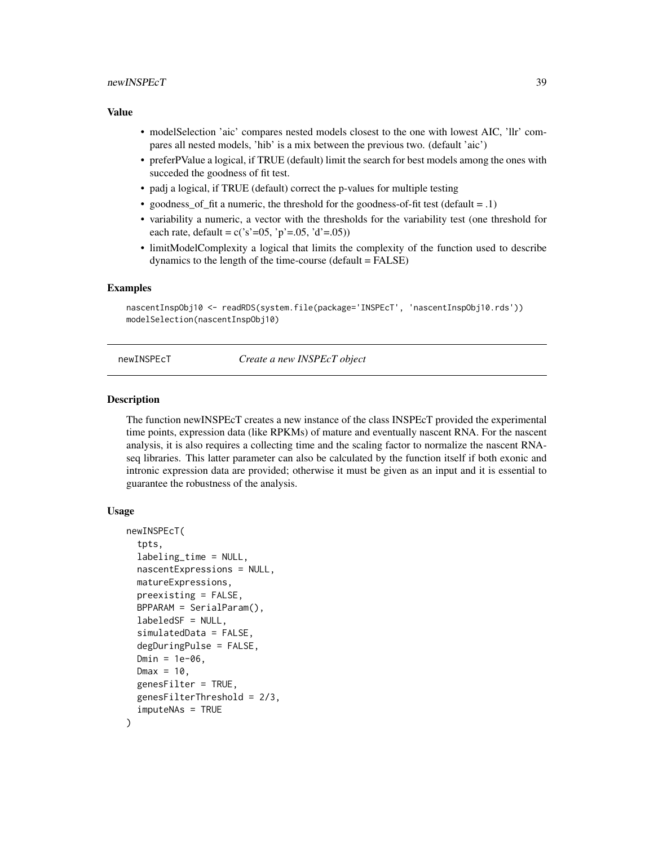## <span id="page-38-0"></span>newINSPEcT 39

#### Value

- modelSelection 'aic' compares nested models closest to the one with lowest AIC, 'llr' compares all nested models, 'hib' is a mix between the previous two. (default 'aic')
- preferPValue a logical, if TRUE (default) limit the search for best models among the ones with succeded the goodness of fit test.
- padj a logical, if TRUE (default) correct the p-values for multiple testing
- goodness\_of\_fit a numeric, the threshold for the goodness-of-fit test (default = .1)
- variability a numeric, a vector with the thresholds for the variability test (one threshold for each rate, default =  $c('s'=05, 'p'=05, 'd'=05))$
- limitModelComplexity a logical that limits the complexity of the function used to describe dynamics to the length of the time-course (default = FALSE)

#### Examples

```
nascentInspObj10 <- readRDS(system.file(package='INSPEcT', 'nascentInspObj10.rds'))
modelSelection(nascentInspObj10)
```
<span id="page-38-1"></span>newINSPEcT *Create a new INSPEcT object*

#### **Description**

The function newINSPEcT creates a new instance of the class INSPEcT provided the experimental time points, expression data (like RPKMs) of mature and eventually nascent RNA. For the nascent analysis, it is also requires a collecting time and the scaling factor to normalize the nascent RNAseq libraries. This latter parameter can also be calculated by the function itself if both exonic and intronic expression data are provided; otherwise it must be given as an input and it is essential to guarantee the robustness of the analysis.

#### Usage

```
newINSPEcT(
  tpts,
  labeling_time = NULL,
  nascentExpressions = NULL,
  matureExpressions,
 preexisting = FALSE,
 BPPARAM = SerialParam(),
  labeledSF = NULL,
  simulatedData = FALSE,
  degDuringPulse = FALSE,
  Dmin = 1e-06,
  Dmax = 10,
  genesFilter = TRUE,
  genesFilterThreshold = 2/3,
  imputeNAs = TRUE
)
```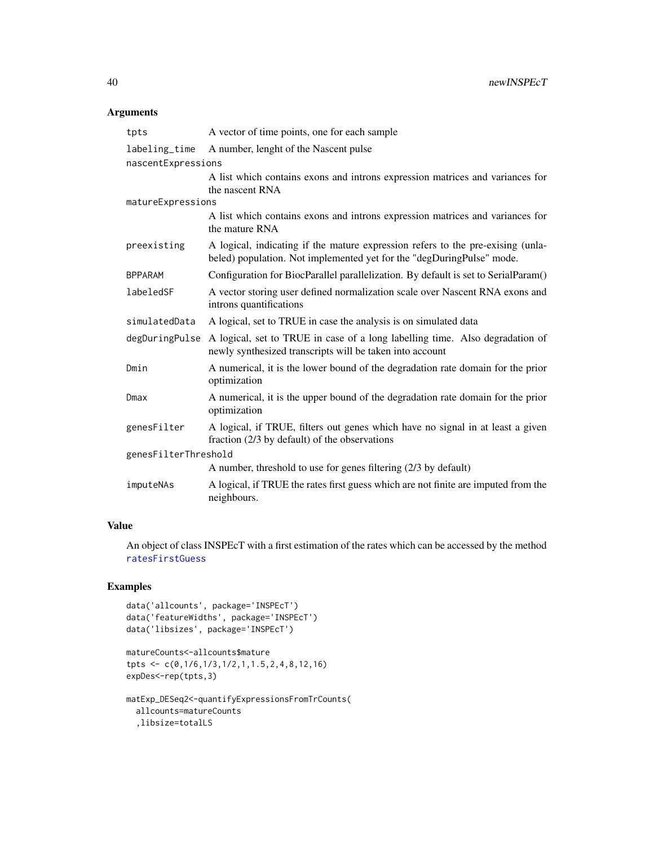## <span id="page-39-0"></span>Arguments

| tpts                 | A vector of time points, one for each sample                                                                                                             |  |  |
|----------------------|----------------------------------------------------------------------------------------------------------------------------------------------------------|--|--|
| labeling_time        | A number, lenght of the Nascent pulse                                                                                                                    |  |  |
| nascentExpressions   |                                                                                                                                                          |  |  |
|                      | A list which contains exons and introns expression matrices and variances for<br>the nascent RNA                                                         |  |  |
| matureExpressions    |                                                                                                                                                          |  |  |
|                      | A list which contains exons and introns expression matrices and variances for<br>the mature RNA                                                          |  |  |
| preexisting          | A logical, indicating if the mature expression refers to the pre-exising (unla-<br>beled) population. Not implemented yet for the "degDuringPulse" mode. |  |  |
| <b>BPPARAM</b>       | Configuration for BiocParallel parallelization. By default is set to SerialParam()                                                                       |  |  |
| labeledSF            | A vector storing user defined normalization scale over Nascent RNA exons and<br>introns quantifications                                                  |  |  |
| simulatedData        | A logical, set to TRUE in case the analysis is on simulated data                                                                                         |  |  |
| degDuringPulse       | A logical, set to TRUE in case of a long labelling time. Also degradation of<br>newly synthesized transcripts will be taken into account                 |  |  |
| Dmin                 | A numerical, it is the lower bound of the degradation rate domain for the prior<br>optimization                                                          |  |  |
| Dmax                 | A numerical, it is the upper bound of the degradation rate domain for the prior<br>optimization                                                          |  |  |
| genesFilter          | A logical, if TRUE, filters out genes which have no signal in at least a given<br>fraction (2/3 by default) of the observations                          |  |  |
| genesFilterThreshold |                                                                                                                                                          |  |  |
|                      | A number, threshold to use for genes filtering (2/3 by default)                                                                                          |  |  |
| imputeNAs            | A logical, if TRUE the rates first guess which are not finite are imputed from the<br>neighbours.                                                        |  |  |

## Value

An object of class INSPEcT with a first estimation of the rates which can be accessed by the method [ratesFirstGuess](#page-55-1)

```
data('allcounts', package='INSPEcT')
data('featureWidths', package='INSPEcT')
data('libsizes', package='INSPEcT')
```

```
matureCounts<-allcounts$mature
tpts <- c(0,1/6,1/3,1/2,1,1.5,2,4,8,12,16)
expDes<-rep(tpts,3)
```

```
matExp_DESeq2<-quantifyExpressionsFromTrCounts(
  allcounts=matureCounts
  ,libsize=totalLS
```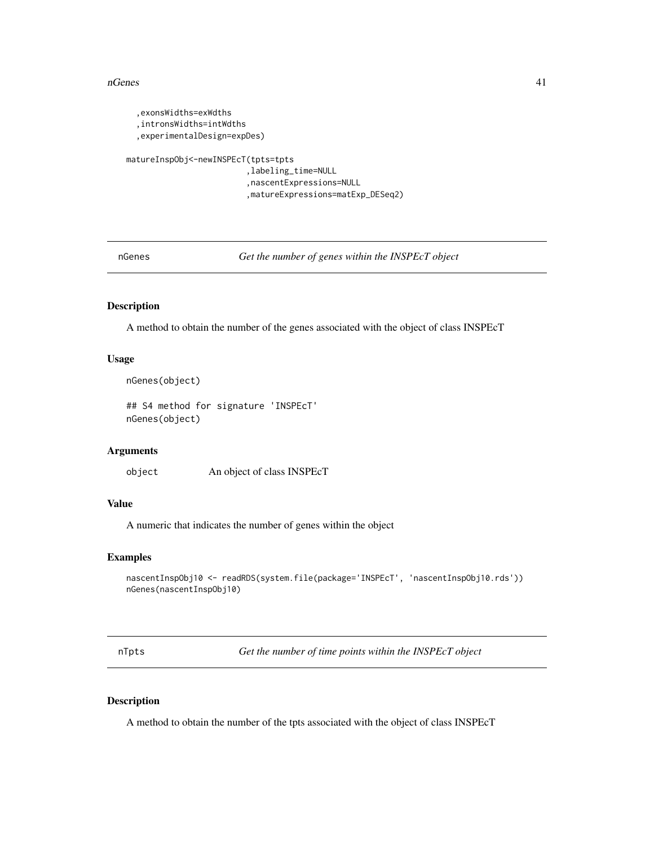#### <span id="page-40-0"></span>nGenes 41

```
,exonsWidths=exWdths
  ,intronsWidths=intWdths
  ,experimentalDesign=expDes)
matureInspObj<-newINSPEcT(tpts=tpts
                         ,labeling_time=NULL
                         ,nascentExpressions=NULL
                         ,matureExpressions=matExp_DESeq2)
```
<span id="page-40-1"></span>nGenes *Get the number of genes within the INSPEcT object*

## Description

A method to obtain the number of the genes associated with the object of class INSPEcT

## Usage

```
nGenes(object)
```

```
## S4 method for signature 'INSPEcT'
nGenes(object)
```
## Arguments

object An object of class INSPEcT

## Value

A numeric that indicates the number of genes within the object

## Examples

```
nascentInspObj10 <- readRDS(system.file(package='INSPEcT', 'nascentInspObj10.rds'))
nGenes(nascentInspObj10)
```
<span id="page-40-2"></span>nTpts *Get the number of time points within the INSPEcT object*

#### Description

A method to obtain the number of the tpts associated with the object of class INSPEcT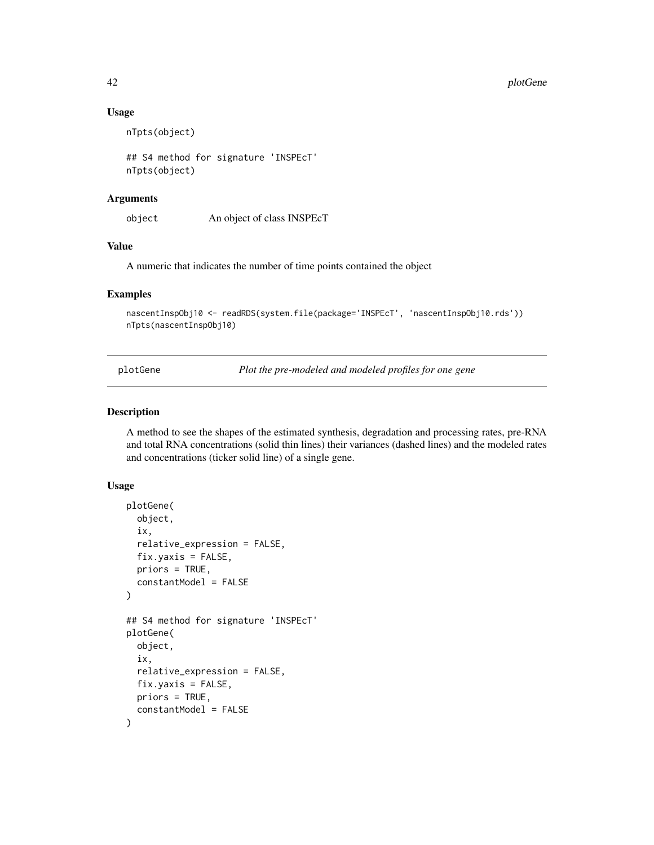#### Usage

nTpts(object)

## S4 method for signature 'INSPEcT' nTpts(object)

#### Arguments

object An object of class INSPEcT

## Value

A numeric that indicates the number of time points contained the object

#### Examples

```
nascentInspObj10 <- readRDS(system.file(package='INSPEcT', 'nascentInspObj10.rds'))
nTpts(nascentInspObj10)
```
<span id="page-41-1"></span>plotGene *Plot the pre-modeled and modeled profiles for one gene*

## Description

A method to see the shapes of the estimated synthesis, degradation and processing rates, pre-RNA and total RNA concentrations (solid thin lines) their variances (dashed lines) and the modeled rates and concentrations (ticker solid line) of a single gene.

#### Usage

```
plotGene(
  object,
  ix,
  relative_expression = FALSE,
  fix.yaxis = FALSE,
  priors = TRUE,
  constantModel = FALSE
)
## S4 method for signature 'INSPEcT'
plotGene(
  object,
  ix,
  relative_expression = FALSE,
  fix.yaxis = FALSE,
  priors = TRUE,
  constantModel = FALSE
)
```
<span id="page-41-0"></span>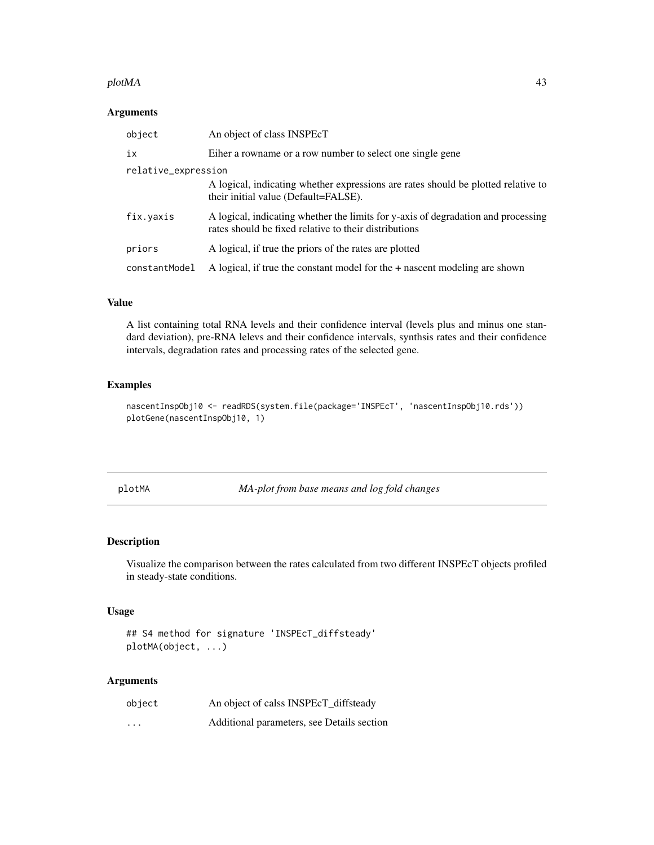#### <span id="page-42-0"></span>plotMA and the set of the set of the set of the set of the set of the set of the set of the set of the set of the set of the set of the set of the set of the set of the set of the set of the set of the set of the set of th

## Arguments

| object              | An object of class INSPEcT                                                                                                                 |
|---------------------|--------------------------------------------------------------------------------------------------------------------------------------------|
| iх                  | Eiher a rowname or a row number to select one single gene                                                                                  |
| relative_expression |                                                                                                                                            |
|                     | A logical, indicating whether expressions are rates should be plotted relative to<br>their initial value (Default=FALSE).                  |
| fix.yaxis           | A logical, indicating whether the limits for y-axis of degradation and processing<br>rates should be fixed relative to their distributions |
| priors              | A logical, if true the priors of the rates are plotted                                                                                     |
| constantModel       | A logical, if true the constant model for the + nascent modeling are shown                                                                 |

## Value

A list containing total RNA levels and their confidence interval (levels plus and minus one standard deviation), pre-RNA lelevs and their confidence intervals, synthsis rates and their confidence intervals, degradation rates and processing rates of the selected gene.

#### Examples

```
nascentInspObj10 <- readRDS(system.file(package='INSPEcT', 'nascentInspObj10.rds'))
plotGene(nascentInspObj10, 1)
```
<span id="page-42-1"></span>plotMA *MA-plot from base means and log fold changes*

## Description

Visualize the comparison between the rates calculated from two different INSPEcT objects profiled in steady-state conditions.

#### Usage

```
## S4 method for signature 'INSPEcT_diffsteady'
plotMA(object, ...)
```
## Arguments

| object   | An object of calss INSPEcT diffsteady      |
|----------|--------------------------------------------|
| $\cdots$ | Additional parameters, see Details section |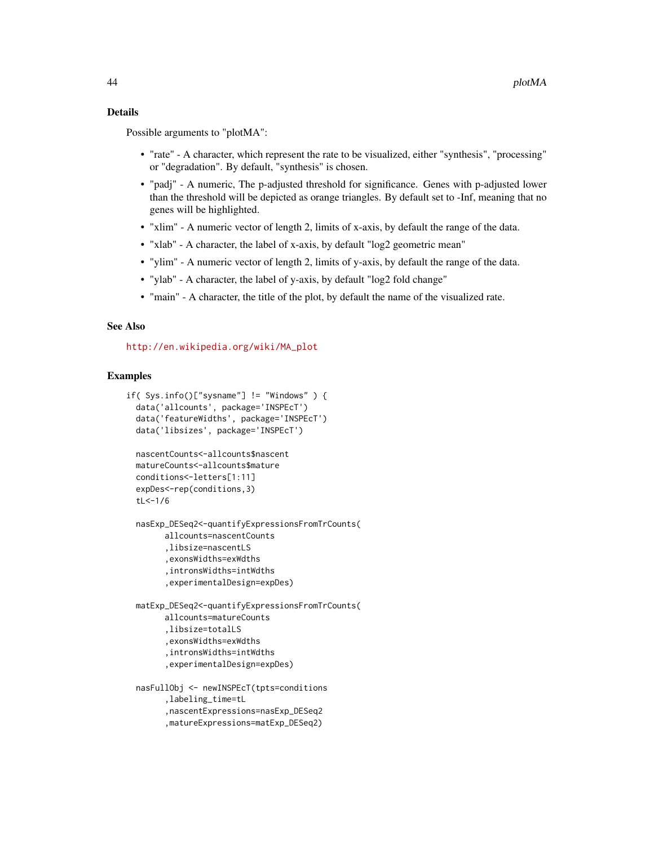## Details

Possible arguments to "plotMA":

- "rate" A character, which represent the rate to be visualized, either "synthesis", "processing" or "degradation". By default, "synthesis" is chosen.
- "padj" A numeric, The p-adjusted threshold for significance. Genes with p-adjusted lower than the threshold will be depicted as orange triangles. By default set to -Inf, meaning that no genes will be highlighted.
- "xlim" A numeric vector of length 2, limits of x-axis, by default the range of the data.
- "xlab" A character, the label of x-axis, by default "log2 geometric mean"
- "ylim" A numeric vector of length 2, limits of y-axis, by default the range of the data.
- "ylab" A character, the label of y-axis, by default "log2 fold change"
- "main" A character, the title of the plot, by default the name of the visualized rate.

#### See Also

[http://en.wikipedia.org/wiki/MA\\_plot](http://en.wikipedia.org/wiki/MA_plot)

```
if( Sys.info()["sysname"] != "Windows" ) {
 data('allcounts', package='INSPEcT')
 data('featureWidths', package='INSPEcT')
 data('libsizes', package='INSPEcT')
 nascentCounts<-allcounts$nascent
 matureCounts<-allcounts$mature
 conditions<-letters[1:11]
 expDes<-rep(conditions,3)
 tL<-1/6nasExp_DESeq2<-quantifyExpressionsFromTrCounts(
        allcounts=nascentCounts
        ,libsize=nascentLS
        ,exonsWidths=exWdths
        ,intronsWidths=intWdths
        ,experimentalDesign=expDes)
 matExp_DESeq2<-quantifyExpressionsFromTrCounts(
       allcounts=matureCounts
        ,libsize=totalLS
        ,exonsWidths=exWdths
        ,intronsWidths=intWdths
        ,experimentalDesign=expDes)
 nasFullObj <- newINSPEcT(tpts=conditions
        ,labeling_time=tL
        ,nascentExpressions=nasExp_DESeq2
        ,matureExpressions=matExp_DESeq2)
```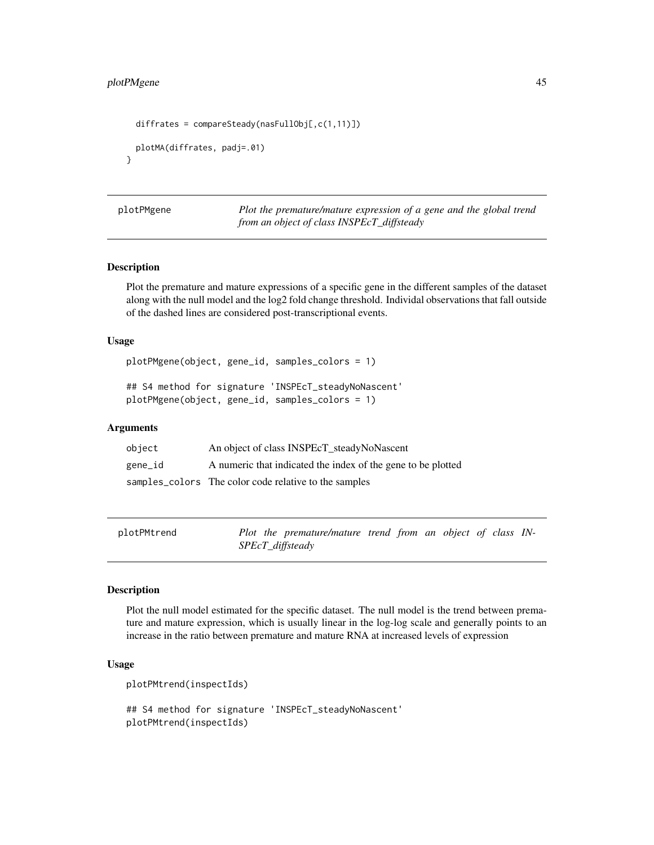## <span id="page-44-0"></span>plotPMgene 45

```
diffrates = compareSteady(nasFullObj[,c(1,11)]plotMA(diffrates, padj=.01)
}
```
plotPMgene *Plot the premature/mature expression of a gene and the global trend from an object of class INSPEcT\_diffsteady*

## Description

Plot the premature and mature expressions of a specific gene in the different samples of the dataset along with the null model and the log2 fold change threshold. Individal observations that fall outside of the dashed lines are considered post-transcriptional events.

#### Usage

plotPMgene(object, gene\_id, samples\_colors = 1)

## S4 method for signature 'INSPEcT\_steadyNoNascent' plotPMgene(object, gene\_id, samples\_colors = 1)

#### Arguments

| object  | An object of class INSPEcT_steadyNoNascent                   |
|---------|--------------------------------------------------------------|
| gene_id | A numeric that indicated the index of the gene to be plotted |
|         | samples_colors The color code relative to the samples        |

| plotPMtrend | Plot the premature/mature trend from an object of class IN- |  |  |  |
|-------------|-------------------------------------------------------------|--|--|--|
|             | SPEcT_diffsteady                                            |  |  |  |

## Description

Plot the null model estimated for the specific dataset. The null model is the trend between premature and mature expression, which is usually linear in the log-log scale and generally points to an increase in the ratio between premature and mature RNA at increased levels of expression

#### Usage

```
plotPMtrend(inspectIds)
```

```
## S4 method for signature 'INSPEcT_steadyNoNascent'
plotPMtrend(inspectIds)
```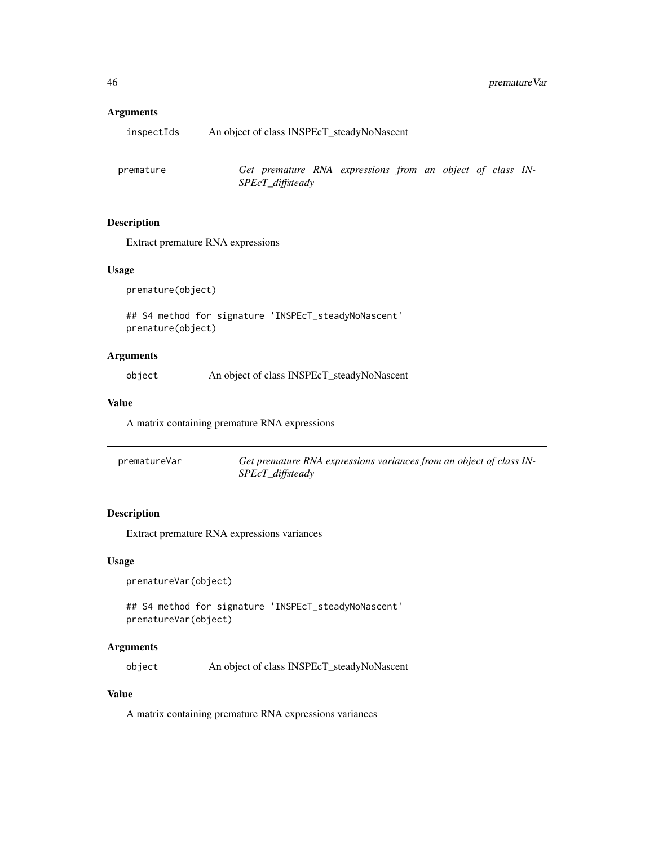#### Arguments

| inspectIds | An object of class INSPEcT_steadyNoNascent |
|------------|--------------------------------------------|
|            |                                            |

premature *Get premature RNA expressions from an object of class IN-SPEcT\_diffsteady*

## Description

Extract premature RNA expressions

#### Usage

premature(object)

## S4 method for signature 'INSPEcT\_steadyNoNascent' premature(object)

## Arguments

object An object of class INSPEcT\_steadyNoNascent

#### Value

A matrix containing premature RNA expressions

| prematureVar | Get premature RNA expressions variances from an object of class IN- |
|--------------|---------------------------------------------------------------------|
|              | SPEcT_diffsteady                                                    |

## Description

Extract premature RNA expressions variances

#### Usage

```
prematureVar(object)
```
## S4 method for signature 'INSPEcT\_steadyNoNascent' prematureVar(object)

#### Arguments

object An object of class INSPEcT\_steadyNoNascent

## Value

A matrix containing premature RNA expressions variances

<span id="page-45-0"></span>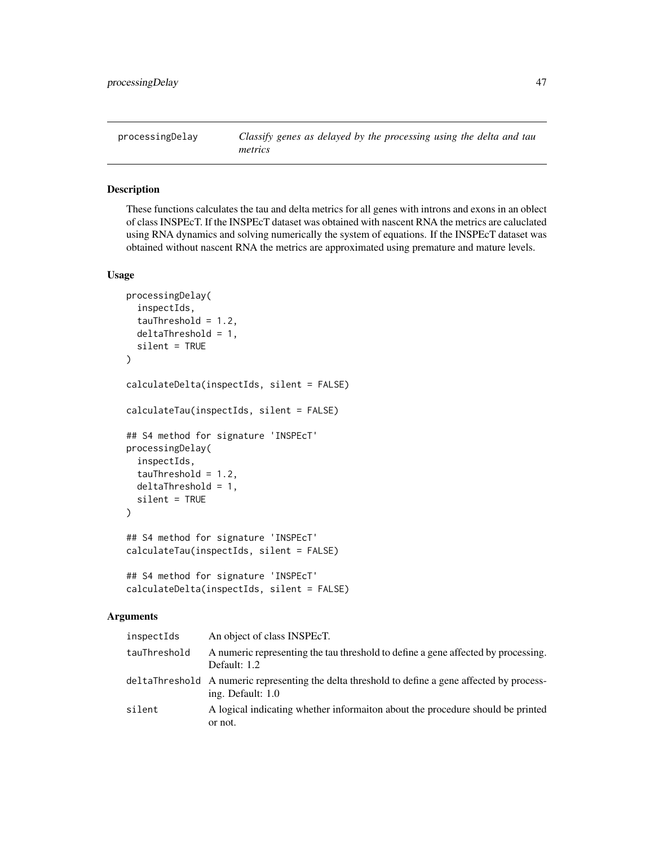<span id="page-46-2"></span><span id="page-46-0"></span>

## <span id="page-46-1"></span>Description

These functions calculates the tau and delta metrics for all genes with introns and exons in an oblect of class INSPEcT. If the INSPEcT dataset was obtained with nascent RNA the metrics are caluclated using RNA dynamics and solving numerically the system of equations. If the INSPEcT dataset was obtained without nascent RNA the metrics are approximated using premature and mature levels.

## Usage

```
processingDelay(
  inspectIds,
  tauFreshold = 1.2,
  deltaThreshold = 1,
  silent = TRUE
)
calculateDelta(inspectIds, silent = FALSE)
calculateTau(inspectIds, silent = FALSE)
## S4 method for signature 'INSPEcT'
processingDelay(
  inspectIds,
  tauThreshold = 1.2,
  deltaThreshold = 1,
  silent = TRUE
\lambda## S4 method for signature 'INSPEcT'
calculateTau(inspectIds, silent = FALSE)
## S4 method for signature 'INSPEcT'
calculateDelta(inspectIds, silent = FALSE)
```
#### Arguments

| inspectIds   | An object of class INSPEcT.                                                                                          |
|--------------|----------------------------------------------------------------------------------------------------------------------|
| tauThreshold | A numeric representing the tau threshold to define a gene affected by processing.<br>Default: 1.2                    |
|              | deltaThreshold A numeric representing the delta threshold to define a gene affected by process-<br>ing. Default: 1.0 |
| silent       | A logical indicating whether information about the procedure should be printed<br>or not.                            |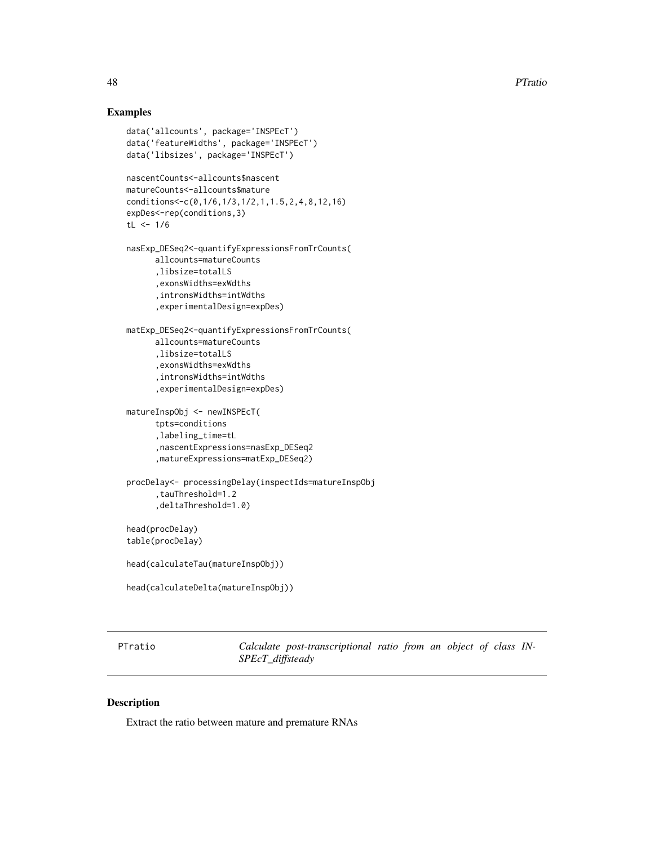## <span id="page-47-0"></span>Examples

```
data('allcounts', package='INSPEcT')
data('featureWidths', package='INSPEcT')
data('libsizes', package='INSPEcT')
nascentCounts<-allcounts$nascent
matureCounts<-allcounts$mature
conditions<-c(0,1/6,1/3,1/2,1,1.5,2,4,8,12,16)
expDes<-rep(conditions,3)
tL < -1/6nasExp_DESeq2<-quantifyExpressionsFromTrCounts(
     allcounts=matureCounts
      ,libsize=totalLS
      ,exonsWidths=exWdths
      ,intronsWidths=intWdths
      ,experimentalDesign=expDes)
matExp_DESeq2<-quantifyExpressionsFromTrCounts(
     allcounts=matureCounts
      ,libsize=totalLS
      ,exonsWidths=exWdths
      ,intronsWidths=intWdths
      ,experimentalDesign=expDes)
matureInspObj <- newINSPEcT(
     tpts=conditions
      ,labeling_time=tL
      ,nascentExpressions=nasExp_DESeq2
      ,matureExpressions=matExp_DESeq2)
procDelay<- processingDelay(inspectIds=matureInspObj
      ,tauThreshold=1.2
      ,deltaThreshold=1.0)
head(procDelay)
table(procDelay)
head(calculateTau(matureInspObj))
head(calculateDelta(matureInspObj))
```
<span id="page-47-1"></span>

PTratio *Calculate post-transcriptional ratio from an object of class IN-SPEcT\_diffsteady*

## Description

Extract the ratio between mature and premature RNAs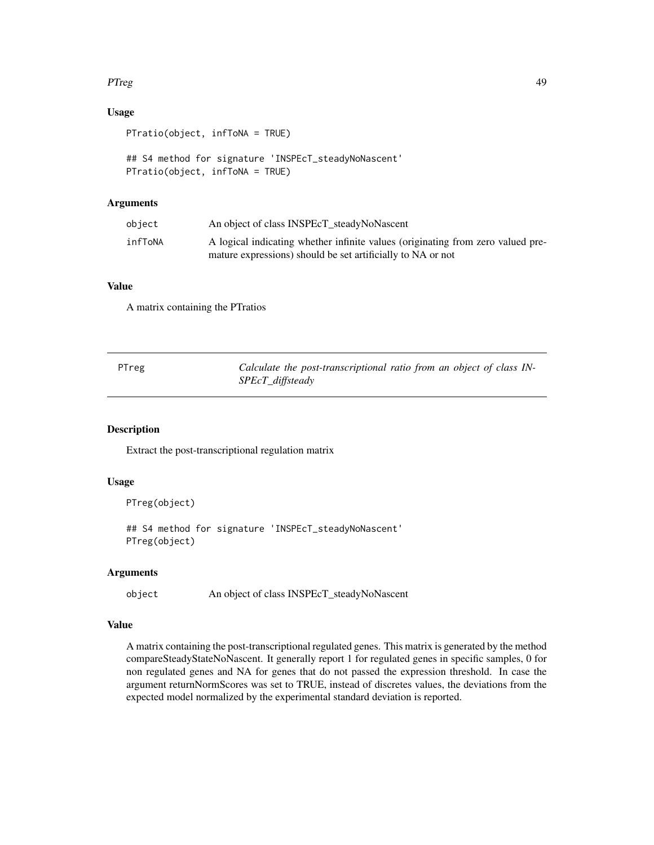## <span id="page-48-0"></span>PTreg 49

## Usage

PTratio(object, infToNA = TRUE)

```
## S4 method for signature 'INSPEcT_steadyNoNascent'
PTratio(object, infToNA = TRUE)
```
## Arguments

| object  | An object of class INSPEcT_steadyNoNascent                                                                                                     |
|---------|------------------------------------------------------------------------------------------------------------------------------------------------|
| infToNA | A logical indicating whether infinite values (originating from zero valued pre-<br>mature expressions) should be set artificially to NA or not |

## Value

A matrix containing the PTratios

<span id="page-48-1"></span>

| PTreg | Calculate the post-transcriptional ratio from an object of class IN- |
|-------|----------------------------------------------------------------------|
|       | SPEcT_diffsteady                                                     |

## Description

Extract the post-transcriptional regulation matrix

## Usage

```
PTreg(object)
```
## S4 method for signature 'INSPEcT\_steadyNoNascent' PTreg(object)

#### Arguments

object An object of class INSPEcT\_steadyNoNascent

#### Value

A matrix containing the post-transcriptional regulated genes. This matrix is generated by the method compareSteadyStateNoNascent. It generally report 1 for regulated genes in specific samples, 0 for non regulated genes and NA for genes that do not passed the expression threshold. In case the argument returnNormScores was set to TRUE, instead of discretes values, the deviations from the expected model normalized by the experimental standard deviation is reported.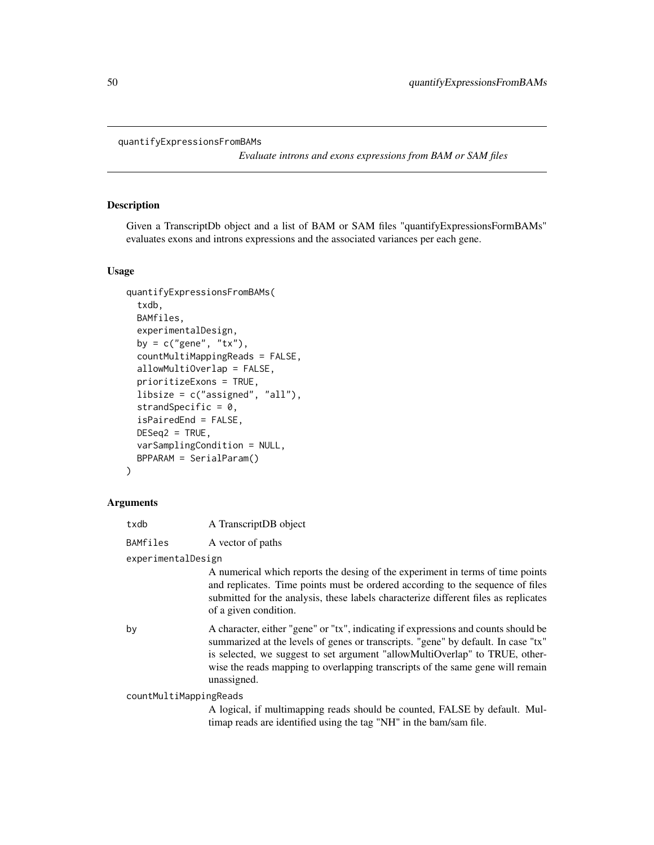<span id="page-49-0"></span>quantifyExpressionsFromBAMs

*Evaluate introns and exons expressions from BAM or SAM files*

#### Description

Given a TranscriptDb object and a list of BAM or SAM files "quantifyExpressionsFormBAMs" evaluates exons and introns expressions and the associated variances per each gene.

#### Usage

```
quantifyExpressionsFromBAMs(
  txdb,
 BAMfiles,
  experimentalDesign,
  by = c("gene", "tx"),
  countMultiMappingReads = FALSE,
  allowMultiOverlap = FALSE,
  prioritizeExons = TRUE,
  libsize = c("assigned", "all"),
  strandSpecific = 0,
  isPairedEnd = FALSE,
  DESeq2 = TRUE,varSamplingCondition = NULL,
 BPPARAM = SerialParam()
\lambda
```
#### Arguments

| txdb     | A TranscriptDB object |
|----------|-----------------------|
| BAMfiles | A vector of paths     |

## experimentalDesign

A numerical which reports the desing of the experiment in terms of time points and replicates. Time points must be ordered according to the sequence of files submitted for the analysis, these labels characterize different files as replicates of a given condition.

by A character, either "gene" or "tx", indicating if expressions and counts should be summarized at the levels of genes or transcripts. "gene" by default. In case "tx" is selected, we suggest to set argument "allowMultiOverlap" to TRUE, otherwise the reads mapping to overlapping transcripts of the same gene will remain unassigned.

countMultiMappingReads

A logical, if multimapping reads should be counted, FALSE by default. Multimap reads are identified using the tag "NH" in the bam/sam file.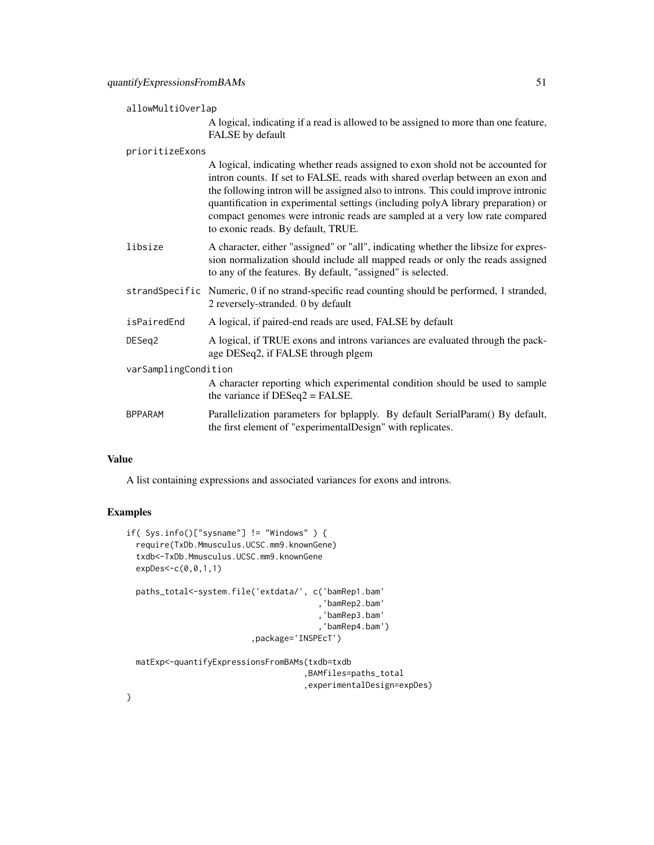#### allowMultiOverlap

A logical, indicating if a read is allowed to be assigned to more than one feature, FALSE by default

#### prioritizeExons

|                      | A logical, indicating whether reads assigned to exon shold not be accounted for<br>intron counts. If set to FALSE, reads with shared overlap between an exon and<br>the following intron will be assigned also to introns. This could improve intronic<br>quantification in experimental settings (including polyA library preparation) or<br>compact genomes were intronic reads are sampled at a very low rate compared<br>to exonic reads. By default, TRUE. |  |
|----------------------|-----------------------------------------------------------------------------------------------------------------------------------------------------------------------------------------------------------------------------------------------------------------------------------------------------------------------------------------------------------------------------------------------------------------------------------------------------------------|--|
| libsize              | A character, either "assigned" or "all", indicating whether the libsize for expres-<br>sion normalization should include all mapped reads or only the reads assigned<br>to any of the features. By default, "assigned" is selected.                                                                                                                                                                                                                             |  |
|                      | strandSpecific Numeric, 0 if no strand-specific read counting should be performed, 1 stranded,<br>2 reversely-stranded. 0 by default                                                                                                                                                                                                                                                                                                                            |  |
| isPairedEnd          | A logical, if paired-end reads are used, FALSE by default                                                                                                                                                                                                                                                                                                                                                                                                       |  |
| DESeg2               | A logical, if TRUE exons and introns variances are evaluated through the pack-<br>age DESeq2, if FALSE through plgem                                                                                                                                                                                                                                                                                                                                            |  |
| varSamplingCondition |                                                                                                                                                                                                                                                                                                                                                                                                                                                                 |  |
|                      | A character reporting which experimental condition should be used to sample<br>the variance if $DESeq2 = FALSE$ .                                                                                                                                                                                                                                                                                                                                               |  |
| <b>BPPARAM</b>       | Parallelization parameters for bplapply. By default SerialParam() By default,<br>the first element of "experimentalDesign" with replicates.                                                                                                                                                                                                                                                                                                                     |  |

## Value

A list containing expressions and associated variances for exons and introns.

### Examples

```
if( Sys.info()["sysname"] != "Windows" ) {
 require(TxDb.Mmusculus.UCSC.mm9.knownGene)
 txdb<-TxDb.Mmusculus.UCSC.mm9.knownGene
 expDes<-c(0,0,1,1)
 paths_total<-system.file('extdata/', c('bamRep1.bam'
                                        ,'bamRep2.bam'
                                        ,'bamRep3.bam'
                                        ,'bamRep4.bam')
                          ,package='INSPEcT')
 matExp<-quantifyExpressionsFromBAMs(txdb=txdb
                                     ,BAMfiles=paths_total
```
,experimentalDesign=expDes)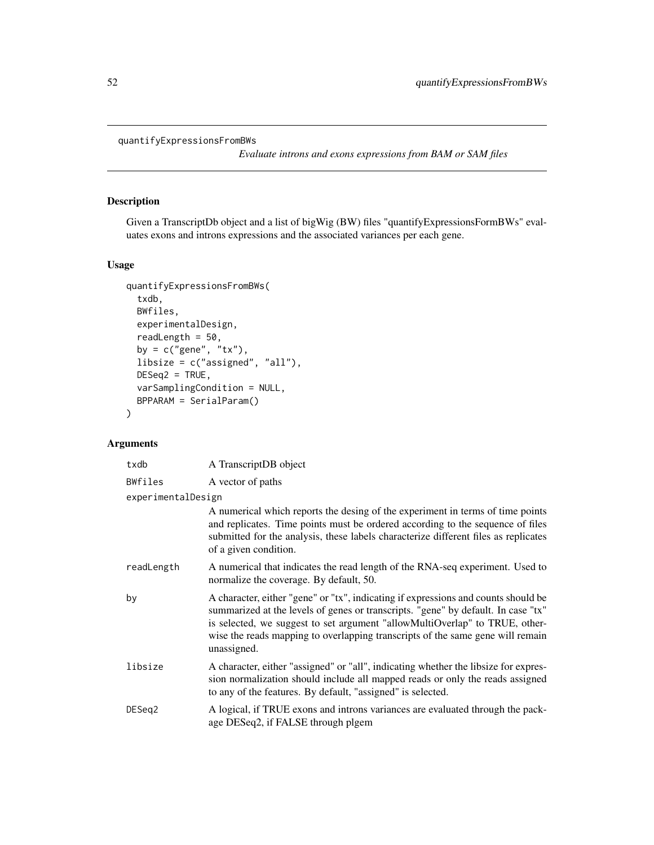<span id="page-51-0"></span>quantifyExpressionsFromBWs

*Evaluate introns and exons expressions from BAM or SAM files*

## Description

Given a TranscriptDb object and a list of bigWig (BW) files "quantifyExpressionsFormBWs" evaluates exons and introns expressions and the associated variances per each gene.

## Usage

```
quantifyExpressionsFromBWs(
 txdb,
 BWfiles,
 experimentalDesign,
 readLength = 50,
 by = c("gene", "tx"),libsize = c("assigned", "all"),
 DESeq2 = TRUE,varSamplingCondition = NULL,
 BPPARAM = SerialParam()
)
```
## Arguments

| txdb               | A TranscriptDB object                                                                                                                                                                                                                                                                                                                                   |
|--------------------|---------------------------------------------------------------------------------------------------------------------------------------------------------------------------------------------------------------------------------------------------------------------------------------------------------------------------------------------------------|
| BWfiles            | A vector of paths                                                                                                                                                                                                                                                                                                                                       |
| experimentalDesign |                                                                                                                                                                                                                                                                                                                                                         |
|                    | A numerical which reports the desing of the experiment in terms of time points<br>and replicates. Time points must be ordered according to the sequence of files<br>submitted for the analysis, these labels characterize different files as replicates<br>of a given condition.                                                                        |
| readLength         | A numerical that indicates the read length of the RNA-seq experiment. Used to<br>normalize the coverage. By default, 50.                                                                                                                                                                                                                                |
| by                 | A character, either "gene" or "tx", indicating if expressions and counts should be<br>summarized at the levels of genes or transcripts. "gene" by default. In case "tx"<br>is selected, we suggest to set argument "allowMultiOverlap" to TRUE, other-<br>wise the reads mapping to overlapping transcripts of the same gene will remain<br>unassigned. |
| libsize            | A character, either "assigned" or "all", indicating whether the libsize for expres-<br>sion normalization should include all mapped reads or only the reads assigned<br>to any of the features. By default, "assigned" is selected.                                                                                                                     |
| DESeg2             | A logical, if TRUE exons and introns variances are evaluated through the pack-<br>age DESeq2, if FALSE through plgem                                                                                                                                                                                                                                    |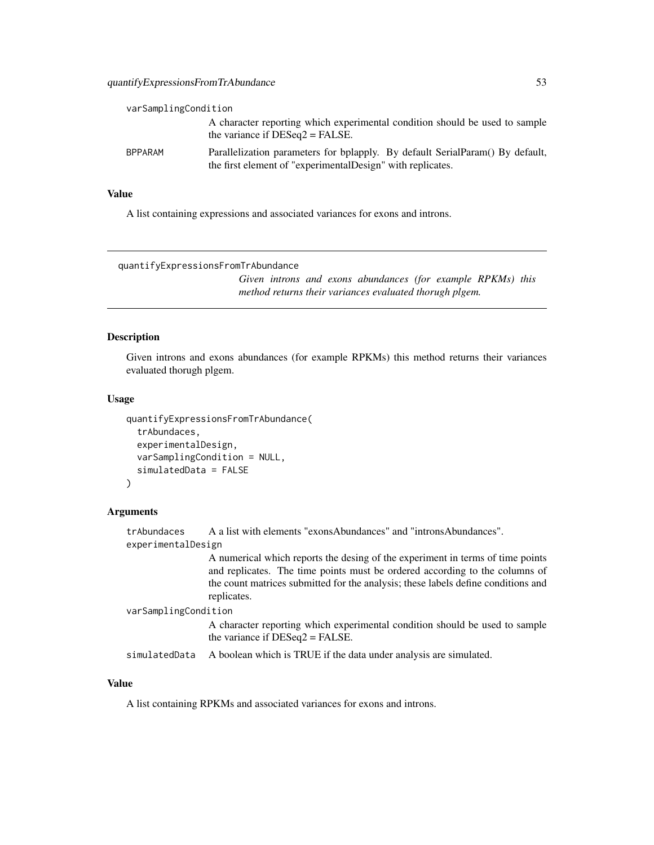<span id="page-52-0"></span>

| varSamplingCondition |                                                                                                                                              |
|----------------------|----------------------------------------------------------------------------------------------------------------------------------------------|
|                      | A character reporting which experimental condition should be used to sample<br>the variance if $DESeq2 = FALSE$ .                            |
| <b>BPPARAM</b>       | Parallelization parameters for bplapply. By default SerialParam() By default,<br>the first element of "experimental Design" with replicates. |

## Value

A list containing expressions and associated variances for exons and introns.

quantifyExpressionsFromTrAbundance

*Given introns and exons abundances (for example RPKMs) this method returns their variances evaluated thorugh plgem.*

#### Description

Given introns and exons abundances (for example RPKMs) this method returns their variances evaluated thorugh plgem.

#### Usage

```
quantifyExpressionsFromTrAbundance(
  trAbundaces,
  experimentalDesign,
  varSamplingCondition = NULL,
  simulatedData = FALSE
)
```
#### Arguments

trAbundaces A a list with elements "exonsAbundances" and "intronsAbundances". experimentalDesign A numerical which reports the desing of the experiment in terms of time points and replicates. The time points must be ordered according to the columns of the count matrices submitted for the analysis; these labels define conditions and replicates. varSamplingCondition A character reporting which experimental condition should be used to sample the variance if DESeq2 = FALSE. simulatedData A boolean which is TRUE if the data under analysis are simulated.

## Value

A list containing RPKMs and associated variances for exons and introns.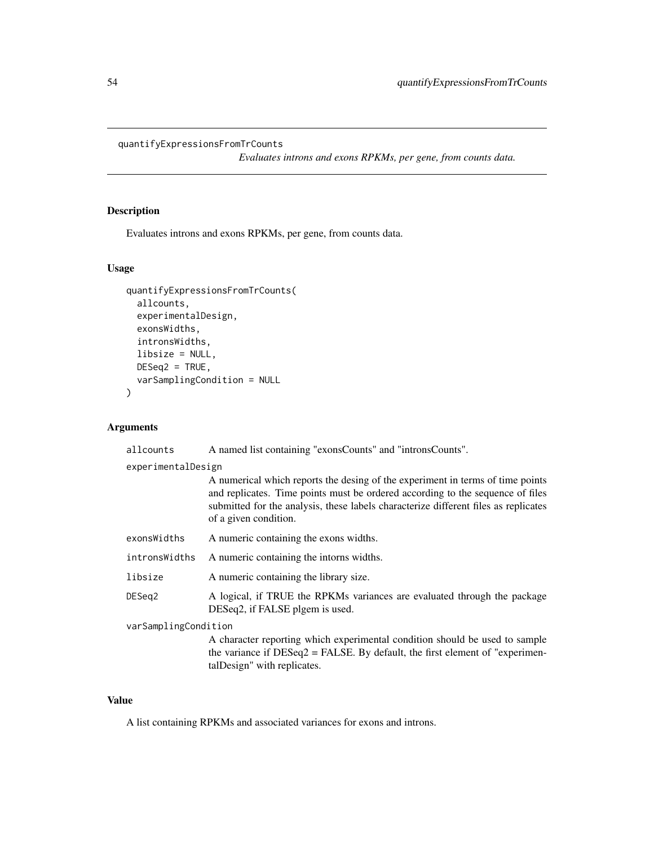#### <span id="page-53-0"></span>quantifyExpressionsFromTrCounts

*Evaluates introns and exons RPKMs, per gene, from counts data.*

## Description

Evaluates introns and exons RPKMs, per gene, from counts data.

#### Usage

```
quantifyExpressionsFromTrCounts(
  allcounts,
  experimentalDesign,
  exonsWidths,
  intronsWidths,
  libsize = NULL,
 DESeq2 = TRUE,
  varSamplingCondition = NULL
\mathcal{E}
```
#### Arguments

allcounts A named list containing "exonsCounts" and "intronsCounts".

experimentalDesign

| A numerical which reports the desing of the experiment in terms of time points      |
|-------------------------------------------------------------------------------------|
| and replicates. Time points must be ordered according to the sequence of files      |
| submitted for the analysis, these labels characterize different files as replicates |
| of a given condition.                                                               |

| exonsWidths | A numeric containing the exons widths. |
|-------------|----------------------------------------|
|-------------|----------------------------------------|

intronsWidths A numeric containing the intorns widths.

- libsize A numeric containing the library size.
- DESeq2 A logical, if TRUE the RPKMs variances are evaluated through the package DESeq2, if FALSE plgem is used.

varSamplingCondition

A character reporting which experimental condition should be used to sample the variance if DESeq2 = FALSE. By default, the first element of "experimentalDesign" with replicates.

## Value

A list containing RPKMs and associated variances for exons and introns.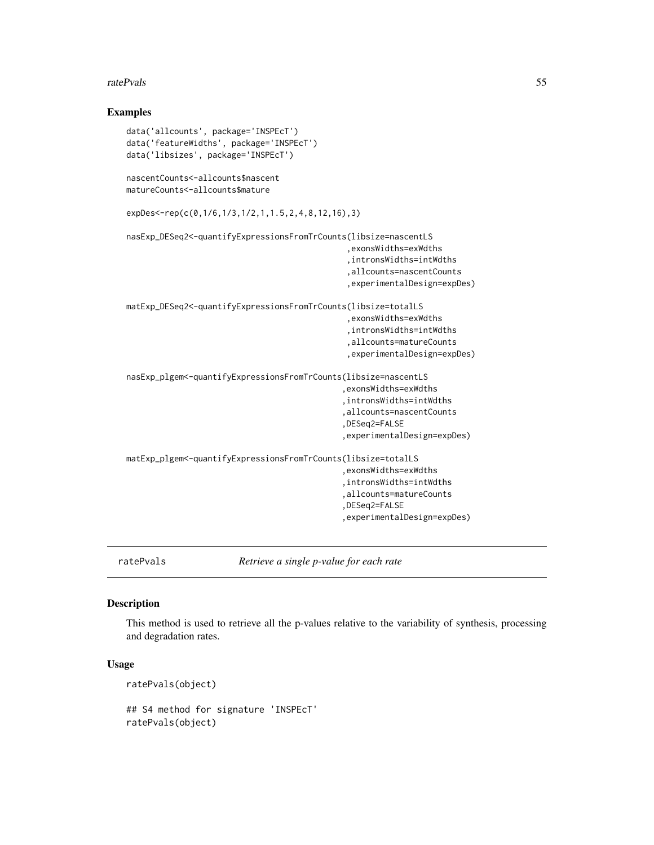#### <span id="page-54-0"></span>ratePvals 55

#### Examples

```
data('allcounts', package='INSPEcT')
data('featureWidths', package='INSPEcT')
data('libsizes', package='INSPEcT')
nascentCounts<-allcounts$nascent
matureCounts<-allcounts$mature
expDes<-rep(c(0,1/6,1/3,1/2,1,1.5,2,4,8,12,16),3)
nasExp_DESeq2<-quantifyExpressionsFromTrCounts(libsize=nascentLS
                                               ,exonsWidths=exWdths
                                               ,intronsWidths=intWdths
                                               ,allcounts=nascentCounts
                                               ,experimentalDesign=expDes)
matExp_DESeq2<-quantifyExpressionsFromTrCounts(libsize=totalLS
                                              ,exonsWidths=exWdths
                                               ,intronsWidths=intWdths
                                               ,allcounts=matureCounts
                                               ,experimentalDesign=expDes)
nasExp_plgem<-quantifyExpressionsFromTrCounts(libsize=nascentLS
                                              ,exonsWidths=exWdths
                                              ,intronsWidths=intWdths
                                              ,allcounts=nascentCounts
                                              ,DESeq2=FALSE
                                              ,experimentalDesign=expDes)
matExp_plgem<-quantifyExpressionsFromTrCounts(libsize=totalLS
                                              ,exonsWidths=exWdths
                                              ,intronsWidths=intWdths
                                              ,allcounts=matureCounts
                                              ,DESeq2=FALSE
                                              ,experimentalDesign=expDes)
```
<span id="page-54-1"></span>

ratePvals *Retrieve a single p-value for each rate*

## Description

This method is used to retrieve all the p-values relative to the variability of synthesis, processing and degradation rates.

#### Usage

ratePvals(object)

## S4 method for signature 'INSPEcT' ratePvals(object)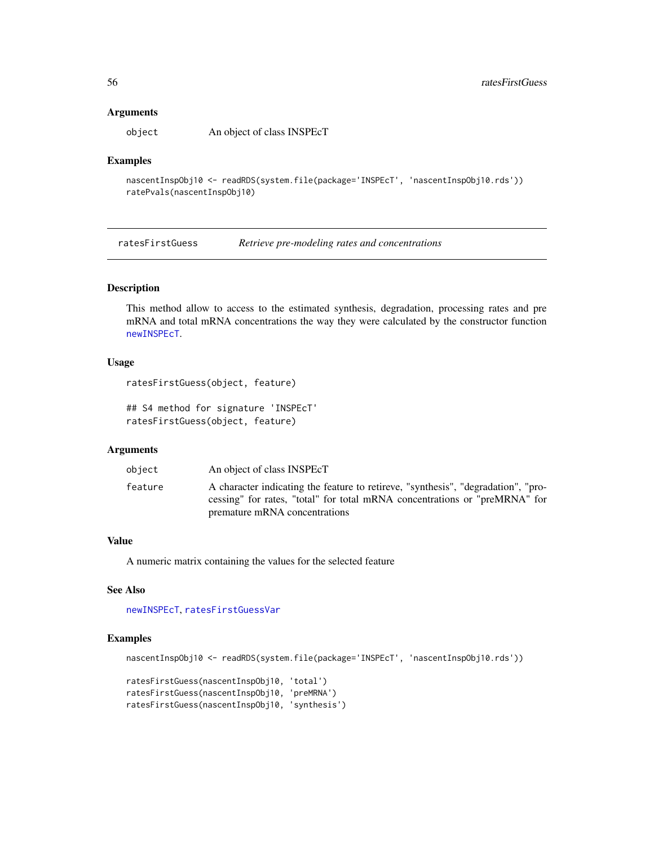#### **Arguments**

object An object of class INSPEcT

## Examples

```
nascentInspObj10 <- readRDS(system.file(package='INSPEcT', 'nascentInspObj10.rds'))
ratePvals(nascentInspObj10)
```
<span id="page-55-1"></span>ratesFirstGuess *Retrieve pre-modeling rates and concentrations*

## Description

This method allow to access to the estimated synthesis, degradation, processing rates and pre mRNA and total mRNA concentrations the way they were calculated by the constructor function [newINSPEcT](#page-38-1).

#### Usage

```
ratesFirstGuess(object, feature)
```
## S4 method for signature 'INSPEcT' ratesFirstGuess(object, feature)

## Arguments

| object  | An object of class INSPEcT                                                                                                                                                                       |
|---------|--------------------------------------------------------------------------------------------------------------------------------------------------------------------------------------------------|
| feature | A character indicating the feature to retireve, "synthesis", "degradation", "pro-<br>cessing" for rates, "total" for total mRNA concentrations or "preMRNA" for<br>premature mRNA concentrations |

#### Value

A numeric matrix containing the values for the selected feature

## See Also

```
newINSPEcT, ratesFirstGuessVar
```

```
nascentInspObj10 <- readRDS(system.file(package='INSPEcT', 'nascentInspObj10.rds'))
```

```
ratesFirstGuess(nascentInspObj10, 'total')
ratesFirstGuess(nascentInspObj10, 'preMRNA')
ratesFirstGuess(nascentInspObj10, 'synthesis')
```
<span id="page-55-0"></span>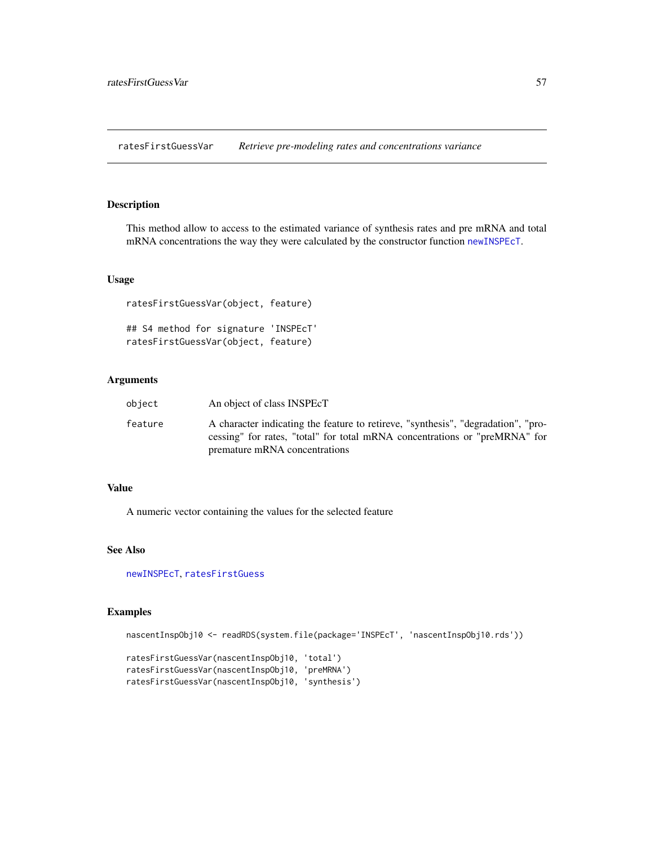<span id="page-56-1"></span><span id="page-56-0"></span>ratesFirstGuessVar *Retrieve pre-modeling rates and concentrations variance*

## Description

This method allow to access to the estimated variance of synthesis rates and pre mRNA and total mRNA concentrations the way they were calculated by the constructor function [newINSPEcT](#page-38-1).

## Usage

ratesFirstGuessVar(object, feature) ## S4 method for signature 'INSPEcT' ratesFirstGuessVar(object, feature)

### Arguments

| object  | An object of class INSPEcT                                                                                                                                                                       |
|---------|--------------------------------------------------------------------------------------------------------------------------------------------------------------------------------------------------|
| feature | A character indicating the feature to retireve, "synthesis", "degradation", "pro-<br>cessing" for rates, "total" for total mRNA concentrations or "preMRNA" for<br>premature mRNA concentrations |

## Value

A numeric vector containing the values for the selected feature

## See Also

[newINSPEcT](#page-38-1), [ratesFirstGuess](#page-55-1)

```
nascentInspObj10 <- readRDS(system.file(package='INSPEcT', 'nascentInspObj10.rds'))
ratesFirstGuessVar(nascentInspObj10, 'total')
ratesFirstGuessVar(nascentInspObj10, 'preMRNA')
ratesFirstGuessVar(nascentInspObj10, 'synthesis')
```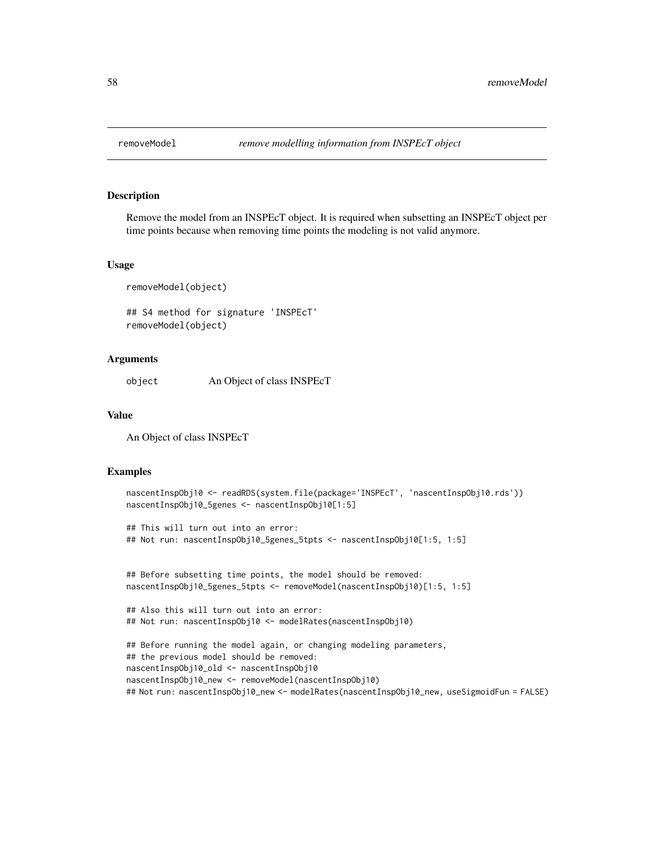<span id="page-57-1"></span><span id="page-57-0"></span>

## Description

Remove the model from an INSPEcT object. It is required when subsetting an INSPEcT object per time points because when removing time points the modeling is not valid anymore.

#### Usage

removeModel(object)

## S4 method for signature 'INSPEcT' removeModel(object)

#### **Arguments**

object An Object of class INSPEcT

## Value

An Object of class INSPEcT

```
nascentInspObj10 <- readRDS(system.file(package='INSPEcT', 'nascentInspObj10.rds'))
nascentInspObj10_5genes <- nascentInspObj10[1:5]
## This will turn out into an error:
## Not run: nascentInspObj10_5genes_5tpts <- nascentInspObj10[1:5, 1:5]
## Before subsetting time points, the model should be removed:
nascentInspObj10_5genes_5tpts <- removeModel(nascentInspObj10)[1:5, 1:5]
## Also this will turn out into an error:
## Not run: nascentInspObj10 <- modelRates(nascentInspObj10)
## Before running the model again, or changing modeling parameters,
## the previous model should be removed:
nascentInspObj10_old <- nascentInspObj10
nascentInspObj10_new <- removeModel(nascentInspObj10)
## Not run: nascentInspObj10_new <- modelRates(nascentInspObj10_new, useSigmoidFun = FALSE)
```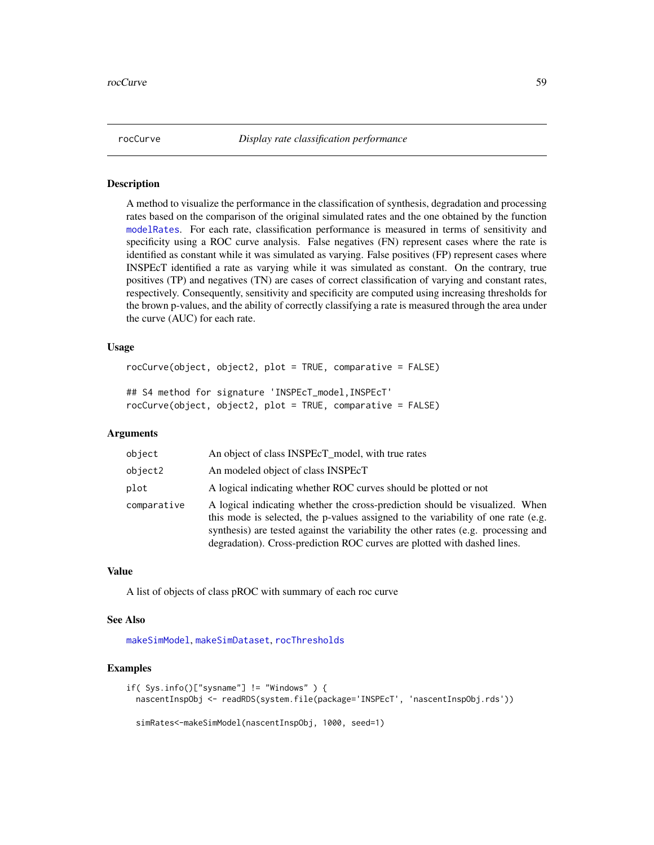<span id="page-58-1"></span><span id="page-58-0"></span>

#### Description

A method to visualize the performance in the classification of synthesis, degradation and processing rates based on the comparison of the original simulated rates and the one obtained by the function [modelRates](#page-35-1). For each rate, classification performance is measured in terms of sensitivity and specificity using a ROC curve analysis. False negatives (FN) represent cases where the rate is identified as constant while it was simulated as varying. False positives (FP) represent cases where INSPEcT identified a rate as varying while it was simulated as constant. On the contrary, true positives (TP) and negatives (TN) are cases of correct classification of varying and constant rates, respectively. Consequently, sensitivity and specificity are computed using increasing thresholds for the brown p-values, and the ability of correctly classifying a rate is measured through the area under the curve (AUC) for each rate.

## Usage

```
rocCurve(object, object2, plot = TRUE, comparative = FALSE)
## S4 method for signature 'INSPEcT_model,INSPEcT'
rocCurve(object, object2, plot = TRUE, comparative = FALSE)
```
#### Arguments

| object      | An object of class INSPEcT_model, with true rates                                                                                                                                                                                                                                                                                   |
|-------------|-------------------------------------------------------------------------------------------------------------------------------------------------------------------------------------------------------------------------------------------------------------------------------------------------------------------------------------|
| object2     | An modeled object of class INSPEcT                                                                                                                                                                                                                                                                                                  |
| plot        | A logical indicating whether ROC curves should be plotted or not                                                                                                                                                                                                                                                                    |
| comparative | A logical indicating whether the cross-prediction should be visualized. When<br>this mode is selected, the p-values assigned to the variability of one rate (e.g.<br>synthesis) are tested against the variability the other rates (e.g. processing and<br>degradation). Cross-prediction ROC curves are plotted with dashed lines. |

#### Value

A list of objects of class pROC with summary of each roc curve

#### See Also

[makeSimModel](#page-31-1), [makeSimDataset](#page-30-1), [rocThresholds](#page-59-1)

```
if( Sys.info()["sysname"] != "Windows" ) {
 nascentInspObj <- readRDS(system.file(package='INSPEcT', 'nascentInspObj.rds'))
 simRates<-makeSimModel(nascentInspObj, 1000, seed=1)
```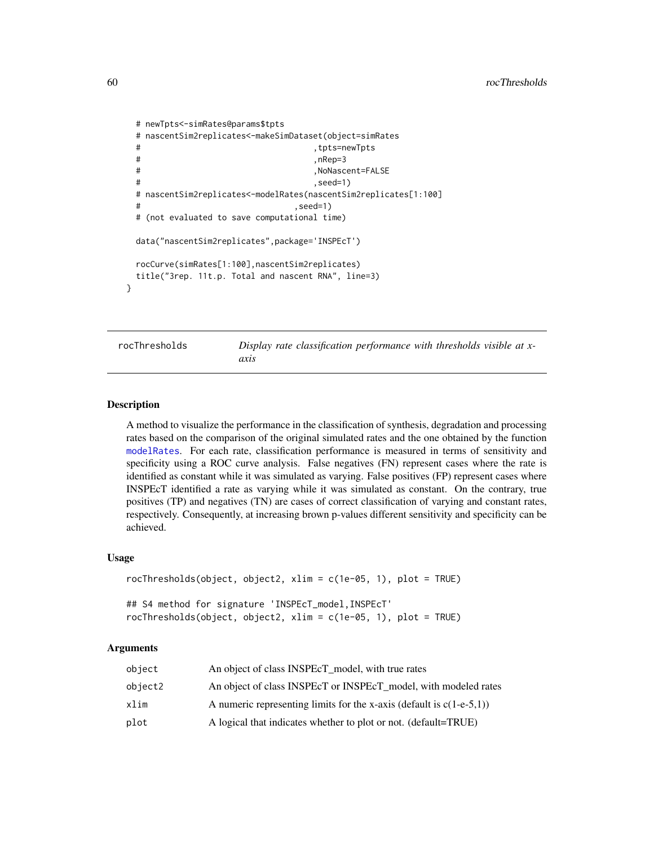```
# newTpts<-simRates@params$tpts
# nascentSim2replicates<-makeSimDataset(object=simRates
# ,tpts=newTpts
# ,nRep=3
# ,NoNascent=FALSE
# ,seed=1)
# nascentSim2replicates<-modelRates(nascentSim2replicates[1:100]
                         , seed=1)# (not evaluated to save computational time)
data("nascentSim2replicates",package='INSPEcT')
rocCurve(simRates[1:100],nascentSim2replicates)
title("3rep. 11t.p. Total and nascent RNA", line=3)
```
<span id="page-59-1"></span>

rocThresholds *Display rate classification performance with thresholds visible at xaxis*

#### Description

}

A method to visualize the performance in the classification of synthesis, degradation and processing rates based on the comparison of the original simulated rates and the one obtained by the function [modelRates](#page-35-1). For each rate, classification performance is measured in terms of sensitivity and specificity using a ROC curve analysis. False negatives (FN) represent cases where the rate is identified as constant while it was simulated as varying. False positives (FP) represent cases where INSPEcT identified a rate as varying while it was simulated as constant. On the contrary, true positives (TP) and negatives (TN) are cases of correct classification of varying and constant rates, respectively. Consequently, at increasing brown p-values different sensitivity and specificity can be achieved.

#### Usage

```
rocThresholds(object, object2, xlim = c(1e-05, 1), plot = TRUE)
## S4 method for signature 'INSPEcT_model,INSPEcT'
rocThresholds(object, object2, xlim = c(1e-05, 1), plot = TRUE)
```
#### Arguments

| object  | An object of class INSPEcT_model, with true rates                       |
|---------|-------------------------------------------------------------------------|
| object2 | An object of class INSPEcT or INSPEcT_model, with modeled rates         |
| xlim    | A numeric representing limits for the x-axis (default is $c(1-e-5,1)$ ) |
| plot    | A logical that indicates whether to plot or not. (default=TRUE)         |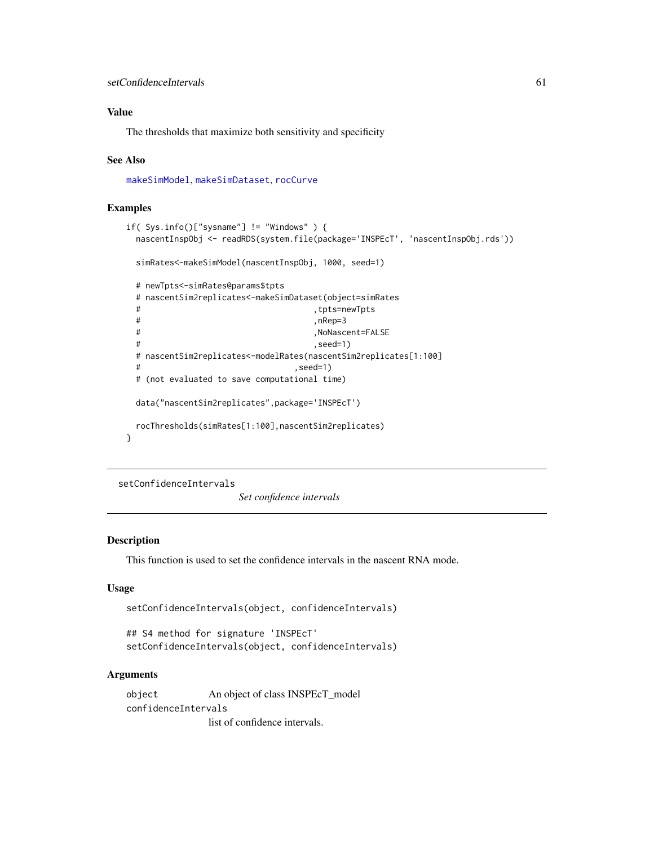## <span id="page-60-0"></span>Value

The thresholds that maximize both sensitivity and specificity

#### See Also

[makeSimModel](#page-31-1), [makeSimDataset](#page-30-1), [rocCurve](#page-58-1)

#### Examples

```
if( Sys.info()["sysname"] != "Windows" ) {
 nascentInspObj <- readRDS(system.file(package='INSPEcT', 'nascentInspObj.rds'))
 simRates<-makeSimModel(nascentInspObj, 1000, seed=1)
 # newTpts<-simRates@params$tpts
 # nascentSim2replicates<-makeSimDataset(object=simRates
 # ,tpts=newTpts
 # ,nRep=3
 # ,NoNascent=FALSE
 # ,seed=1)
 # nascentSim2replicates<-modelRates(nascentSim2replicates[1:100]
                            , seed=1)
 # (not evaluated to save computational time)
 data("nascentSim2replicates",package='INSPEcT')
 rocThresholds(simRates[1:100],nascentSim2replicates)
}
```
<span id="page-60-1"></span>setConfidenceIntervals

*Set confidence intervals*

## Description

This function is used to set the confidence intervals in the nascent RNA mode.

#### Usage

```
setConfidenceIntervals(object, confidenceIntervals)
```
## S4 method for signature 'INSPEcT' setConfidenceIntervals(object, confidenceIntervals)

## Arguments

object An object of class INSPEcT\_model confidenceIntervals list of confidence intervals.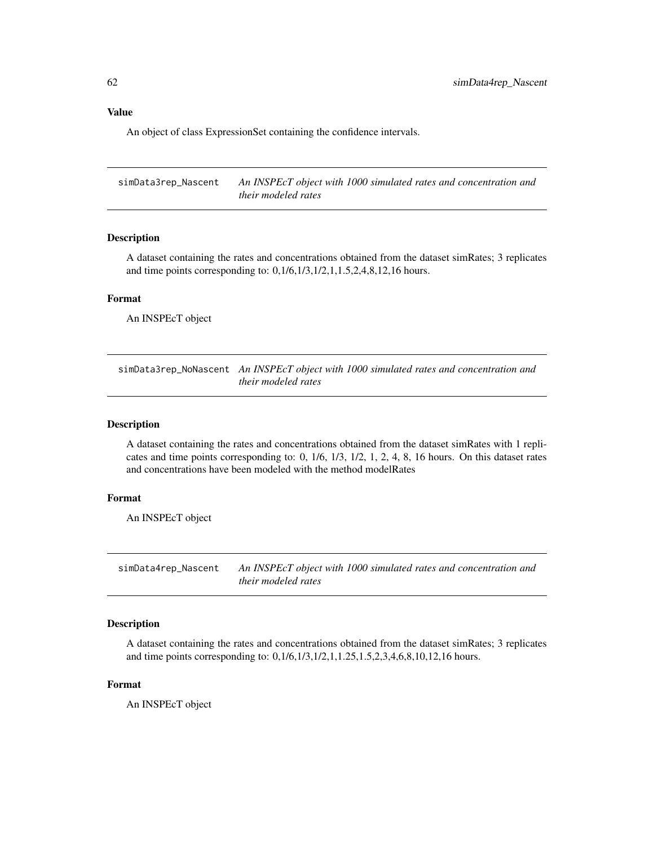## <span id="page-61-0"></span>Value

An object of class ExpressionSet containing the confidence intervals.

simData3rep\_Nascent *An INSPEcT object with 1000 simulated rates and concentration and their modeled rates*

## Description

A dataset containing the rates and concentrations obtained from the dataset simRates; 3 replicates and time points corresponding to: 0,1/6,1/3,1/2,1,1.5,2,4,8,12,16 hours.

## Format

An INSPEcT object

simData3rep\_NoNascent *An INSPEcT object with 1000 simulated rates and concentration and their modeled rates*

#### Description

A dataset containing the rates and concentrations obtained from the dataset simRates with 1 replicates and time points corresponding to: 0, 1/6, 1/3, 1/2, 1, 2, 4, 8, 16 hours. On this dataset rates and concentrations have been modeled with the method modelRates

#### Format

An INSPEcT object

simData4rep\_Nascent *An INSPEcT object with 1000 simulated rates and concentration and their modeled rates*

## Description

A dataset containing the rates and concentrations obtained from the dataset simRates; 3 replicates and time points corresponding to: 0,1/6,1/3,1/2,1,1.25,1.5,2,3,4,6,8,10,12,16 hours.

#### Format

An INSPEcT object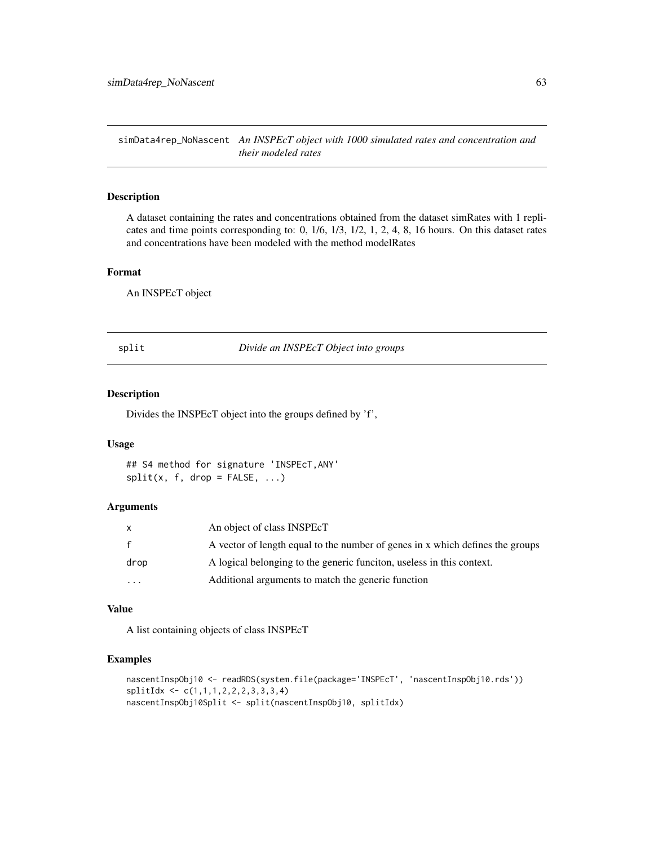<span id="page-62-0"></span>simData4rep\_NoNascent *An INSPEcT object with 1000 simulated rates and concentration and their modeled rates*

#### Description

A dataset containing the rates and concentrations obtained from the dataset simRates with 1 replicates and time points corresponding to: 0, 1/6, 1/3, 1/2, 1, 2, 4, 8, 16 hours. On this dataset rates and concentrations have been modeled with the method modelRates

#### Format

An INSPEcT object

<span id="page-62-1"></span>split *Divide an INSPEcT Object into groups*

## Description

Divides the INSPEcT object into the groups defined by 'f',

#### Usage

## S4 method for signature 'INSPEcT,ANY'  $split(x, f, drop = FALSE, ...)$ 

#### Arguments

|           | An object of class INSPEcT                                                    |
|-----------|-------------------------------------------------------------------------------|
| f         | A vector of length equal to the number of genes in x which defines the groups |
| drop      | A logical belonging to the generic funcition, useless in this context.        |
| $\ddotsc$ | Additional arguments to match the generic function                            |

#### Value

A list containing objects of class INSPEcT

```
nascentInspObj10 <- readRDS(system.file(package='INSPEcT', 'nascentInspObj10.rds'))
splitIdx <- c(1,1,1,2,2,2,3,3,3,4)
nascentInspObj10Split <- split(nascentInspObj10, splitIdx)
```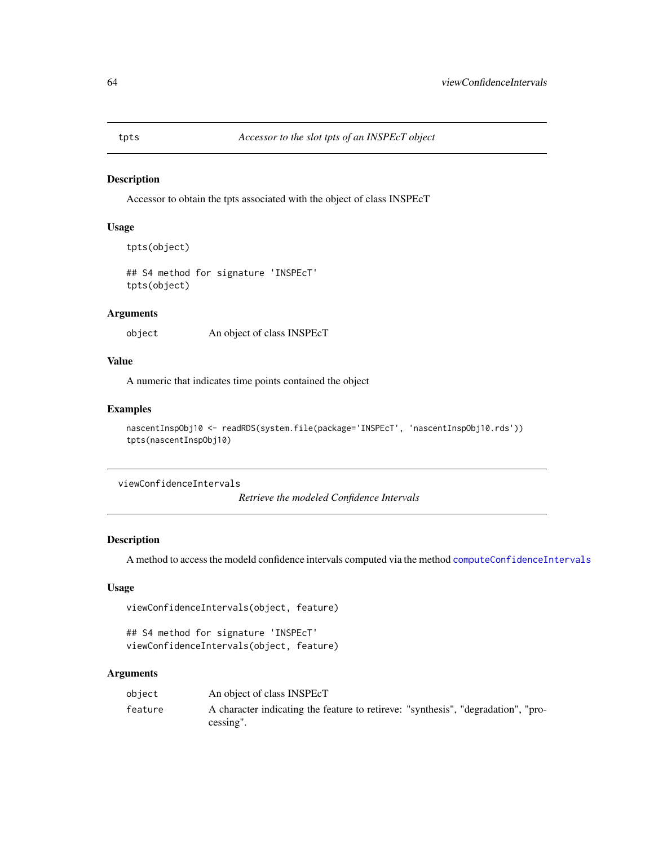#### Description

Accessor to obtain the tpts associated with the object of class INSPEcT

#### Usage

```
tpts(object)
```
## S4 method for signature 'INSPEcT' tpts(object)

## Arguments

object An object of class INSPEcT

## Value

A numeric that indicates time points contained the object

## Examples

```
nascentInspObj10 <- readRDS(system.file(package='INSPEcT', 'nascentInspObj10.rds'))
tpts(nascentInspObj10)
```
<span id="page-63-2"></span>viewConfidenceIntervals

*Retrieve the modeled Confidence Intervals*

## Description

A method to access the modeld confidence intervals computed via the method [computeConfidenceIntervals](#page-10-1)

#### Usage

```
viewConfidenceIntervals(object, feature)
```
## S4 method for signature 'INSPEcT' viewConfidenceIntervals(object, feature)

#### Arguments

| obiect  | An object of class INSPEcT                                                                                   |
|---------|--------------------------------------------------------------------------------------------------------------|
| feature | A character indicating the feature to retireve: "synthesis", "degradation", "pro-<br>$c \, \text{essine}$ ". |

<span id="page-63-1"></span><span id="page-63-0"></span>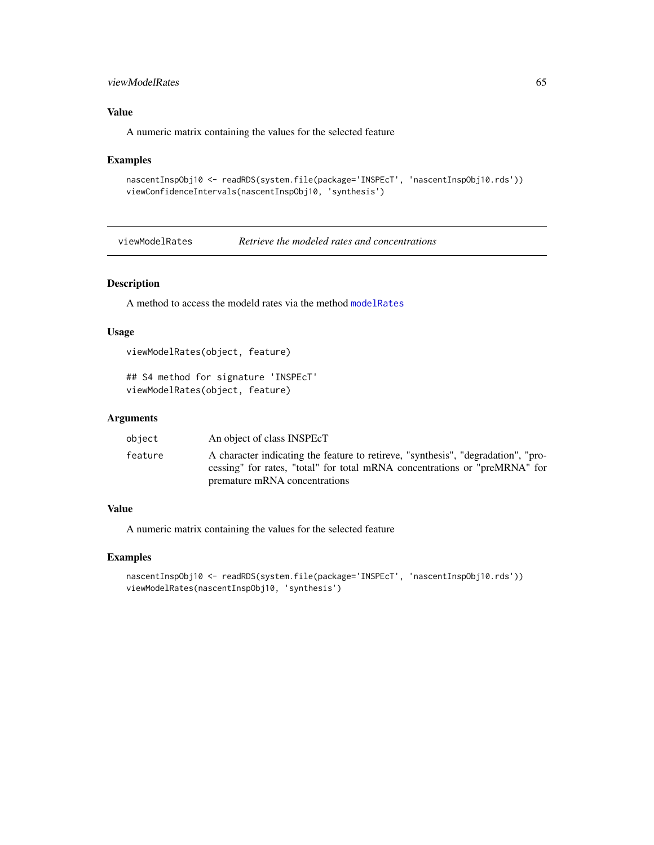## <span id="page-64-0"></span>viewModelRates 65

## Value

A numeric matrix containing the values for the selected feature

#### Examples

```
nascentInspObj10 <- readRDS(system.file(package='INSPEcT', 'nascentInspObj10.rds'))
viewConfidenceIntervals(nascentInspObj10, 'synthesis')
```
<span id="page-64-1"></span>viewModelRates *Retrieve the modeled rates and concentrations*

## Description

A method to access the modeld rates via the method [modelRates](#page-35-1)

#### Usage

```
viewModelRates(object, feature)
```
## S4 method for signature 'INSPEcT' viewModelRates(object, feature)

## Arguments

| object  | An object of class INSPEcT                                                                                                                                                                       |
|---------|--------------------------------------------------------------------------------------------------------------------------------------------------------------------------------------------------|
| feature | A character indicating the feature to retireve, "synthesis", "degradation", "pro-<br>cessing" for rates, "total" for total mRNA concentrations or "preMRNA" for<br>premature mRNA concentrations |

## Value

A numeric matrix containing the values for the selected feature

```
nascentInspObj10 <- readRDS(system.file(package='INSPEcT', 'nascentInspObj10.rds'))
viewModelRates(nascentInspObj10, 'synthesis')
```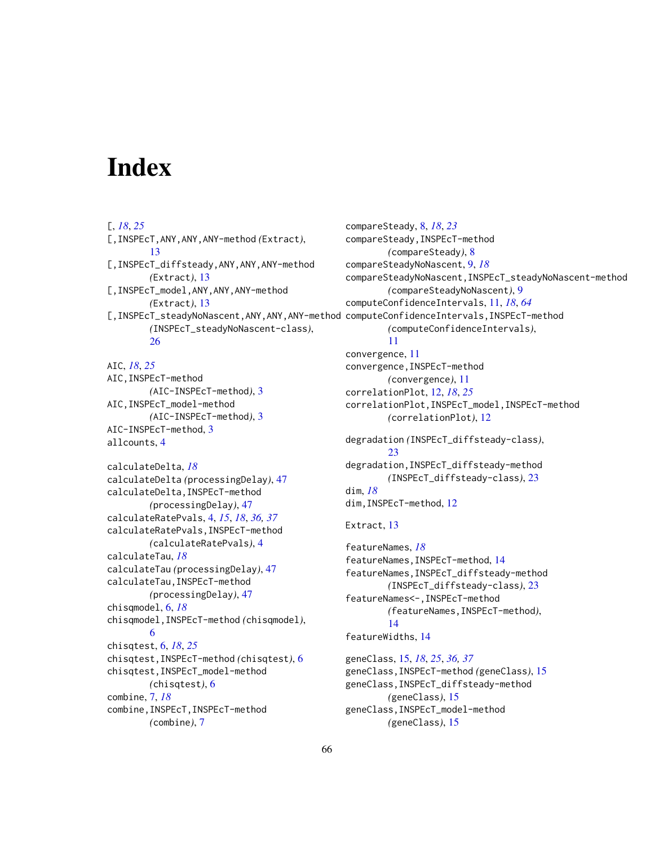# <span id="page-65-0"></span>**Index**

## [, *[18](#page-17-0)*, *[25](#page-24-0)* [,INSPEcT,ANY,ANY,ANY-method *(*Extract*)*, [13](#page-12-0) [,INSPEcT\_diffsteady,ANY,ANY,ANY-method *(*Extract*)*, [13](#page-12-0) [,INSPEcT\_model,ANY,ANY,ANY-method *(*Extract*)*, [13](#page-12-0) *(*INSPEcT\_steadyNoNascent-class*)*, [26](#page-25-0) AIC, *[18](#page-17-0)*, *[25](#page-24-0)* AIC,INSPEcT-method *(*AIC-INSPEcT-method*)*, [3](#page-2-0) AIC,INSPEcT\_model-method *(*AIC-INSPEcT-method*)*, [3](#page-2-0) AIC-INSPEcT-method, [3](#page-2-0) allcounts, [4](#page-3-0) calculateDelta, *[18](#page-17-0)* calculateDelta *(*processingDelay*)*, [47](#page-46-0) calculateDelta,INSPEcT-method *(*processingDelay*)*, [47](#page-46-0) calculateRatePvals, [4,](#page-3-0) *[15](#page-14-0)*, *[18](#page-17-0)*, *[36,](#page-35-0) [37](#page-36-0)* calculateRatePvals,INSPEcT-method *(*calculateRatePvals*)*, [4](#page-3-0) calculateTau, *[18](#page-17-0)* calculateTau *(*processingDelay*)*, [47](#page-46-0) calculateTau,INSPEcT-method *(*processingDelay*)*, [47](#page-46-0) chisqmodel, [6,](#page-5-0) *[18](#page-17-0)* chisqmodel,INSPEcT-method *(*chisqmodel*)*, [6](#page-5-0) chisqtest, [6,](#page-5-0) *[18](#page-17-0)*, *[25](#page-24-0)* chisqtest,INSPEcT-method *(*chisqtest*)*, [6](#page-5-0) chisqtest,INSPEcT\_model-method *(*chisqtest*)*, [6](#page-5-0) combine, [7,](#page-6-0) *[18](#page-17-0)* combine,INSPEcT,INSPEcT-method *(*combine*)*, [7](#page-6-0)

```
[,INSPEcT_steadyNoNascent,ANY,ANY,ANY-method
computeConfidenceIntervals,INSPEcT-method
                                               compareSteady, 8, 18, 23
                                               compareSteady,INSPEcT-method
                                                       (compareSteady), 8
                                               compareSteadyNoNascent, 9, 18
                                               compareSteadyNoNascent,INSPEcT_steadyNoNascent-method
                                                       (compareSteadyNoNascent), 9
                                               computeConfidenceIntervals, 11, 18, 64
                                                       (computeConfidenceIntervals),
                                                       11
                                               convergence, 11
                                               convergence,INSPEcT-method
                                                       (convergence), 11
                                               correlationPlot, 12, 18, 25
                                               correlationPlot,INSPEcT_model,INSPEcT-method
                                                       (correlationPlot), 12
                                               degradation (INSPEcT_diffsteady-class),
                                                       23
                                               degradation,INSPEcT_diffsteady-method
                                                       (INSPEcT_diffsteady-class), 23
                                               dim, 18
                                               dim,INSPEcT-method, 12
                                               Extract, 13
                                               featureNames, 18
                                               featureNames,INSPEcT-method, 14
                                               featureNames,INSPEcT_diffsteady-method
                                                       (INSPEcT_diffsteady-class), 23
                                               featureNames<-,INSPEcT-method
                                                       (featureNames,INSPEcT-method),
                                                       14
                                               featureWidths, 14
                                               geneClass, 15, 18, 25, 36, 37
                                               geneClass,INSPEcT-method (geneClass), 15
                                               geneClass,INSPEcT_diffsteady-method
                                                       (geneClass), 15
                                               geneClass,INSPEcT_model-method
```
66

*(*geneClass*)*, [15](#page-14-0)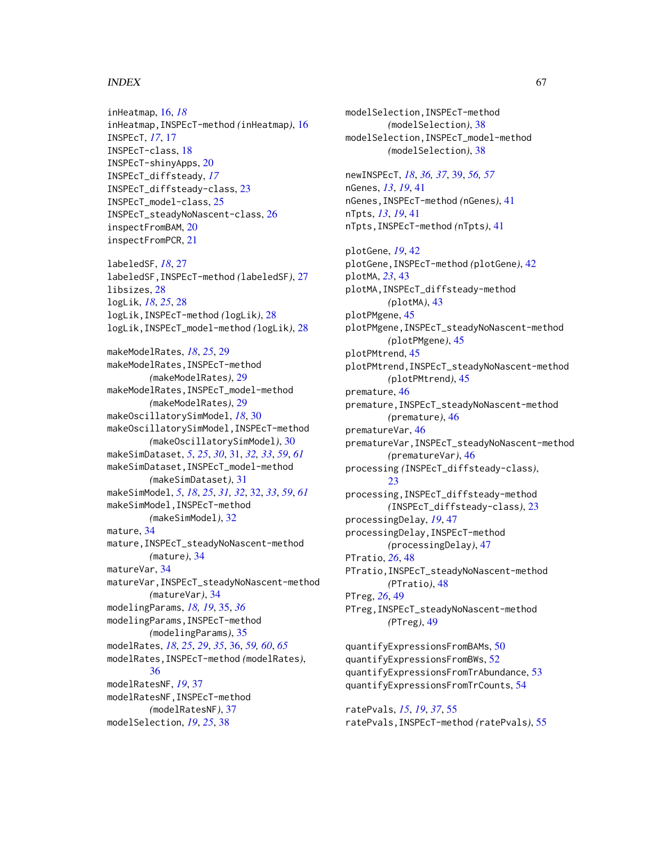#### INDEX  $67$

inHeatmap, [16,](#page-15-0) *[18](#page-17-0)* inHeatmap,INSPEcT-method *(*inHeatmap*)*, [16](#page-15-0) INSPEcT, *[17](#page-16-0)*, [17](#page-16-0) INSPEcT-class, [18](#page-17-0) INSPEcT-shinyApps, [20](#page-19-0) INSPEcT\_diffsteady, *[17](#page-16-0)* INSPEcT\_diffsteady-class, [23](#page-22-0) INSPEcT\_model-class, [25](#page-24-0) INSPEcT\_steadyNoNascent-class, [26](#page-25-0) inspectFromBAM, [20](#page-19-0) inspectFromPCR, [21](#page-20-0)

labeledSF, *[18](#page-17-0)*, [27](#page-26-0) labeledSF,INSPEcT-method *(*labeledSF*)*, [27](#page-26-0) libsizes, [28](#page-27-0) logLik, *[18](#page-17-0)*, *[25](#page-24-0)*, [28](#page-27-0) logLik,INSPEcT-method *(*logLik*)*, [28](#page-27-0) logLik,INSPEcT\_model-method *(*logLik*)*, [28](#page-27-0)

makeModelRates, *[18](#page-17-0)*, *[25](#page-24-0)*, [29](#page-28-0) makeModelRates,INSPEcT-method *(*makeModelRates*)*, [29](#page-28-0) makeModelRates,INSPEcT\_model-method *(*makeModelRates*)*, [29](#page-28-0) makeOscillatorySimModel, *[18](#page-17-0)*, [30](#page-29-0) makeOscillatorySimModel,INSPEcT-method *(*makeOscillatorySimModel*)*, [30](#page-29-0) makeSimDataset, *[5](#page-4-0)*, *[25](#page-24-0)*, *[30](#page-29-0)*, [31,](#page-30-0) *[32,](#page-31-0) [33](#page-32-0)*, *[59](#page-58-0)*, *[61](#page-60-0)* makeSimDataset,INSPEcT\_model-method *(*makeSimDataset*)*, [31](#page-30-0) makeSimModel, *[5](#page-4-0)*, *[18](#page-17-0)*, *[25](#page-24-0)*, *[31,](#page-30-0) [32](#page-31-0)*, [32,](#page-31-0) *[33](#page-32-0)*, *[59](#page-58-0)*, *[61](#page-60-0)* makeSimModel,INSPEcT-method *(*makeSimModel*)*, [32](#page-31-0) mature, [34](#page-33-0) mature,INSPEcT\_steadyNoNascent-method *(*mature*)*, [34](#page-33-0) matureVar, [34](#page-33-0) matureVar,INSPEcT\_steadyNoNascent-method *(*matureVar*)*, [34](#page-33-0) modelingParams, *[18,](#page-17-0) [19](#page-18-0)*, [35,](#page-34-0) *[36](#page-35-0)* modelingParams,INSPEcT-method *(*modelingParams*)*, [35](#page-34-0) modelRates, *[18](#page-17-0)*, *[25](#page-24-0)*, *[29](#page-28-0)*, *[35](#page-34-0)*, [36,](#page-35-0) *[59,](#page-58-0) [60](#page-59-0)*, *[65](#page-64-0)* modelRates,INSPEcT-method *(*modelRates*)*, [36](#page-35-0) modelRatesNF, *[19](#page-18-0)*, [37](#page-36-0) modelRatesNF,INSPEcT-method *(*modelRatesNF*)*, [37](#page-36-0) modelSelection, *[19](#page-18-0)*, *[25](#page-24-0)*, [38](#page-37-0)

modelSelection,INSPEcT-method *(*modelSelection*)*, [38](#page-37-0) modelSelection,INSPEcT\_model-method *(*modelSelection*)*, [38](#page-37-0) newINSPEcT, *[18](#page-17-0)*, *[36,](#page-35-0) [37](#page-36-0)*, [39,](#page-38-0) *[56,](#page-55-0) [57](#page-56-0)* nGenes, *[13](#page-12-0)*, *[19](#page-18-0)*, [41](#page-40-0) nGenes,INSPEcT-method *(*nGenes*)*, [41](#page-40-0) nTpts, *[13](#page-12-0)*, *[19](#page-18-0)*, [41](#page-40-0) nTpts,INSPEcT-method *(*nTpts*)*, [41](#page-40-0) plotGene, *[19](#page-18-0)*, [42](#page-41-0) plotGene,INSPEcT-method *(*plotGene*)*, [42](#page-41-0) plotMA, *[23](#page-22-0)*, [43](#page-42-0) plotMA,INSPEcT\_diffsteady-method *(*plotMA*)*, [43](#page-42-0) plotPMgene, [45](#page-44-0) plotPMgene,INSPEcT\_steadyNoNascent-method *(*plotPMgene*)*, [45](#page-44-0) plotPMtrend, [45](#page-44-0) plotPMtrend,INSPEcT\_steadyNoNascent-method *(*plotPMtrend*)*, [45](#page-44-0) premature, [46](#page-45-0) premature,INSPEcT\_steadyNoNascent-method *(*premature*)*, [46](#page-45-0) prematureVar, [46](#page-45-0) prematureVar,INSPEcT\_steadyNoNascent-method *(*prematureVar*)*, [46](#page-45-0) processing *(*INSPEcT\_diffsteady-class*)*, [23](#page-22-0) processing,INSPEcT\_diffsteady-method *(*INSPEcT\_diffsteady-class*)*, [23](#page-22-0) processingDelay, *[19](#page-18-0)*, [47](#page-46-0) processingDelay,INSPEcT-method *(*processingDelay*)*, [47](#page-46-0) PTratio, *[26](#page-25-0)*, [48](#page-47-0) PTratio,INSPEcT\_steadyNoNascent-method *(*PTratio*)*, [48](#page-47-0) PTreg, *[26](#page-25-0)*, [49](#page-48-0) PTreg,INSPEcT\_steadyNoNascent-method *(*PTreg*)*, [49](#page-48-0) quantifyExpressionsFromBAMs, [50](#page-49-0) quantifyExpressionsFromBWs, [52](#page-51-0) quantifyExpressionsFromTrAbundance, [53](#page-52-0)

ratePvals, *[15](#page-14-0)*, *[19](#page-18-0)*, *[37](#page-36-0)*, [55](#page-54-0) ratePvals,INSPEcT-method *(*ratePvals*)*, [55](#page-54-0)

quantifyExpressionsFromTrCounts, [54](#page-53-0)